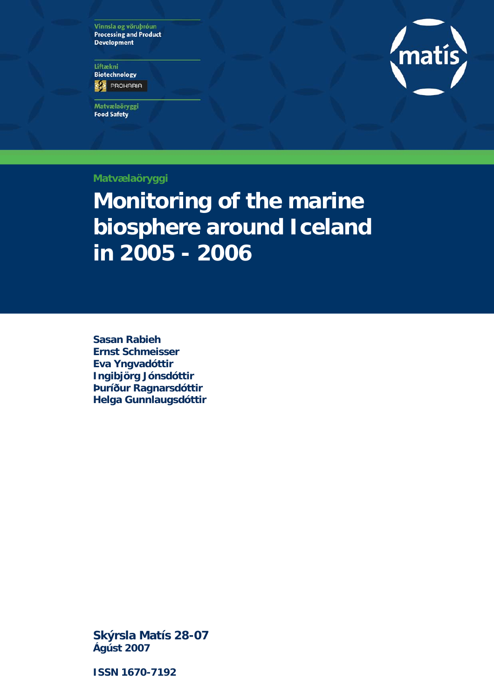Vinnsla og vöruþróun **Processing and Product Development** 

Liftækni **Biotechnology ES** PROHARIA

Matvælaöryggi **Food Safety** 



**Matvælaöryggi** 

**Monitoring of the marine biosphere around Iceland in 2005 - 2006** 

**Sasan Rabieh Ernst Schmeisser Eva Yngvadóttir Ingibjörg Jónsdóttir Þuríður Ragnarsdóttir Helga Gunnlaugsdóttir** 

**Skýrsla Matís 28-07 Ágúst 2007** 

**ISSN 1670-7192**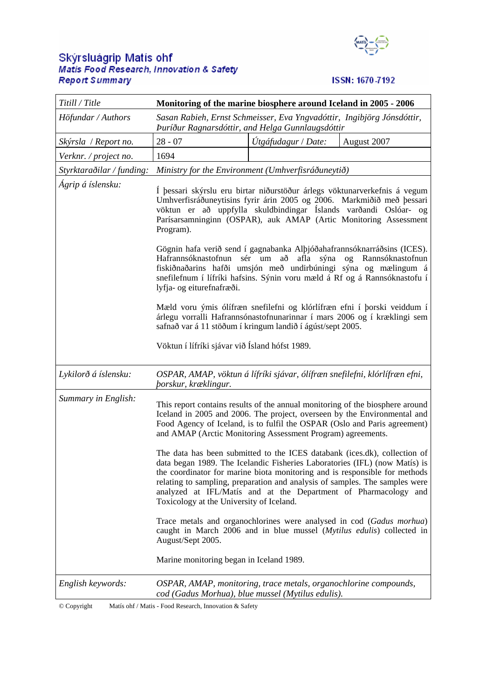# Skýrsluágrip Matís ohf<br>Matis Food Research, Innovation & Safety **Report Summary**



## ISSN: 1670-7192

| Titill / Title            | Monitoring of the marine biosphere around Iceland in 2005 - 2006                                                                                                                                                                                                                                                                                                                                                                                                                                                                                                                                                                                                                                                                                                                                                                                                                                                   |                     |             |  |  |  |
|---------------------------|--------------------------------------------------------------------------------------------------------------------------------------------------------------------------------------------------------------------------------------------------------------------------------------------------------------------------------------------------------------------------------------------------------------------------------------------------------------------------------------------------------------------------------------------------------------------------------------------------------------------------------------------------------------------------------------------------------------------------------------------------------------------------------------------------------------------------------------------------------------------------------------------------------------------|---------------------|-------------|--|--|--|
| Höfundar / Authors        | Sasan Rabieh, Ernst Schmeisser, Eva Yngvadóttir, Ingibjörg Jónsdóttir,<br>Puríður Ragnarsdóttir, and Helga Gunnlaugsdóttir                                                                                                                                                                                                                                                                                                                                                                                                                                                                                                                                                                                                                                                                                                                                                                                         |                     |             |  |  |  |
| Skýrsla / Report no.      | $28 - 07$                                                                                                                                                                                                                                                                                                                                                                                                                                                                                                                                                                                                                                                                                                                                                                                                                                                                                                          | Útgáfudagur / Date: | August 2007 |  |  |  |
| Verknr. / project no.     | 1694                                                                                                                                                                                                                                                                                                                                                                                                                                                                                                                                                                                                                                                                                                                                                                                                                                                                                                               |                     |             |  |  |  |
| Styrktaraðilar / funding: | Ministry for the Environment (Umhverfisráðuneytið)                                                                                                                                                                                                                                                                                                                                                                                                                                                                                                                                                                                                                                                                                                                                                                                                                                                                 |                     |             |  |  |  |
| Ágrip á íslensku:         | Í þessari skýrslu eru birtar niðurstöður árlegs vöktunarverkefnis á vegum<br>Umhverfisráðuneytisins fyrir árin 2005 og 2006. Markmiðið með þessari<br>vöktun er að uppfylla skuldbindingar Íslands varðandi Oslóar- og<br>Parísarsamninginn (OSPAR), auk AMAP (Artic Monitoring Assessment<br>Program).<br>Gögnin hafa verið send í gagnabanka Alþjóðahafrannsóknarráðsins (ICES).<br>Hafrannsóknastofnun sér um að<br>afla sýna og Rannsóknastofnun<br>fiskiðnaðarins hafði umsjón með undirbúningi sýna og mælingum á<br>snefilefnum í lífríki hafsins. Sýnin voru mæld á Rf og á Rannsóknastofu í<br>lyfja- og eiturefnafræði.<br>Mæld voru ýmis ólífræn snefilefni og klórlífræn efni í þorski veiddum í<br>árlegu vorralli Hafrannsónastofnunarinnar í mars 2006 og í kræklingi sem<br>safnað var á 11 stöðum í kringum landið í ágúst/sept 2005.<br>Vöktun í lífríki sjávar við Ísland hófst 1989.           |                     |             |  |  |  |
| Lykilorð á íslensku:      | OSPAR, AMAP, vöktun á lífríki sjávar, ólífræn snefilefni, klórlífræn efni,<br><i>borskur, kræklingur.</i>                                                                                                                                                                                                                                                                                                                                                                                                                                                                                                                                                                                                                                                                                                                                                                                                          |                     |             |  |  |  |
| Summary in English:       | This report contains results of the annual monitoring of the biosphere around<br>Iceland in 2005 and 2006. The project, overseen by the Environmental and<br>Food Agency of Iceland, is to fulfil the OSPAR (Oslo and Paris agreement)<br>and AMAP (Arctic Monitoring Assessment Program) agreements.<br>The data has been submitted to the ICES databank (ices.dk), collection of<br>data began 1989. The Icelandic Fisheries Laboratories (IFL) (now Matís) is<br>the coordinator for marine biota monitoring and is responsible for methods<br>relating to sampling, preparation and analysis of samples. The samples were<br>analyzed at IFL/Matís and at the Department of Pharmacology and<br>Toxicology at the University of Iceland.<br>Trace metals and organochlorines were analysed in cod (Gadus morhua)<br>caught in March 2006 and in blue mussel (Mytilus edulis) collected in<br>August/Sept 2005. |                     |             |  |  |  |
|                           | Marine monitoring began in Iceland 1989.                                                                                                                                                                                                                                                                                                                                                                                                                                                                                                                                                                                                                                                                                                                                                                                                                                                                           |                     |             |  |  |  |
| English keywords:         | OSPAR, AMAP, monitoring, trace metals, organochlorine compounds,<br>cod (Gadus Morhua), blue mussel (Mytilus edulis).                                                                                                                                                                                                                                                                                                                                                                                                                                                                                                                                                                                                                                                                                                                                                                                              |                     |             |  |  |  |

© Copyright Matís ohf / Matis - Food Research, Innovation & Safety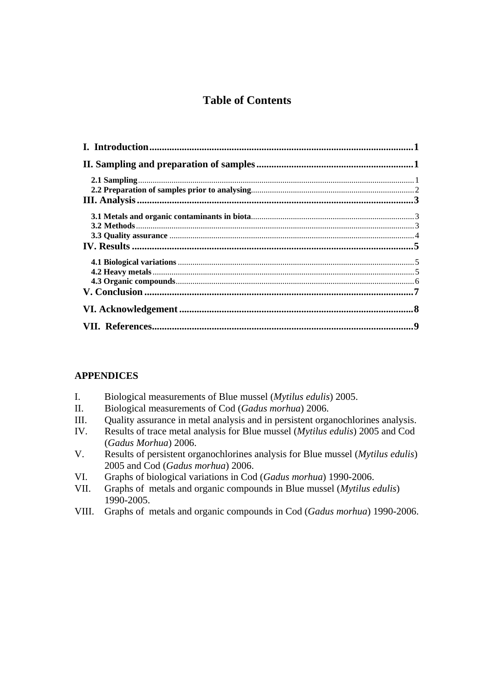# **Table of Contents**

## **APPENDICES**

- I. Biological measurements of Blue mussel (*Mytilus edulis*) 2005.
- II. Biological measurements of Cod (*Gadus morhua*) 2006.
- III. Quality assurance in metal analysis and in persistent organochlorines analysis.
- IV. Results of trace metal analysis for Blue mussel (*Mytilus edulis*) 2005 and Cod (*Gadus Morhua*) 2006.
- V. Results of persistent organochlorines analysis for Blue mussel (*Mytilus edulis*) 2005 and Cod (*Gadus morhua*) 2006.
- VI. Graphs of biological variations in Cod (*Gadus morhua*) 1990-2006.
- VII. Graphs of metals and organic compounds in Blue mussel (*Mytilus edulis*) 1990-2005.
- VIII. Graphs of metals and organic compounds in Cod (*Gadus morhua*) 1990-2006.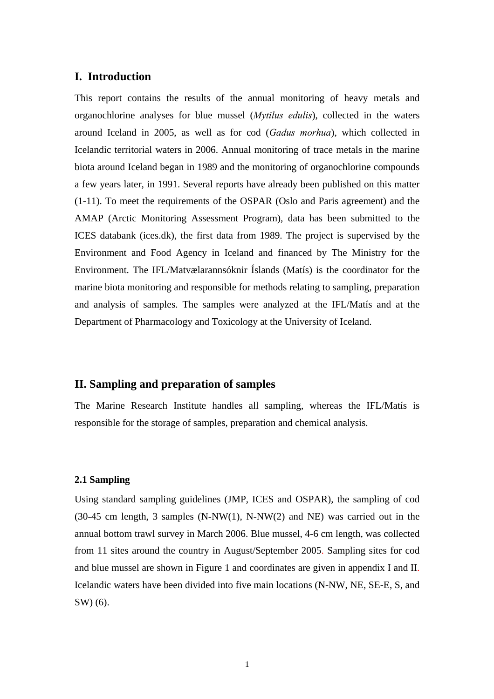### **I. Introduction**

This report contains the results of the annual monitoring of heavy metals and organochlorine analyses for blue mussel (*Mytilus edulis*), collected in the waters around Iceland in 2005, as well as for cod (*Gadus morhua*), which collected in Icelandic territorial waters in 2006. Annual monitoring of trace metals in the marine biota around Iceland began in 1989 and the monitoring of organochlorine compounds a few years later, in 1991. Several reports have already been published on this matter (1-11). To meet the requirements of the OSPAR (Oslo and Paris agreement) and the AMAP (Arctic Monitoring Assessment Program), data has been submitted to the ICES databank (ices.dk), the first data from 1989. The project is supervised by the Environment and Food Agency in Iceland and financed by The Ministry for the Environment. The IFL/Matvælarannsóknir Íslands (Matís) is the coordinator for the marine biota monitoring and responsible for methods relating to sampling, preparation and analysis of samples. The samples were analyzed at the IFL/Matís and at the Department of Pharmacology and Toxicology at the University of Iceland.

## **II. Sampling and preparation of samples**

The Marine Research Institute handles all sampling, whereas the IFL/Matís is responsible for the storage of samples, preparation and chemical analysis.

### **2.1 Sampling**

Using standard sampling guidelines (JMP, ICES and OSPAR), the sampling of cod (30-45 cm length, 3 samples (N-NW(1), N-NW(2) and NE) was carried out in the annual bottom trawl survey in March 2006. Blue mussel, 4-6 cm length, was collected from 11 sites around the country in August/September 2005. Sampling sites for cod and blue mussel are shown in Figure 1 and coordinates are given in appendix I and II. Icelandic waters have been divided into five main locations (N-NW, NE, SE-E, S, and SW) (6).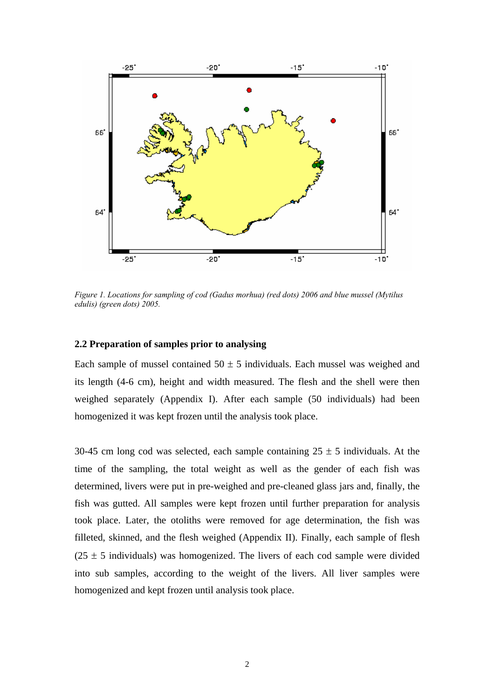

*Figure 1. Locations for sampling of cod (Gadus morhua) (red dots) 2006 and blue mussel (Mytilus edulis) (green dots) 2005.* 

### **2.2 Preparation of samples prior to analysing**

Each sample of mussel contained  $50 \pm 5$  individuals. Each mussel was weighed and its length (4-6 cm), height and width measured. The flesh and the shell were then weighed separately (Appendix I). After each sample (50 individuals) had been homogenized it was kept frozen until the analysis took place.

30-45 cm long cod was selected, each sample containing  $25 \pm 5$  individuals. At the time of the sampling, the total weight as well as the gender of each fish was determined, livers were put in pre-weighed and pre-cleaned glass jars and, finally, the fish was gutted. All samples were kept frozen until further preparation for analysis took place. Later, the otoliths were removed for age determination, the fish was filleted, skinned, and the flesh weighed (Appendix II). Finally, each sample of flesh  $(25 \pm 5)$  individuals) was homogenized. The livers of each cod sample were divided into sub samples, according to the weight of the livers. All liver samples were homogenized and kept frozen until analysis took place.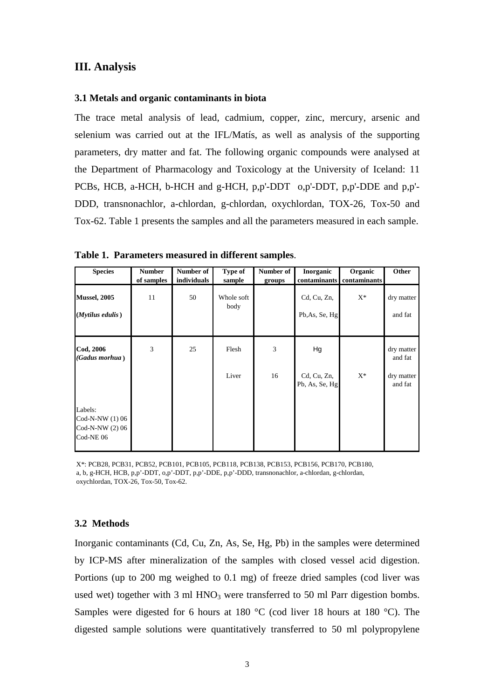### **III. Analysis**

#### **3.1 Metals and organic contaminants in biota**

The trace metal analysis of lead, cadmium, copper, zinc, mercury, arsenic and selenium was carried out at the IFL/Matís, as well as analysis of the supporting parameters, dry matter and fat. The following organic compounds were analysed at the Department of Pharmacology and Toxicology at the University of Iceland: 11 PCBs, HCB, a-HCH, b-HCH and g-HCH, p,p'-DDT o,p'-DDT, p,p'-DDE and p,p'- DDD, transnonachlor, a-chlordan, g-chlordan, oxychlordan, TOX-26, Tox-50 and Tox-62. Table 1 presents the samples and all the parameters measured in each sample.

**Species** Number Number of Type of Number of Inorganic Organic Other of samples individuals sample groups contaminants contaminants **Mussel, 2005** 11 50 Whole soft body Cd, Cu, Zn,  $X^*$  dry matter **(***Mytilus edulis***)** Pb,As, Se, Hg and fat **Cod, 2006** 3 25 Flesh 3 Hg dry matter *(Gadus morhua* **)** and fat Liver 16 Cd, Cu, Zn,  $X^*$  dry matter Pb, As, Se, Hg and fat Labels: Cod-N-NW (1) 06 Cod-N-NW (2) 06 Cod-NE 06

**Table 1. Parameters measured in different samples**.

X\*: PCB28, PCB31, PCB52, PCB101, PCB105, PCB118, PCB138, PCB153, PCB156, PCB170, PCB180, a, b, g-HCH, HCB, p,p'-DDT, o,p'-DDT, p,p'-DDE, p,p'-DDD, transnonachlor, a-chlordan, g-chlordan, oxychlordan, TOX-26, Tox-50, Tox-62.

#### **3.2 Methods**

Inorganic contaminants (Cd, Cu, Zn, As, Se, Hg, Pb) in the samples were determined by ICP-MS after mineralization of the samples with closed vessel acid digestion. Portions (up to 200 mg weighed to 0.1 mg) of freeze dried samples (cod liver was used wet) together with  $3 \text{ ml HNO}_3$  were transferred to  $50 \text{ ml }$  Parr digestion bombs. Samples were digested for 6 hours at 180 °C (cod liver 18 hours at 180 °C). The digested sample solutions were quantitatively transferred to 50 ml polypropylene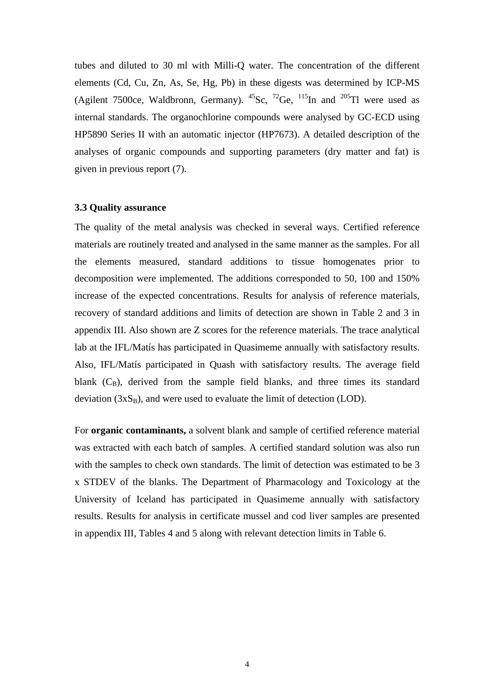tubes and diluted to 30 ml with Milli-Q water. The concentration of the different elements (Cd, Cu, Zn, As, Se, Hg, Pb) in these digests was determined by ICP-MS (Agilent 7500ce, Waldbronn, Germany).  $^{45}$ Sc,  $^{72}$ Ge,  $^{115}$ In and  $^{205}$ Tl were used as internal standards. The organochlorine compounds were analysed by GC-ECD using HP5890 Series II with an automatic injector (HP7673). A detailed description of the analyses of organic compounds and supporting parameters (dry matter and fat) is given in previous report (7).

#### **3.3 Quality assurance**

The quality of the metal analysis was checked in several ways. Certified reference materials are routinely treated and analysed in the same manner as the samples. For all the elements measured, standard additions to tissue homogenates prior to decomposition were implemented. The additions corresponded to 50, 100 and 150% increase of the expected concentrations. Results for analysis of reference materials, recovery of standard additions and limits of detection are shown in Table 2 and 3 in appendix III. Also shown are Z scores for the reference materials. The trace analytical lab at the IFL/Matís has participated in Quasimeme annually with satisfactory results. Also, IFL/Matís participated in Quash with satisfactory results. The average field blank  $(C_B)$ , derived from the sample field blanks, and three times its standard deviation  $(3xS_B)$ , and were used to evaluate the limit of detection (LOD).

For **organic contaminants,** a solvent blank and sample of certified reference material was extracted with each batch of samples. A certified standard solution was also run with the samples to check own standards. The limit of detection was estimated to be 3 x STDEV of the blanks. The Department of Pharmacology and Toxicology at the University of Iceland has participated in Quasimeme annually with satisfactory results. Results for analysis in certificate mussel and cod liver samples are presented in appendix III, Tables 4 and 5 along with relevant detection limits in Table 6.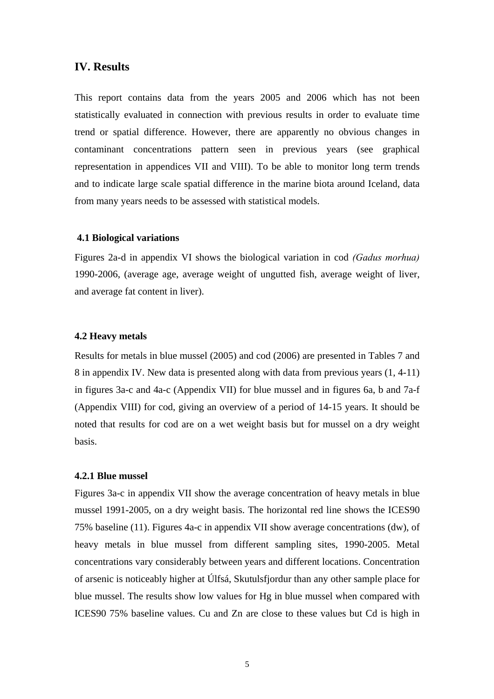#### **IV. Results**

This report contains data from the years 2005 and 2006 which has not been statistically evaluated in connection with previous results in order to evaluate time trend or spatial difference. However, there are apparently no obvious changes in contaminant concentrations pattern seen in previous years (see graphical representation in appendices VII and VIII). To be able to monitor long term trends and to indicate large scale spatial difference in the marine biota around Iceland, data from many years needs to be assessed with statistical models.

#### **4.1 Biological variations**

Figures 2a-d in appendix VI shows the biological variation in cod *(Gadus morhua)* 1990-2006, (average age, average weight of ungutted fish, average weight of liver, and average fat content in liver).

#### **4.2 Heavy metals**

Results for metals in blue mussel (2005) and cod (2006) are presented in Tables 7 and 8 in appendix IV. New data is presented along with data from previous years (1, 4-11) in figures 3a-c and 4a-c (Appendix VII) for blue mussel and in figures 6a, b and 7a-f (Appendix VIII) for cod, giving an overview of a period of 14-15 years. It should be noted that results for cod are on a wet weight basis but for mussel on a dry weight basis.

#### **4.2.1 Blue mussel**

Figures 3a-c in appendix VII show the average concentration of heavy metals in blue mussel 1991-2005, on a dry weight basis. The horizontal red line shows the ICES90 75% baseline (11). Figures 4a-c in appendix VII show average concentrations (dw), of heavy metals in blue mussel from different sampling sites, 1990-2005. Metal concentrations vary considerably between years and different locations. Concentration of arsenic is noticeably higher at Úlfsá, Skutulsfjordur than any other sample place for blue mussel. The results show low values for Hg in blue mussel when compared with ICES90 75% baseline values. Cu and Zn are close to these values but Cd is high in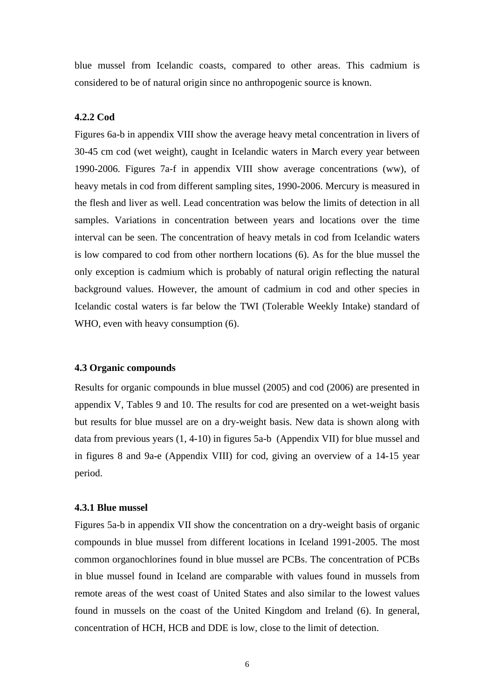blue mussel from Icelandic coasts, compared to other areas. This cadmium is considered to be of natural origin since no anthropogenic source is known.

### **4.2.2 Cod**

Figures 6a-b in appendix VIII show the average heavy metal concentration in livers of 30-45 cm cod (wet weight), caught in Icelandic waters in March every year between 1990-2006. Figures 7a-f in appendix VIII show average concentrations (ww), of heavy metals in cod from different sampling sites, 1990-2006. Mercury is measured in the flesh and liver as well. Lead concentration was below the limits of detection in all samples. Variations in concentration between years and locations over the time interval can be seen. The concentration of heavy metals in cod from Icelandic waters is low compared to cod from other northern locations (6). As for the blue mussel the only exception is cadmium which is probably of natural origin reflecting the natural background values. However, the amount of cadmium in cod and other species in Icelandic costal waters is far below the TWI (Tolerable Weekly Intake) standard of WHO, even with heavy consumption  $(6)$ .

#### **4.3 Organic compounds**

Results for organic compounds in blue mussel (2005) and cod (2006) are presented in appendix V, Tables 9 and 10. The results for cod are presented on a wet-weight basis but results for blue mussel are on a dry-weight basis. New data is shown along with data from previous years (1, 4-10) in figures 5a-b (Appendix VII) for blue mussel and in figures 8 and 9a-e (Appendix VIII) for cod, giving an overview of a 14-15 year period.

#### **4.3.1 Blue mussel**

Figures 5a-b in appendix VII show the concentration on a dry-weight basis of organic compounds in blue mussel from different locations in Iceland 1991-2005. The most common organochlorines found in blue mussel are PCBs. The concentration of PCBs in blue mussel found in Iceland are comparable with values found in mussels from remote areas of the west coast of United States and also similar to the lowest values found in mussels on the coast of the United Kingdom and Ireland (6). In general, concentration of HCH, HCB and DDE is low, close to the limit of detection.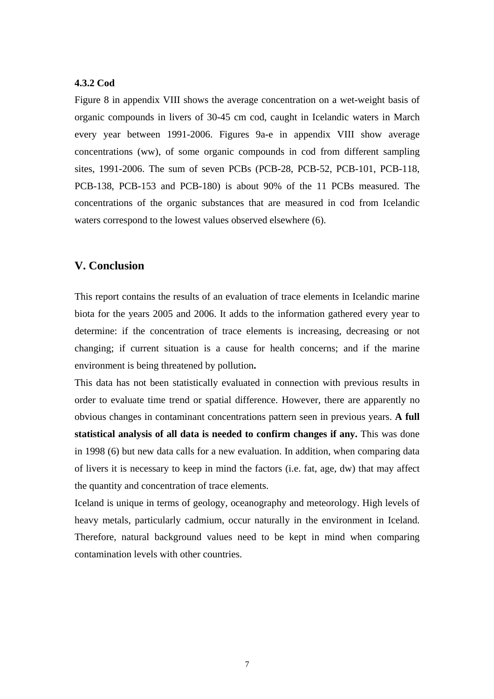#### **4.3.2 Cod**

Figure 8 in appendix VIII shows the average concentration on a wet-weight basis of organic compounds in livers of 30-45 cm cod, caught in Icelandic waters in March every year between 1991-2006. Figures 9a-e in appendix VIII show average concentrations (ww), of some organic compounds in cod from different sampling sites, 1991-2006. The sum of seven PCBs (PCB-28, PCB-52, PCB-101, PCB-118, PCB-138, PCB-153 and PCB-180) is about 90% of the 11 PCBs measured. The concentrations of the organic substances that are measured in cod from Icelandic waters correspond to the lowest values observed elsewhere (6).

## **V. Conclusion**

This report contains the results of an evaluation of trace elements in Icelandic marine biota for the years 2005 and 2006. It adds to the information gathered every year to determine: if the concentration of trace elements is increasing, decreasing or not changing; if current situation is a cause for health concerns; and if the marine environment is being threatened by pollution**.**

This data has not been statistically evaluated in connection with previous results in order to evaluate time trend or spatial difference. However, there are apparently no obvious changes in contaminant concentrations pattern seen in previous years. **A full statistical analysis of all data is needed to confirm changes if any.** This was done in 1998 (6) but new data calls for a new evaluation. In addition, when comparing data of livers it is necessary to keep in mind the factors (i.e. fat, age, dw) that may affect the quantity and concentration of trace elements.

Iceland is unique in terms of geology, oceanography and meteorology. High levels of heavy metals, particularly cadmium, occur naturally in the environment in Iceland. Therefore, natural background values need to be kept in mind when comparing contamination levels with other countries.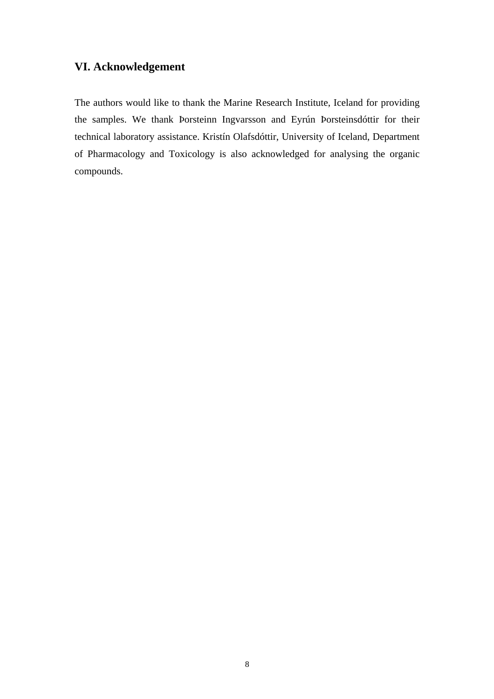# **VI. Acknowledgement**

The authors would like to thank the Marine Research Institute, Iceland for providing the samples. We thank Þorsteinn Ingvarsson and Eyrún Þorsteinsdóttir for their technical laboratory assistance. Kristín Olafsdóttir, University of Iceland, Department of Pharmacology and Toxicology is also acknowledged for analysing the organic compounds.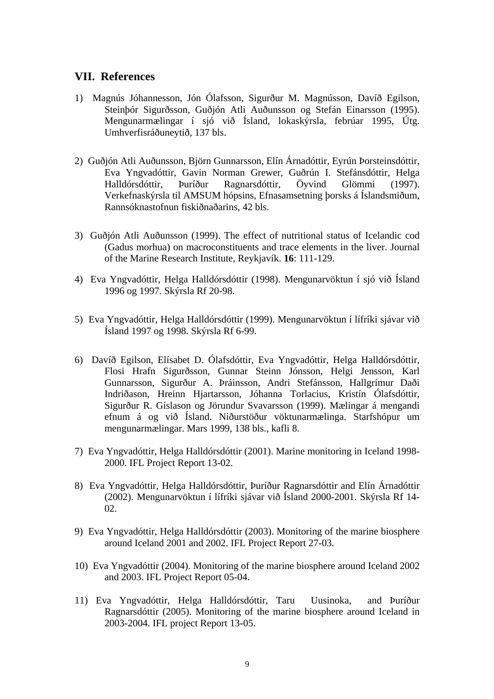## **VII. References**

- 1) Magnús Jóhannesson, Jón Ólafsson, Sigurður M. Magnússon, Davíð Egilson, Steinþór Sigurðsson, Guðjón Atli Auðunsson og Stefán Einarsson (1995). Mengunarmælingar í sjó við Ísland, lokaskýrsla, febrúar 1995, Útg. Umhverfisráðuneytið, 137 bls.
- 2) Guðjón Atli Auðunsson, Björn Gunnarsson, Elín Árnadóttir, Eyrún Þorsteinsdóttir, Eva Yngvadóttir, Gavin Norman Grewer, Guðrún I. Stefánsdóttir, Helga Halldórsdóttir, Þuríður Ragnarsdóttir, Öyvind Glömmi (1997). Verkefnaskýrsla til AMSUM hópsins, Efnasamsetning þorsks á Íslandsmiðum, Rannsóknastofnun fiskiðnaðarins, 42 bls.
- 3) Guðjón Atli Auðunsson (1999). The effect of nutritional status of Icelandic cod (Gadus morhua) on macroconstituents and trace elements in the liver. Journal of the Marine Research Institute, Reykjavík. **16**: 111-129.
- 4) Eva Yngvadóttir, Helga Halldórsdóttir (1998). Mengunarvöktun í sjó við Ísland 1996 og 1997. Skýrsla Rf 20-98.
- 5) Eva Yngvadóttir, Helga Halldórsdóttir (1999). Mengunarvöktun í lífríki sjávar við Ísland 1997 og 1998. Skýrsla Rf 6-99.
- 6) Davíð Egilson, Elísabet D. Ólafsdóttir, Eva Yngvadóttir, Helga Halldórsdóttir, Flosi Hrafn Sigurðsson, Gunnar Steinn Jónsson, Helgi Jensson, Karl Gunnarsson, Sigurður A. Þráinsson, Andri Stefánsson, Hallgrímur Daði Indriðason, Hreinn Hjartarsson, Jóhanna Torlacius, Kristín Ólafsdóttir, Sigurður R. Gíslason og Jörundur Svavarsson (1999). Mælingar á mengandi efnum á og við Ísland. Niðurstöður vöktunarmælinga. Starfshópur um mengunarmælingar. Mars 1999, 138 bls., kafli 8.
- 7) Eva Yngvadóttir, Helga Halldórsdóttir (2001). Marine monitoring in Iceland 1998- 2000. IFL Project Report 13-02.
- 8) Eva Yngvadóttir, Helga Halldórsdóttir, Þuríður Ragnarsdóttir and Elín Árnadóttir (2002). Mengunarvöktun í lífríki sjávar við Ísland 2000-2001. Skýrsla Rf 14- 02.
- 9) Eva Yngvadóttir, Helga Halldórsdóttir (2003). Monitoring of the marine biosphere around Iceland 2001 and 2002. IFL Project Report 27-03.
- 10) Eva Yngvadóttir (2004). Monitoring of the marine biosphere around Iceland 2002 and 2003. IFL Project Report 05-04.
- 11) Eva Yngvadóttir, Helga Halldórsdóttir, Taru Uusinoka, and Þuríður Ragnarsdóttir (2005). Monitoring of the marine biosphere around Iceland in 2003-2004. IFL project Report 13-05.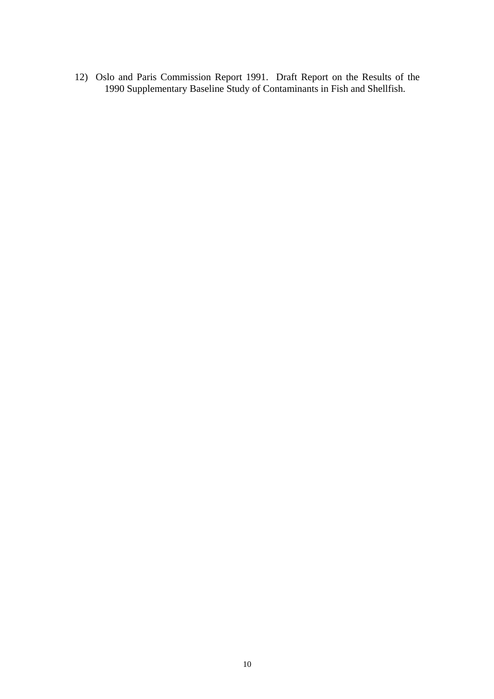12) Oslo and Paris Commission Report 1991. Draft Report on the Results of the 1990 Supplementary Baseline Study of Contaminants in Fish and Shellfish.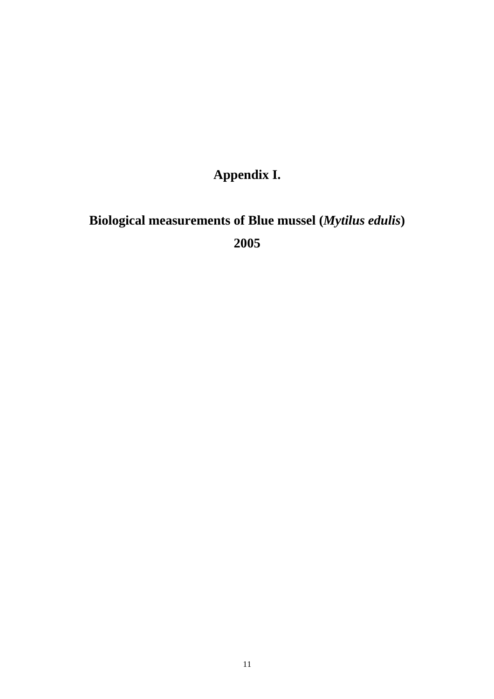# **Appendix I.**

# **Biological measurements of Blue mussel (***Mytilus edulis***) 2005**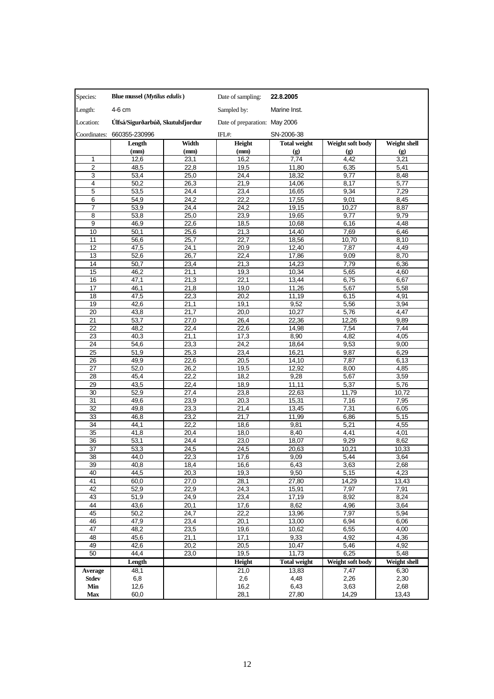| Species:                | Blue mussel ( <i>Mytilus edulis</i> ) |              | Date of sampling:             | 22.8.2005                   |                  |               |
|-------------------------|---------------------------------------|--------------|-------------------------------|-----------------------------|------------------|---------------|
| Length:                 | 4-6 cm                                |              | Sampled by:                   | Marine Inst.                |                  |               |
| Location:               | Úlfsá/Sigurðarbúð, Skutulsfjordur     |              | Date of preparation: May 2006 |                             |                  |               |
| Coordinates:            | 660355-230996                         |              | IFL#:                         | SN-2006-38                  |                  |               |
|                         | Length                                | Width        | Height                        | <b>Total weight</b>         | Weight soft body | Weight shell  |
|                         | (mm)                                  | (mm)         | (mm)                          | $\left( \mathbf{g} \right)$ | (g)              | (g)           |
| 1                       | 12,6                                  | 23,1         | 16,2                          | 7,74                        | 4,42             | 3,21          |
| $\overline{2}$          | 48,5                                  | 22,8         | 19,5                          | 11,80                       | 6,35             | 5,41          |
| 3                       | 53,4                                  | 25,0         | 24,4                          | 18,32                       | 9,77             | 8,48          |
| $\overline{\mathbf{4}}$ | 50,2                                  | 26,3         | 21,9                          | 14,06                       | 8,17             | 5,77          |
| 5                       | 53,5                                  | 24,4         | 23,4                          | 16,65                       | 9,34             | 7,29          |
| 6<br>$\overline{7}$     | 54,9<br>53,9                          | 24,2<br>24,4 | $\overline{2}2,2$<br>24,2     | 17,55<br>19,15              | 9,01<br>10,27    | 8,45<br>8,87  |
| 8                       | 53,8                                  | 25,0         | 23,9                          | 19,65                       | 9,77             | 9,79          |
| $\overline{9}$          | 46,9                                  | 22,6         | 18,5                          | 10,68                       | 6,16             | 4,48          |
| 10                      | 50,1                                  | 25,6         | 21,3                          | 14,40                       | 7,69             | 6,46          |
| 11                      | 56,6                                  | 25,7         | 22,7                          | 18,56                       | 10,70            | 8,10          |
| 12                      | 47,5                                  | 24,1         | 20,9                          | 12,40                       | 7,87             | 4,49          |
| 13                      | 52,6                                  | 26,7         | 22,4                          | 17,86                       | 9,09             | 8,70          |
| 14                      | 50,7                                  | 23,4         | 21,3                          | 14,23                       | 7,79             | 6,36          |
| 15                      | 46,2                                  | 21,1         | 19,3                          | 10,34                       | 5,65             | 4,60          |
| 16                      | 47,1                                  | 21,3         | 22,1                          | 13,44                       | 6,75             | 6,67          |
| 17                      | 46,1                                  | 21,8         | 19,0                          | 11,26                       | 5,67             | 5,58          |
| 18                      | 47,5                                  | 22,3         | 20,2                          | 11,19                       | 6,15             | 4,91          |
| 19                      | 42,6                                  | 21,1         | 19,1                          | 9,52                        | 5,56             | 3,94          |
| $\overline{20}$         | 43,8                                  | 21,7         | 20,0                          | 10,27                       | 5,76             | 4,47          |
| 21                      | 53,7                                  | 27,0         | 26,4                          | 22,36                       | 12,26            | 9,89          |
| $\overline{22}$         | 48,2                                  | 22,4         | 22,6                          | 14,98                       | 7,54             | 7,44          |
| 23                      | 40,3                                  | 21,1         | 17,3                          | 8,90                        | 4,82             | 4,05          |
| 24<br>$\overline{25}$   | 54,6<br>51,9                          | 23,3         | 24,2                          | 18,64                       | 9,53<br>9,87     | 9,00<br>6,29  |
| 26                      | 49,9                                  | 25,3<br>22,6 | 23,4<br>20,5                  | 16,21<br>14,10              | 7,87             | 6,13          |
| 27                      | 52,0                                  | 26,2         | 19,5                          | 12,92                       | 8,00             | 4,85          |
| 28                      | 45,4                                  | 22,2         | 18,2                          | 9,28                        | 5,67             | 3,59          |
| 29                      | 43,5                                  | 22,4         | 18,9                          | 11,11                       | 5,37             | 5,76          |
| 30                      | 52,9                                  | 27,4         | 23,8                          | 22,63                       | 11,79            | 10,72         |
| 31                      | 49,6                                  | 23,9         | 20,3                          | 15,31                       | 7,16             | 7,95          |
| 32                      | 49,8                                  | 23,3         | 21,4                          | 13,45                       | 7,31             | 6,05          |
| 33                      | 46,8                                  | 23,2         | 21,7                          | 11,99                       | 6,86             | 5,15          |
| 34                      | 44,1                                  | 22,2         | 18,6                          | 9,81                        | 5,21             | 4,55          |
| $\overline{35}$         | 41,8                                  | 20,4         | 18,0                          | 8,40                        | 4,41             | 4,01          |
| 36                      | 53,1                                  | 24.4         | 23,0                          | 18,07                       | 9,29             | 8,62          |
| 37                      | 53,3                                  | 24,5         | 24,5                          | 20,63                       | 10,21            | 10,33         |
| $\overline{38}$         | 44,0                                  | 22,3         | 17,6                          | 9,09                        | 5,44             | 3,64          |
| 39                      | 40,8                                  | 18,4         | 16,6                          | 6,43                        | 3,63             | 2,68          |
| 40<br>41                | 44,5<br>60,0                          | 20,3<br>27,0 | 19,3<br>28,1                  | 9,50<br>27,80               | 5,15<br>14,29    | 4,23<br>13,43 |
| 42                      | 52,9                                  | 22,9         | 24,3                          | 15,91                       | 7,97             | 7,91          |
| 43                      | 51,9                                  | 24,9         | $\overline{2}3,4$             | 17,19                       | 8,92             | 8,24          |
| 44                      | 43,6                                  | 20,1         | 17,6                          | 8,62                        | 4,96             | 3,64          |
| 45                      | 50,2                                  | 24,7         | 22,2                          | 13,96                       | 7,97             | 5,94          |
| 46                      | 47,9                                  | 23,4         | 20,1                          | 13,00                       | 6,94             | 6,06          |
| 47                      | 48,2                                  | 23,5         | 19,6                          | 10,62                       | 6,55             | 4,00          |
| 48                      | 45,6                                  | 21,1         | 17,1                          | 9,33                        | 4,92             | 4,36          |
| 49                      | 42,6                                  | 20,2         | 20,5                          | 10,47                       | 5,46             | 4,92          |
| 50                      | 44,4                                  | 23,0         | 19,5                          | 11,73                       | 6,25             | 5,48          |
|                         | Length                                |              | Height                        | <b>Total weight</b>         | Weight soft body | Weight shell  |
| Average                 | 48,1                                  |              | 21,0                          | 13,83                       | 7,47             | 6,30          |
| Stdev                   | 6,8                                   |              | 2,6                           | 4,48                        | 2,26             | 2,30          |
| Min                     | 12,6                                  |              | 16,2                          | 6,43                        | 3,63             | 2,68          |
| Max                     | 60,0                                  |              | 28,1                          | 27,80                       | 14,29            | 13,43         |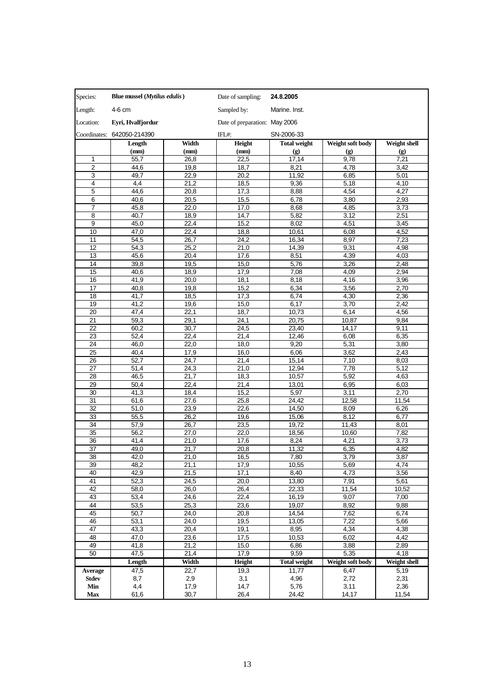| Species:        | Blue mussel ( <i>Mytilus edulis</i> ) |                   | Date of sampling:             | 24.8.2005           |                             |                             |
|-----------------|---------------------------------------|-------------------|-------------------------------|---------------------|-----------------------------|-----------------------------|
| Length:         | 4-6 cm                                |                   | Sampled by:                   | Marine. Inst.       |                             |                             |
| Location:       | Eyri, Hvalfjordur                     |                   | Date of preparation: May 2006 |                     |                             |                             |
|                 | Coordinates: 642050-214390            |                   | IFL#:                         | SN-2006-33          |                             |                             |
|                 | Length                                | Width             | Height                        | <b>Total weight</b> | Weight soft body            | <b>Weight shell</b>         |
|                 | (mm)                                  | (mm)              | (mm)                          | (g)                 | $\left( \mathbf{g} \right)$ | $\left( \mathbf{g} \right)$ |
| 1               | 55,7                                  | 26,8              | 22,5                          | 17,14               | 9,78                        | 7,21                        |
| $\overline{2}$  | 44,6                                  | 19,8              | 18,7                          | 8,21                | 4,78                        | 3,42                        |
| 3               | 49,7                                  | 22,9              | 20,2                          | 11,92               | 6,85                        | 5,01                        |
| 4               | 4,4                                   | 21,2              | 18,5                          | 9,36                | 5,18                        | 4,10                        |
| 5               | 44,6                                  | 20,8              | 17,3                          | 8,88                | 4,54                        | 4,27                        |
| 6               | 40,6                                  | 20,5              | 15,5                          | 6,78                | 3,80                        | 2,93                        |
| 7               | 45,8                                  | 22,0              | 17,0                          | 8,68                | 4,85                        | 3,73                        |
| 8               | 40,7                                  | 18,9              | 14,7                          | 5,82                | 3,12                        | 2,51                        |
| 9               | 45,0                                  | 22,4              | 15,2                          | 8,02                | 4,51                        | 3,45                        |
| 10              | 47,0                                  | 22,4              | 18,8                          | 10,61               | 6,08                        | 4,52                        |
| 11              | 54,5                                  | 26,7              | 24,2                          | 16,34               | 8,97                        | 7,23                        |
| 12              | 54,3                                  | 25,2              | 21,0                          | 14,39               | 9,31                        | 4,98                        |
| 13              | 45,6                                  | 20,4              | 17,6                          | 8,51                | 4,39                        | 4,03                        |
| 14              | 39,8                                  | 19,5              | 15,0                          | 5,76                | 3,26                        | 2,48                        |
| 15              | 40,6                                  | 18,9              | 17,9                          | 7,08                | 4,09                        | 2,94                        |
| 16              | 41,9                                  | 20,0              | 18,1                          | 8,18                | 4,16                        | 3,96                        |
| 17              | 40,8                                  | 19,8              | 15,2                          | 6,34                | 3,56                        | 2,70                        |
| 18              | 41,7                                  | 18,5              | 17,3                          | 6,74                | 4,30                        | 2,36                        |
| 19              | 41,2                                  | 19,6              | 15,0                          | 6,17                | 3,70                        | 2,42                        |
| 20              | 47,4                                  | $\overline{2}2,1$ | 18,7                          | 10,73               | 6,14                        | 4,56                        |
| 21              | 59,3                                  | 29,1              | 24,1                          | 20,75               | 10,87                       | 9,84                        |
| 22              | 60,2                                  | 30,7              | 24,5                          | 23,40               | 14,17                       | 9,11                        |
| $\overline{23}$ | 52,4                                  | 22,4              | 21,4                          | 12,46               | 6,08                        | 6,35                        |
| 24              | 46,0                                  | 22,0              | 18,0                          | 9,20                | 5,31                        | 3,80                        |
| 25              | 40,4                                  | 17,9              | 16,0                          | 6,06                | 3,62                        | 2,43                        |
| 26              | 52,7                                  | 24.7              | 21,4                          | 15,14               | 7,10                        | 8,03                        |
| 27              | 51,4                                  | 24,3              | 21,0                          | 12,94               | 7,78                        | 5,12                        |
| 28              | 46,5                                  | 21,7              | 18,3                          | 10,57               | 5,92                        | 4,63                        |
| 29              | 50,4                                  | 22,4              | 21,4                          | 13,01               | 6,95                        | 6,03                        |
| 30              | 41,3                                  | 18,4              | 15,2                          | 5,97                | 3,11                        | 2,70                        |
| 31              | 61,6                                  | 27,6              | 25,8                          | 24,42               | 12,58                       | 11,54                       |
| 32              | 51,0                                  | 23,9              | 22,6                          | 14,50               | 8,09                        | 6,26                        |
| 33              | 55,5                                  | 26,2              | 19,6                          | 15,06               | 8,12                        | 6,77                        |
| 34              | 57,9                                  | 26,7              | 23,5                          | 19,72               | 11,43                       | 8,01                        |
| 35              | 56,2                                  | 27,0              | 22,0                          | 18,56               | 10,60                       | 7,82                        |
| 36              | 41,4                                  | 21,0              | 17,6                          | 8,24                | 4,21                        | 3,73                        |
| 37              | 49,0                                  | 21,7              | $\overline{2}0,8$             | 11,32               | 6,35                        | 4,82                        |
| 38              | 42,0                                  | 21,0              | 16,5                          | 7,80                | 3,79                        | 3,87                        |
| 39              | 48,2                                  | 21,1              | 17,9                          | 10,55               | 5,69                        | 4,74                        |
| 40              | 42,9                                  | 21,5              | 17,1                          | 8,40                | 4,73                        | 3,56                        |
| 41              | 52,3                                  | 24,5              | 20,0                          | 13,80               | 7,91                        | 5,61                        |
| 42              | 58,0                                  | 26,0              | 26,4                          | 22,33               | 11,54                       | 10,52                       |
| 43              | 53,4                                  | 24,6              | 22,4                          | 16,19               | 9,07                        | 7,00                        |
| 44              | 53,5                                  | 25,3              | 23,6                          | 19,07               | 8,92                        | 9,88                        |
| 45              | 50,7                                  | 24,0              | 20,8                          | 14,54               | 7,62                        | 6,74                        |
| 46              | 53,1                                  | 24,0              | 19,5                          | 13,05               | 7,22                        | 5,66                        |
| 47              | 43,3                                  | 20,4              | 19,1                          | 8,95                | 4,34                        | 4,38                        |
| 48              | 47,0                                  | 23,6              | 17,5                          | 10,53               | 6,02                        | 4,42                        |
| 49              | 41,8                                  | 21,2              | 15,0                          | 6,86                | 3,88                        | 2,89                        |
| 50              | 47,5                                  | 21,4              | 17,9                          | 9,59                | 5,35                        | 4,18                        |
|                 | Length                                | Width             | <b>Height</b>                 | Total weight        | Weight soft body            | Weight shell                |
| <b>Average</b>  | 47,5                                  | 22,7              | 19,3                          | 11,77               | 6,47                        | 5,19                        |
| Stdev           | 8,7                                   | 2,9               | 3,1                           | 4,96                | 2,72                        | 2,31                        |
| Min             | 4,4                                   | 17,9              | 14,7                          | 5,76                | 3,11                        | 2,36                        |
| Max             | 61,6                                  | 30,7              | 26,4                          | 24,42               | 14,17                       | 11,54                       |
|                 |                                       |                   |                               |                     |                             |                             |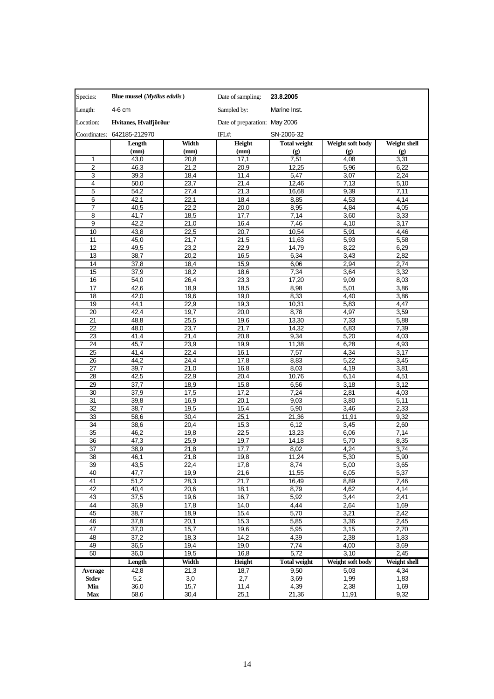| Species:        | Blue mussel ( <i>Mytilus edulis</i> ) |       | Date of sampling:             | 23.8.2005           |                             |                     |
|-----------------|---------------------------------------|-------|-------------------------------|---------------------|-----------------------------|---------------------|
| Length:         | 4-6 cm                                |       | Sampled by:                   | Marine Inst.        |                             |                     |
| Location:       | Hvítanes, Hvalfjörður                 |       | Date of preparation: May 2006 |                     |                             |                     |
| Coordinates:    | 642185-212970                         |       | IFL#:                         | SN-2006-32          |                             |                     |
|                 | Length                                | Width | Height                        | <b>Total weight</b> | Weight soft body            | <b>Weight shell</b> |
|                 | (mm)                                  | (mm)  | (mm)                          | (g)                 | $\left( \mathbf{g} \right)$ | (g)                 |
| 1               | 43,0                                  | 20,8  | 17,1                          | 7,51                | 4,08                        | 3,31                |
| $\overline{2}$  | 46,3                                  | 21,2  | 20,9                          | 12,25               | 5,96                        | 6,22                |
| 3               | 39,3                                  | 18,4  | 11,4                          | 5,47                | 3,07                        | 2,24                |
| 4               | 50,0                                  | 23,7  | 21,4                          | 12,46               | 7,13                        | 5,10                |
| 5               | 54,2                                  | 27,4  | 21,3                          | 16,68               | 9,39                        | 7,11                |
| 6               | 42,1                                  | 22,1  | 18,4                          | 8,85                | 4,53                        | 4,14                |
| $\overline{7}$  | 40,5                                  | 22,2  | 20,0                          | 8,95                | 4,84                        | 4,05                |
| 8               | 41,7                                  | 18,5  | 17,7                          | 7,14                | 3,60                        | 3,33                |
| 9               | 42,2                                  | 21,0  | 16,4                          | 7,46                | 4,10                        | 3,17                |
| 10              | 43,8                                  | 22,5  | 20,7                          | 10,54               | 5,91                        | 4,46                |
| 11              | 45,0                                  | 21,7  | 21,5                          | 11,63               | 5,93                        | 5,58                |
| 12              | 49,5                                  | 23,2  | 22,9                          | 14,79               | 8,22                        | 6,29                |
| 13              | 38,7                                  | 20,2  | 16,5                          | 6,34                | 3,43                        | 2,82                |
| 14              | 37,8                                  | 18,4  | 15,9                          | 6,06                | 2,94                        | 2,74                |
| 15              | 37,9                                  | 18,2  | 18,6                          | 7,34                | 3,64                        | 3,32                |
| 16              | 54,0                                  | 26,4  | 23,3                          | 17,20               | 9,09                        | 8,03                |
| 17              | 42,6                                  | 18,9  | 18,5                          | 8,98                | 5,01                        | 3,86                |
| 18              | 42,0                                  | 19,6  | 19,0                          | 8,33                | 4,40                        | 3,86                |
| 19              | 44,1                                  | 22,9  | 19,3                          | 10,31               | 5,83                        | 4,47                |
| 20              | 42,4                                  | 19,7  | 20,0                          | 8,78                | 4,97                        | 3,59                |
| 21              | 48,8                                  | 25,5  | 19,6                          | 13,30               | 7,33                        | 5,88                |
| 22              | 48,0                                  | 23,7  | 21,7                          | 14,32               | 6,83                        | 7,39                |
| $\overline{23}$ | 41,4                                  | 21,4  | 20,8                          | 9,34                | 5,20                        | 4,03                |
| 24              | 45,7                                  | 23,9  | 19,9                          | 11,38               | 6,28                        | 4,93                |
| 25              | 41,4                                  | 22,4  | 16,1                          | 7,57                | 4,34                        | 3,17                |
| 26              | 44.2                                  | 24,4  | 17,8                          | 8,83                | 5,22                        | 3,45                |
| 27              | 39,7                                  | 21,0  | 16,8                          | 8,03                | 4,19                        | 3,81                |
| 28              | 42,5                                  | 22,9  | 20,4                          | 10,76               | 6,14                        | 4,51                |
| 29              | 37,7                                  | 18,9  | 15,8                          | 6,56                | 3,18                        | 3,12                |
| 30              | 37,9                                  | 17,5  | 17,2                          | 7,24                | 2,81                        | 4,03                |
| 31              | 39,8                                  | 16,9  | 20,1                          | 9,03                | 3,80                        | 5,11                |
| 32              | 38,7                                  | 19,5  | 15,4                          | 5,90                | 3,46                        | 2,33                |
| 33              | 58,6                                  | 30,4  | 25,1                          | 21,36               | 11,91                       | 9,32                |
| 34              | 38,6                                  | 20,4  | 15,3                          | 6,12                | 3,45                        | 2,60                |
| 35              | 46,2                                  | 19,8  | 22,5                          | 13,23               | 6,06                        | 7,14                |
| 36              | 47,3                                  | 25,9  | 19,7                          | 14,18               | 5,70                        | 8,35                |
| 37              | 38,9                                  | 21,8  | 17,7                          | 8,02                | 4,24                        | 3,74                |
| 38              | 46,1                                  | 21,8  | 19,8                          | 11,24               | 5,30                        | 5,90                |
| 39              | 43,5                                  | 22,4  | 17,8                          | 8,74                | 5,00                        | 3,65                |
| 40              | 47,7                                  | 19,9  | 21,6                          | 11,55               | 6,05                        | 5,37                |
| 41              | 51,2                                  | 28,3  | 21,7                          | 16,49               | 8,89                        | 7,46                |
| 42              | 40,4                                  | 20,6  | 18,1                          | 8,79                | 4,62                        | 4,14                |
| 43              | 37,5                                  | 19,6  | 16,7                          | 5,92                | 3,44                        | 2,41                |
| 44              | 36,9                                  | 17,8  | 14,0                          | 4,44                | 2,64                        | 1,69                |
| 45              | 38,7                                  | 18,9  | 15,4                          | 5,70                | 3,21                        | 2,42                |
| 46              | 37,8                                  | 20,1  | 15,3                          | 5,85                | 3,36                        | 2,45                |
| 47              | 37,0                                  | 15,7  | 19,6                          | 5,95                | 3,15                        | 2,70                |
| 48              | 37,2                                  | 18,3  | 14,2                          | 4,39                | 2,38                        | 1,83                |
| 49              | 36,5                                  | 19,4  | 19,0                          | 7,74                | 4,00                        | 3,69                |
| 50              | 36,0                                  | 19,5  | 16,8                          | 5,72                | 3,10                        | 2,45                |
|                 | Length                                | Width | Height                        | Total weight        | Weight soft body            | <b>Weight shell</b> |
| <b>Average</b>  | 42,8                                  | 21,3  | 18,7                          | 9,50                | 5,03                        | 4,34                |
| <b>Stdev</b>    | 5,2                                   | 3,0   | 2,7                           | 3,69                | 1,99                        | 1,83                |
| Min             | 36,0                                  | 15,7  | 11,4                          | 4,39                | 2,38                        | 1,69                |
| Max             | 58,6                                  | 30,4  | 25,1                          | 21,36               | 11,91                       | 9,32                |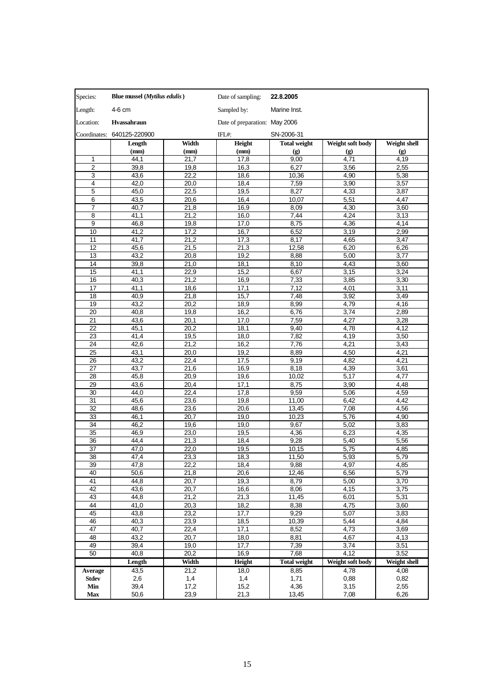| Species:                | Blue mussel ( <i>Mytilus edulis</i> ) |              | Date of sampling:             | 22.8.2005           |                  |                     |
|-------------------------|---------------------------------------|--------------|-------------------------------|---------------------|------------------|---------------------|
| Length:                 | 4-6 cm                                |              | Sampled by:                   | Marine Inst.        |                  |                     |
| Location:               | Hvassahraun                           |              | Date of preparation: May 2006 |                     |                  |                     |
| Coordinates:            | 640125-220900                         |              | IFL#:                         | SN-2006-31          |                  |                     |
|                         | Length                                | Width        | Height                        | <b>Total weight</b> | Weight soft body | <b>Weight shell</b> |
|                         | (mm)                                  | (mm)         | (mm)                          | (g)                 | (g)              | (g)                 |
| 1                       | 44,1                                  | 21,7         | 17,8                          | 9,00                | 4,71             | 4,19                |
| $\overline{2}$          | 39,8                                  | 19,8         | 16,3                          | 6,27                | 3,56             | 2,55                |
| 3                       | 43,6                                  | 22,2         | 18,6                          | 10,36               | 4,90             | 5,38                |
| $\overline{\mathbf{4}}$ | 42,0                                  | 20,0         | 18,4                          | 7,59                | 3,90             | 3,57                |
| 5                       | 45,0                                  | 22,5         | 19,5                          | 8,27                | 4,33             | 3,87                |
| 6                       | 43,5                                  | 20,6         | 16,4                          | 10,07               | 5,51             | 4,47                |
| $\overline{7}$          | 40,7                                  | 21,8         | 16,9                          | 8,09                | 4,30             | 3,60                |
| 8                       | 41,1                                  | 21,2         | 16,0                          | 7,44                | 4,24             | 3,13                |
| 9                       | 46,8                                  | 19,8         | 17,0                          | 8,75                | 4,36             | 4,14                |
| 10                      | 41,2                                  | 17,2         | 16,7                          | 6,52                | 3,19             | 2,99                |
| 11                      | 41,7                                  | 21,2         | 17,3                          | 8,17                | 4,65             | 3,47                |
| 12                      | 45,6                                  | 21,5         | 21,3                          | 12,58               | 6,20             | 6,26                |
| 13                      | 43,2                                  | 20,8         | 19,2                          | 8,88                | 5,00             | 3,77                |
| 14                      | 39,8                                  | 21,0         | 18,1                          | 8,10                | 4,43             | 3,60                |
| 15                      | 41,1                                  | 22,9         | 15,2                          | 6,67                | 3,15             | 3,24                |
| 16                      | 40,3                                  | 21,2         | 16,9                          | 7,33                | 3,85             | 3,30                |
| 17                      | 41,1                                  | 18,6         | 17,1                          | 7,12                | 4,01             | 3,11                |
| 18                      | 40,9                                  | 21,8         | 15,7                          | 7,48                | 3,92             | 3,49                |
| 19                      | 43,2                                  | 20,2         | 18,9                          | 8,99                | 4,79             | 4,16                |
| $\overline{20}$         | 40,8                                  | 19,8         | 16,2                          | 6,76                | 3,74             | 2,89                |
| $\overline{21}$         | 43,6                                  | 20,1         | 17,0                          | 7,59                | 4,27             | 3,28                |
| 22<br>23                | 45,1<br>41,4                          | 20,2<br>19,5 | 18,1                          | 9,40<br>7,82        | 4,78             | 4,12                |
| 24                      |                                       |              | 18,0                          |                     | 4,19             | 3,50                |
| 25                      | 42,6<br>43,1                          | 21,2<br>20,0 | 16,2<br>19,2                  | 7,76<br>8,89        | 4,21<br>4,50     | 3,43                |
| 26                      | 43,2                                  | 22,4         | 17,5                          | 9,19                | 4,82             | 4,21<br>4,21        |
| 27                      | 43,7                                  | 21,6         | 16,9                          | 8,18                | 4,39             | 3,61                |
| 28                      | 45,8                                  | 20,9         | 19,6                          | 10,02               | 5,17             | 4,77                |
| 29                      | 43,6                                  | 20,4         | 17,1                          | 8,75                | 3,90             | 4,48                |
| 30                      | 44,0                                  | 22,4         | 17,8                          | 9,59                | 5,06             | 4,59                |
| 31                      | 45,6                                  | 23,6         | 19,8                          | 11,00               | 6,42             | 4,42                |
| 32                      | 48,6                                  | 23,6         | 20,6                          | 13,45               | 7,08             | 4,56                |
| 33                      | 46,1                                  | 20,7         | 19,0                          | 10,23               | 5,76             | 4,90                |
| $\overline{34}$         | 46,2                                  | 19,6         | 19,0                          | 9,67                | 5,02             | 3,83                |
| 35                      | 46,9                                  | 23,0         | 19,5                          | 4,36                | 6,23             | 4,35                |
| 36                      | 44,4                                  | 21,3         | 18,4                          | 9,28                | 5,40             | 5,56                |
| 37                      | 47,0                                  | 22,0         | 19,5                          | 10,15               | 5,75             | 4,85                |
| 38                      | 47,4                                  | 23,3         | 18,3                          | 11,50               | 5,93             | 5,79                |
| 39                      | 47,8                                  | 22,2         | 18,4                          | 9,88                | 4,97             | 4,85                |
| 40                      | 50,6                                  | 21,8         | 20,6                          | 12,46               | 6,56             | 5,79                |
| 41                      | 44,8                                  | 20,7         | 19,3                          | 8,79                | 5,00             | 3,70                |
| 42                      | 43,6                                  | 20,7         | 16,6                          | 8,06                | 4,15             | 3,75                |
| 43                      | 44,8                                  | 21,2         | 21,3                          | 11,45               | 6,01             | 5,31                |
| 44                      | 41,0                                  | 20,3         | 18,2                          | 8,38                | 4,75             | 3,60                |
| 45                      | 43,8                                  | 23,2         | 17,7                          | 9,29                | 5,07             | 3,83                |
| 46                      | 40,3                                  | 23,9         | 18,5                          | 10,39               | 5,44             | 4,84                |
| 47                      | 40,7                                  | 22,4         | 17,1                          | 8,52                | 4,73             | 3,69                |
| 48                      | 43,2                                  | 20,7         | 18,0                          | 8,81                | 4,67             | 4,13                |
| 49                      | 39,4                                  | 19,0         | 17,7                          | 7,39                | 3,74             | 3,51                |
| 50                      | 40,8                                  | 20,2         | 16,9                          | 7,68                | 4,12             | 3,52                |
|                         | Length                                | Width        | Height                        | <b>Total weight</b> | Weight soft body | Weight shell        |
| Average                 | 43,5                                  | 21,2         | 18,0                          | 8,85                | 4,78             | 4,08                |
| Stdev                   | 2,6                                   | 1,4          | 1,4                           | 1,71                | 0,88             | 0,82                |
| Min                     | 39,4                                  | 17,2         | 15,2                          | 4,36                | 3,15             | 2,55                |
| <b>Max</b>              | 50,6                                  | 23,9         | 21,3                          | 13,45               | 7,08             | 6,26                |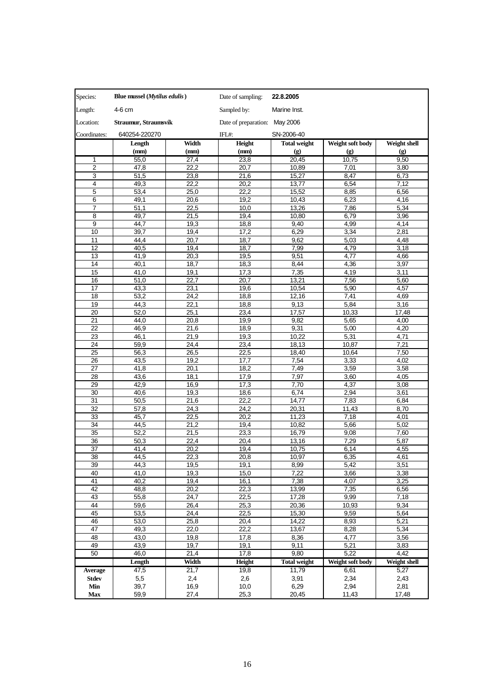| Species:                | Blue mussel ( <i>Mytilus edulis</i> ) |              | Date of sampling:             | 22.8.2005           |                             |              |
|-------------------------|---------------------------------------|--------------|-------------------------------|---------------------|-----------------------------|--------------|
| Length:                 | 4-6 cm                                |              | Sampled by:                   | Marine Inst.        |                             |              |
| Location:               | Straumur, Straumsvík                  |              | Date of preparation: May 2006 |                     |                             |              |
| Coordinates:            | 640254-220270                         |              | IFL#:                         | SN-2006-40          |                             |              |
|                         | Length                                | Width        | Height                        | <b>Total weight</b> | Weight soft body            | Weight shell |
|                         | (mm)                                  | (mm)         | (mm)                          | (g)                 | $\left( \mathbf{g} \right)$ | (g)          |
| 1                       | 55,0                                  | 27,4         | 23,8                          | 20,45               | 10,75                       | 9,50         |
| $\overline{2}$          | 47,8                                  | 22,2         | 20,7                          | 10,89               | 7,01                        | 3,80         |
| 3                       | 51,5                                  | 23,8         | 21,6                          | 15,27               | 8,47                        | 6,73         |
| $\overline{\mathbf{4}}$ | 49,3                                  | 22,2         | 20,2                          | 13,77               | 6,54                        | 7,12         |
| 5                       | 53,4                                  | 25,0         | 22,2                          | 15,52               | 8,85                        | 6,56         |
| 6                       | 49,1                                  | 20,6         | 19,2                          | 10,43               | 6,23                        | 4,16         |
| $\overline{7}$          | 51,1                                  | 22,5         | 10,0                          | 13,26               | 7,86                        | 5,34         |
| 8                       | 49,7                                  | 21,5         | 19,4                          | 10,80               | 6,79                        | 3,96         |
| 9                       | 44,7                                  | 19,3         | 18,8                          | 9,40                | 4,99                        | 4,14         |
| 10                      | 39,7                                  | 19,4         | 17,2                          | 6,29                | 3,34                        | 2,81         |
| 11                      | 44,4                                  | 20,7         | 18,7                          | 9,62                | 5,03                        | 4,48         |
| 12                      | 40,5                                  | 19,4         | 18,7                          | 7,99                | 4,79                        | 3,18         |
| 13                      | 41,9                                  | 20,3         | 19,5                          | 9,51                | 4,77                        | 4,66         |
| 14                      | 40,1                                  | 18,7         | 18,3                          | 8,44                | 4,36                        | 3,97         |
| 15                      | 41,0                                  | 19,1         | 17,3                          | 7,35                | 4,19                        | 3,11         |
| 16                      | 51,0                                  | 22,7         | 20,7                          | 13,21               | 7,56                        | 5,60         |
| 17                      | 43,3                                  | 23,1         | 19,6                          | 10,54               | 5,90                        | 4,57         |
| 18                      | 53,2                                  | 24,2         | 18,8                          | 12,16               | 7,41                        | 4,69         |
| 19                      | 44,3                                  | 22,1         | 18,8                          | 9,13                | 5,84                        | 3,16         |
| 20                      | 52,0                                  | 25,1         | 23,4                          | 17,57               | 10,33                       | 17.48        |
| 21                      | 44,0                                  | 20,8         | 19,9                          | 9,82                | 5,65                        | 4,00         |
| 22                      | 46,9                                  | 21,6         | 18,9                          | 9,31                | 5,00                        | 4,20         |
| 23                      | 46,1                                  | 21,9         | 19,3                          | 10,22               | 5,31                        | 4,71         |
| 24                      | 59,9                                  | 24,4         | 23,4                          | 18,13               | 10,87                       | 7,21         |
| 25                      | 56,3                                  | 26,5         | 22,5                          | 18,40               | 10,64                       | 7,50         |
| 26                      | 43,5                                  | 19,2         | 17,7                          | 7,54                | 3,33                        | 4,02         |
| 27                      | 41,8                                  | 20,1         | 18,2                          | 7,49                | 3,59                        | 3,58         |
| 28<br>29                | 43,6<br>42,9                          | 18,1<br>16,9 | 17,9<br>17,3                  | 7,97<br>7,70        | 3,60<br>4,37                | 4,05<br>3,08 |
| 30                      | 40,6                                  | 19,3         | 18,6                          | 6,74                | 2,94                        | 3,61         |
| 31                      | 50,5                                  | 21,6         | 22,2                          | 14,77               | 7,83                        | 6,84         |
| 32                      | 57,8                                  | 24,3         | 24,2                          | 20,31               | 11,43                       | 8,70         |
| 33                      | 45,7                                  | 22,5         | 20,2                          | 11,23               | 7,18                        | 4,01         |
| 34                      | 44,5                                  | 21,2         | 19,4                          | 10,82               | 5,66                        | 5,02         |
| 35                      | 52,2                                  | 21,5         | 23,3                          | 16,79               | 9,08                        | 7,60         |
| 36                      | 50,3                                  | 22,4         | 20,4                          | 13,16               | 7,29                        | 5,87         |
| 37                      | 41,4                                  | 20,2         | 19,4                          | 10,75               | 6, 14                       | 4,55         |
| 38                      | 44,5                                  | 22,3         | 20,8                          | 10,97               | 6,35                        | 4,61         |
| 39                      | 44,3                                  | 19,5         | 19,1                          | 8,99                | 5,42                        | 3,51         |
| 40                      | 41,0                                  | 19,3         | 15,0                          | 7,22                | 3,66                        | 3,38         |
| 41                      | 40,2                                  | 19,4         | 16,1                          | 7,38                | 4,07                        | 3,25         |
| 42                      | 48,8                                  | 20,2         | 22,3                          | 13,99               | 7,35                        | 6,56         |
| 43                      | 55,8                                  | 24,7         | 22,5                          | 17,28               | 9,99                        | 7,18         |
| 44                      | 59,6                                  | 26,4         | 25,3                          | 20,36               | 10,93                       | 9,34         |
| 45                      | 53,5                                  | 24,4         | 22,5                          | 15,30               | 9,59                        | 5,64         |
| 46                      | 53,0                                  | 25,8         | 20,4                          | 14,22               | 8,93                        | 5,21         |
| 47                      | 49,3                                  | 22,0         | 22,2                          | 13,67               | 8,28                        | 5,34         |
| 48                      | 43,0                                  | 19,8         | 17,8                          | 8,36                | 4,77                        | 3,56         |
| 49                      | 43,9                                  | 19,7         | 19,1                          | 9,11                | 5,21                        | 3,83         |
| 50                      | 46,0                                  | 21,4         | 17,8                          | 9,80                | 5,22                        | 4,42         |
|                         | Length                                | Width        | Height                        | <b>Total weight</b> | Weight soft body            | Weight shell |
| <b>Average</b>          | 47,5                                  | 21,7         | 19,8                          | 11,79               | 6,61                        | 5,27         |
| Stdev                   | 5,5                                   | 2,4          | 2,6                           | 3,91                | 2,34                        | 2,43         |
| Min                     | 39,7                                  | 16,9         | 10,0                          | 6,29                | 2,94                        | 2,81         |
| Max                     | 59,9                                  | 27,4         | 25,3                          | 20,45               | 11,43                       | 17,48        |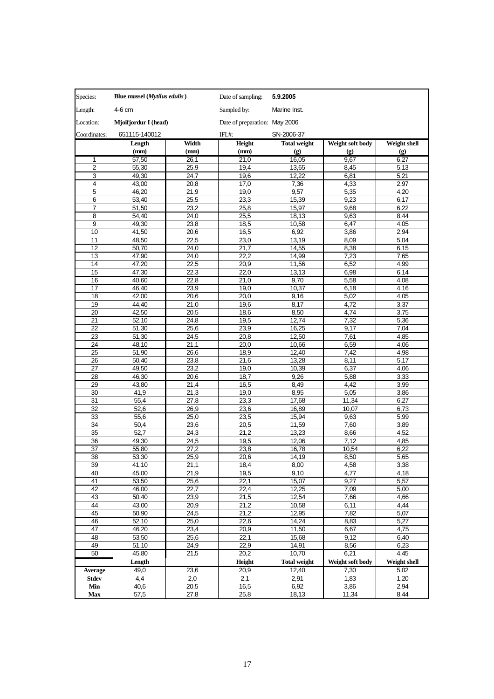| Species:                | Blue mussel ( <i>Mytilus edulis</i> ) |              | Date of sampling:             | 5.9.2005            |                             |                             |
|-------------------------|---------------------------------------|--------------|-------------------------------|---------------------|-----------------------------|-----------------------------|
| Length:                 | 4-6 cm                                |              | Sampled by:                   | Marine Inst.        |                             |                             |
| Location:               | Mjoifjordur I (head)                  |              | Date of preparation: May 2006 |                     |                             |                             |
| Coordinates:            | 651115-140012                         |              | IFL#:                         | SN-2006-37          |                             |                             |
|                         | Length                                | Width        | Height                        | <b>Total weight</b> | Weight soft body            | Weight shell                |
|                         | (mm)                                  | (mm)         | (mm)                          | (g)                 | $\left( \mathbf{g} \right)$ | $\left( \mathbf{g} \right)$ |
| 1                       | 57,50                                 | 26,1         | 21,0                          | 16,05               | 9,67                        | 6,27                        |
| $\overline{2}$          | 55,30                                 | 25,9         | 19,4                          | 13,65               | 8,45                        | 5,13                        |
| 3                       | 49,30                                 | 24,7         | 19,6                          | 12,22               | 6,81                        | 5,21                        |
| $\overline{\mathbf{4}}$ | 43,00                                 | 20,8         | 17,0                          | 7,36                | 4,33                        | 2,97                        |
| 5                       | 46,20                                 | 21,9         | 19,0                          | 9,57                | 5,35                        | 4,20                        |
| 6                       | 53,40                                 | 25,5         | 23,3                          | 15,39               | 9,23                        | 6,17                        |
| $\overline{7}$          | 51,50                                 | 23,2         | 25,8                          | 15,97               | 9,68                        | 6,22                        |
| 8                       | 54,40                                 | 24,0         | 25,5                          | 18,13               | 9,63                        | 8,44                        |
| 9<br>10                 | 49,30<br>41,50                        | 23,8<br>20,6 | 18,5<br>16,5                  | 10,58<br>6,92       | 6,47<br>3,86                | 4,05<br>2,94                |
| 11                      | 48,50                                 | 22,5         | 23,0                          | 13,19               | 8,09                        | 5,04                        |
| 12                      | 50,70                                 | 24,0         | 21,7                          | 14,55               | 8,38                        | 6,15                        |
| 13                      | 47,90                                 | 24,0         | 22,2                          | 14,99               | 7,23                        | 7,65                        |
| 14                      | 47,20                                 | 22,5         | 20,9                          | 11,56               | 6,52                        | 4,99                        |
| 15                      | 47,30                                 | 22,3         | 22,0                          | 13,13               | 6,98                        | 6,14                        |
| 16                      | 40,60                                 | 22,8         | 21,0                          | 9,70                | 5,58                        | 4,08                        |
| 17                      | 46,40                                 | 23,9         | 19,0                          | 10,37               | 6,18                        | 4,16                        |
| 18                      | 42,00                                 | 20,6         | 20,0                          | 9,16                | 5,02                        | 4,05                        |
| 19                      | $\overline{4}4,40$                    | 21,0         | 19,6                          | 8,17                | 4,72                        | 3,37                        |
| 20                      | 42,50                                 | 20,5         | 18,6                          | 8,50                | 4,74                        | 3,75                        |
| 21                      | 52,10                                 | 24,8         | 19,5                          | 12,74               | 7,32                        | 5,36                        |
| 22                      | 51,30                                 | 25,6         | 23,9                          | 16,25               | 9,17                        | 7,04                        |
| 23                      | 51,30                                 | 24,5         | 20,8                          | 12,50               | 7,61                        | 4,85                        |
| 24                      | 48,10                                 | 21,1         | 20,0                          | 10,66               | 6,59                        | 4,06                        |
| 25                      | 51,90                                 | 26,6         | 18,9                          | 12,40               | 7,42                        | 4,98                        |
| 26                      | 50,40                                 | 23,8         | 21,6                          | 13,28               | 8,11                        | 5,17                        |
| 27<br>28                | 49,50<br>46,30                        | 23,2<br>20,6 | 19,0<br>18,7                  | 10,39<br>9,26       | 6,37<br>5,88                | 4,06<br>3,33                |
| 29                      | 43,80                                 | 21,4         | 16,5                          | 8,49                | 4,42                        | 3,99                        |
| 30                      | 41,9                                  | 21,3         | 19,0                          | 8,95                | 5,05                        | 3,86                        |
| 31                      | 55,4                                  | 27,8         | 23,3                          | 17,68               | 11,34                       | 6,27                        |
| 32                      | 52,6                                  | 26,9         | 23,6                          | 16,89               | 10,07                       | 6,73                        |
| 33                      | 55,6                                  | 25,0         | 23,5                          | 15,94               | 9,63                        | 5,99                        |
| 34                      | 50,4                                  | 23,6         | 20,5                          | 11,59               | 7,60                        | 3,89                        |
| 35                      | 52,7                                  | 24,3         | 21,2                          | 13,23               | 8,66                        | 4,52                        |
| 36                      | 49,30                                 | 24,5         | 19,5                          | 12,06               | 7,12                        | 4,85                        |
| 37                      | 55,80                                 | 27,2         | 23,8                          | 16,78               | 10,54                       | 6,22                        |
| 38                      | 53,30                                 | 25,9         | 20,6                          | 14,19               | 8,50                        | 5,65                        |
| 39                      | 41,10                                 | 21,1         | 18,4                          | 8,00                | 4,58                        | 3,38                        |
| 40                      | 45,00                                 | 21,9         | 19,5                          | 9,10                | 4,77                        | 4,18                        |
| 41                      | 53,50                                 | 25,6         | 22,1                          | 15,07               | 9,27                        | 5,57                        |
| 42                      | 46,00                                 | 22,7         | 22,4                          | 12,25               | 7,09                        | 5,00                        |
| 43                      | 50,40                                 | 23,9         | 21,5                          | 12,54               | 7,66                        | 4,66                        |
| 44                      | 43,00                                 | 20,9         | 21,2                          | 10,58               | 6,11                        | 4,44                        |
| 45<br>46                | 50,90<br>52,10                        | 24,5<br>25,0 | 21,2<br>22,6                  | 12,95<br>14,24      | 7,82<br>8,83                | 5,07<br>5,27                |
| 47                      | 46,20                                 | 23,4         | 20,9                          | 11,50               | 6,67                        | 4,75                        |
| 48                      | 53,50                                 | 25,6         | 22,1                          | 15,68               | 9,12                        | 6,40                        |
| 49                      | 51,10                                 | 24,9         | 22,9                          | 14,91               | 8,56                        | 6,23                        |
| 50                      | 45,80                                 | 21,5         | 20,2                          | 10,70               | 6,21                        | 4,45                        |
|                         | Length                                |              | Height                        | <b>Total weight</b> | Weight soft body            | Weight shell                |
| <b>Average</b>          | 49,0                                  | 23,6         | 20,9                          | 12,40               | 7,30                        | 5,02                        |
| Stdev                   | 4,4                                   | 2,0          | 2,1                           | 2,91                | 1,83                        | 1,20                        |
| Min                     | 40,6                                  | 20,5         | 16,5                          | 6,92                | 3,86                        | 2,94                        |
| Max                     | 57,5                                  | 27,8         | 25,8                          | 18,13               | 11,34                       | 8,44                        |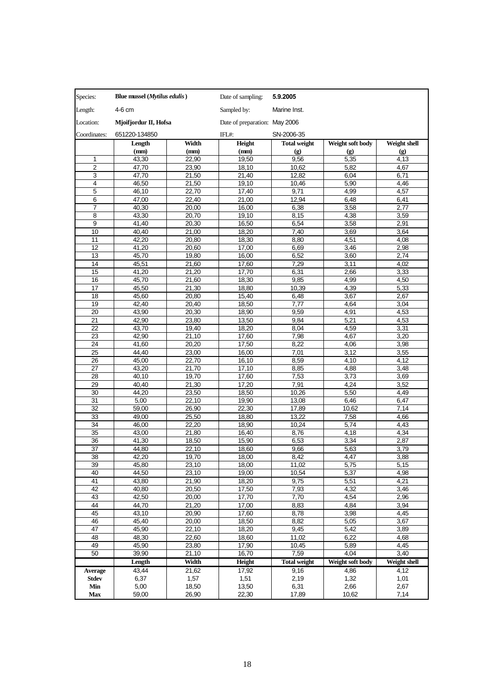| Species:       | Blue mussel ( <i>Mytilus edulis</i> ) |                    | Date of sampling:             | 5.9.2005                    |                             |                     |
|----------------|---------------------------------------|--------------------|-------------------------------|-----------------------------|-----------------------------|---------------------|
| Length:        | 4-6 cm                                |                    | Sampled by:                   | Marine Inst.                |                             |                     |
| Location:      | Mjoifjordur II, Hofsa                 |                    | Date of preparation: May 2006 |                             |                             |                     |
| Coordinates:   | 651220-134850                         |                    | IFL#:                         | SN-2006-35                  |                             |                     |
|                | Length                                | Width              | Height                        | <b>Total weight</b>         | Weight soft body            | <b>Weight shell</b> |
|                | (mm)                                  | (mm)               | (mm)                          | $\left( \mathbf{g} \right)$ | $\left( \mathbf{g} \right)$ | (g)                 |
| 1              | 43,30                                 | 22,90              | 19,50                         | 9,56                        | 5,35                        | 4,13                |
| $\overline{2}$ | 47,70                                 | 23,90              | 18,10                         | 10,62                       | 5,82                        | 4,67                |
| 3              | 47,70                                 | 21,50              | 21,40                         | 12.82                       | 6,04                        | 6,71                |
| 4<br>5         | 46,50<br>46,10                        | 21,50<br>22,70     | 19,10<br>17,40                | 10,46<br>9,71               | 5,90<br>4,99                | 4,46<br>4,57        |
| 6              | 47,00                                 | 22,40              | 21,00                         | 12,94                       | 6,48                        | 6,41                |
| $\overline{7}$ | 40.30                                 | 20,00              | 16,00                         | 6,38                        | 3,58                        | 2,77                |
| 8              | 43,30                                 | 20,70              | 19,10                         | 8,15                        | 4,38                        | 3,59                |
| 9              | 41,40                                 | 20,30              | 16,50                         | 6,54                        | 3,58                        | 2,91                |
| 10             | 40,40                                 | 21,00              | 18,20                         | 7,40                        | 3,69                        | 3,64                |
| 11             | 42,20                                 | 20,80              | 18,30                         | 8,80                        | 4,51                        | 4,08                |
| 12             | 41,20                                 | 20,60              | 17,00                         | 6,69                        | 3,46                        | 2,98                |
| 13             | 45,70                                 | 19,80              | 16,00                         | 6,52                        | 3,60                        | 2,74                |
| 14             | 45,51                                 | $\overline{2}1,60$ | 17,60                         | 7,29                        | 3,11                        | 4,02                |
| 15             | 41,20                                 | 21,20              | 17,70                         | 6,31                        | 2,66                        | 3,33                |
| 16             | 45,70                                 | 21.60              | 18,30                         | 9,85                        | 4,99                        | 4,50                |
| 17<br>18       | 45,50<br>45,60                        | 21,30<br>20,80     | 18,80<br>15,40                | 10,39<br>6,48               | 4,39<br>3,67                | 5,33<br>2,67        |
| 19             | 42.40                                 | 20,40              | 18,50                         | 7,77                        | 4,64                        | 3,04                |
| 20             | 43,90                                 | 20,30              | 18,90                         | 9,59                        | 4,91                        | 4,53                |
| 21             | 42,90                                 | 23,80              | 13,50                         | 9,84                        | 5,21                        | 4,53                |
| 22             | 43,70                                 | 19,40              | 18,20                         | 8,04                        | 4,59                        | 3,31                |
| 23             | 42,90                                 | 21,10              | 17,60                         | 7,98                        | 4,67                        | 3,20                |
| 24             | 41,60                                 | 20,20              | 17,50                         | 8,22                        | 4,06                        | 3,98                |
| 25             | 44,40                                 | 23,00              | 16,00                         | 7,01                        | 3,12                        | 3,55                |
| 26             | 45,00                                 | 22,70              | 16,10                         | 8,59                        | 4,10                        | 4,12                |
| 27             | 43,20                                 | 21,70              | 17,10                         | 8,85                        | 4,88                        | 3,48                |
| 28             | 40,10                                 | 19,70              | 17,60                         | 7,53                        | 3,73                        | 3,69                |
| 29             | 40.40                                 | 21,30              | 17,20                         | 7,91                        | 4,24                        | 3,52                |
| 30<br>31       | 44,20<br>5,00                         | 23,50<br>22,10     | 18,50<br>19,90                | 10,26<br>13,08              | 5,50<br>6,46                | 4,49<br>6,47        |
| 32             | 59,00                                 | 26,90              | 22.30                         | 17,89                       | 10,62                       | 7,14                |
| 33             | 49,00                                 | 25,50              | 18,80                         | 13,22                       | 7,58                        | 4,66                |
| 34             | 46,00                                 | 22,20              | 18,90                         | 10,24                       | 5,74                        | 4,43                |
| 35             | 43,00                                 | 21,80              | 16,40                         | 8,76                        | 4,18                        | 4,34                |
| 36             | 41,30                                 | 18,50              | 15,90                         | 6,53                        | 3,34                        | 2,87                |
| 37             | 44,80                                 | 22,10              | 18,60                         | 9,66                        | 5,63                        | 3,79                |
| 38             | 42,20                                 | 19,70              | 18,00                         | 8,42                        | 4,47                        | 3,88                |
| 39             | 45,80                                 | 23,10              | 18,00                         | 11,02                       | 5,75                        | 5,15                |
| 40             | 44,50                                 | 23,10              | 19,00                         | 10,54                       | 5,37                        | 4,98                |
| 41             | 43,80                                 | 21,90              | 18,20                         | 9,75                        | 5,51                        | 4,21                |
| 42             | 40,80                                 | 20,50              | 17,50                         | 7,93                        | 4,32                        | 3,46                |
| 43<br>44       | 42,50<br>44,70                        | 20,00<br>21,20     | 17,70<br>17,00                | 7,70<br>8,83                | 4,54<br>4,84                | 2,96<br>3,94        |
| 45             | 43,10                                 | 20,90              | 17,60                         | 8,78                        | 3,98                        | 4,45                |
| 46             | 45,40                                 | 20,00              | 18,50                         | 8,82                        | 5,05                        | 3,67                |
| 47             | 45,90                                 | 22,10              | 18,20                         | 9,45                        | 5,42                        | 3,89                |
| 48             | 48,30                                 | 22,60              | 18,60                         | 11.02                       | 6,22                        | 4,68                |
| 49             | 45,90                                 | 23,80              | 17,90                         | 10,45                       | 5,89                        | 4,45                |
| 50             | 39.90                                 | 21,10              | 16,70                         | 7,59                        | 4,04                        | 3,40                |
|                | Length                                | Width              | <b>Height</b>                 | <b>Total weight</b>         | Weight soft body            | <b>Weight shell</b> |
| <b>Average</b> | 43,44                                 | 21,62              | 17,92                         | 9,16                        | 4,86                        | 4,12                |
| <b>Stdev</b>   | 6,37                                  | 1,57               | 1,51                          | 2,19                        | 1,32                        | 1,01                |
| Min            | 5,00                                  | 18,50              | 13,50                         | 6,31                        | 2,66                        | 2,67                |
| <b>Max</b>     | 59,00                                 | 26,90              | 22,30                         | 17,89                       | 10,62                       | 7,14                |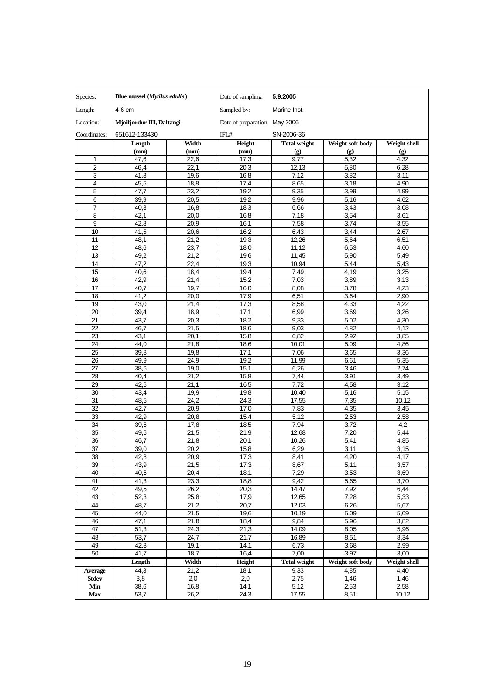| Species:       | Blue mussel (Mytilus edulis) |              | Date of sampling:             | 5.9.2005                    |                             |                     |
|----------------|------------------------------|--------------|-------------------------------|-----------------------------|-----------------------------|---------------------|
| Length:        | 4-6 cm                       |              | Sampled by:                   | Marine Inst.                |                             |                     |
| Location:      | Mjoifjordur III, Daltangi    |              | Date of preparation: May 2006 |                             |                             |                     |
| Coordinates:   | 651612-133430                |              | $IFL#$ :                      | SN-2006-36                  |                             |                     |
|                | Length                       | Width        | Height                        | <b>Total weight</b>         | Weight soft body            | Weight shell        |
|                | (mm)                         | (mm)         | (mm)                          | $\left( \mathbf{g} \right)$ | $\left( \mathbf{g} \right)$ | (g)                 |
| 1              | 47,6                         | 22,6         | 17,3                          | 9,77                        | 5,32                        | 4,32                |
| $\overline{2}$ | 46,4                         | 22,1         | 20,3                          | 12,13                       | 5,80                        | 6,28                |
| 3              | 41,3                         | 19,6         | 16,8                          | 7,12                        | 3,82                        | 3,11                |
| 4<br>5         | 45,5                         | 18,8<br>23,2 | 17,4<br>19,2                  | 8,65<br>9,35                | 3,18<br>3,99                | 4,90<br>4,99        |
| 6              | 47,7<br>39,9                 | 20,5         | 19,2                          | 9,96                        | 5,16                        | 4,62                |
| 7              | 40,3                         | 16,8         | 18,3                          | 6,66                        | 3,43                        | 3,08                |
| 8              | 42,1                         | 20,0         | 16,8                          | 7,18                        | 3,54                        | 3,61                |
| 9              | 42,8                         | 20,9         | 16,1                          | 7,58                        | 3,74                        | 3,55                |
| 10             | 41,5                         | 20,6         | 16,2                          | 6,43                        | 3,44                        | 2,67                |
| 11             | 48,1                         | 21,2         | 19,3                          | 12,26                       | 5,64                        | 6,51                |
| 12             | 48,6                         | 23,7         | 18,0                          | 11,12                       | 6,53                        | 4,60                |
| 13             | 49,2                         | 21,2         | 19,6                          | 11,45                       | 5,90                        | 5,49                |
| 14             | 47,2                         | 22,4         | 19,3                          | 10,94                       | 5,44                        | 5,43                |
| 15             | 40,6                         | 18,4         | 19,4                          | 7,49                        | 4,19                        | 3,25                |
| 16             | 42,9                         | 21,4         | 15,2                          | 7,03                        | 3,89                        | 3,13                |
| 17<br>18       | 40,7                         | 19,7         | 16,0                          | 8,08                        | 3,78<br>3,64                | 4,23                |
| 19             | 41,2<br>43,0                 | 20,0<br>21,4 | 17,9<br>17,3                  | 6,51<br>8,58                | 4,33                        | 2,90<br>4,22        |
| 20             | 39,4                         | 18,9         | 17,1                          | 6,99                        | 3,69                        | 3,26                |
| 21             | 43,7                         | 20,3         | 18,2                          | 9,33                        | 5,02                        | 4,30                |
| 22             | 46,7                         | 21,5         | 18,6                          | 9,03                        | 4,82                        | 4,12                |
| 23             | 43,1                         | 20,1         | 15,8                          | 6,82                        | 2,92                        | 3,85                |
| 24             | 44,0                         | 21,8         | 18,6                          | 10,01                       | 5,09                        | 4,86                |
| 25             | 39,8                         | 19,8         | 17,1                          | 7,06                        | 3,65                        | 3,36                |
| 26             | 49,9                         | 24,9         | 19,2                          | 11,99                       | 6,61                        | 5,35                |
| 27             | 38,6                         | 19,0         | 15,1                          | 6,26                        | 3,46                        | 2,74                |
| 28             | 40,4                         | 21,2         | 15,8                          | 7,44                        | 3,91                        | 3,49                |
| 29             | 42,6                         | 21,1         | 16,5                          | 7,72                        | 4,58                        | 3,12                |
| 30             | 43,4                         | 19,9         | 19,8                          | 10,40                       | 5,16                        | 5,15                |
| 31<br>32       | 48,5<br>42,7                 | 24,2<br>20,9 | 24,3<br>17,0                  | 17,55<br>7,83               | 7,35<br>4,35                | 10,12<br>3,45       |
| 33             | 42,9                         | 20,8         | 15,4                          | 5,12                        | 2,53                        | 2,58                |
| 34             | 39,6                         | 17,8         | 18,5                          | 7,94                        | 3,72                        | 4,2                 |
| 35             | 49,6                         | 21,5         | 21,9                          | 12,68                       | 7,20                        | 5,44                |
| 36             | 46,7                         | 21,8         | 20,1                          | 10,26                       | 5,41                        | 4,85                |
| 37             | 39,0                         | 20,2         | 15,8                          | 6,29                        | 3,11                        | 3,15                |
| 38             | 42,8                         | 20,9         | 17,3                          | 8,41                        | 4,20                        | 4,17                |
| 39             | 43,9                         | 21,5         | 17,3                          | 8,67                        | 5,11                        | 3,57                |
| 40             | 40,6                         | 20,4         | 18,1                          | 7,29                        | 3,53                        | 3,69                |
| 41             | 41,3                         | 23,3         | 18,8                          | 9,42                        | 5,65                        | 3,70                |
| 42             | 49,5                         | 26,2         | 20,3                          | 14,47                       | 7,92                        | 6,44                |
| 43<br>44       | 52,3<br>48,7                 | 25,8<br>21,2 | 17,9<br>20,7                  | 12,65                       | 7,28                        | 5,33                |
| 45             | 44,0                         | 21,5         | 19,6                          | 12,03<br>10,19              | 6,26<br>5,09                | 5,67<br>5,09        |
| 46             | 47,1                         | 21,8         | 18,4                          | 9,84                        | 5,96                        | 3,82                |
| 47             | 51,3                         | 24,3         | 21,3                          | 14,09                       | 8,05                        | 5,96                |
| 48             | 53,7                         | 24,7         | 21,7                          | 16,89                       | 8,51                        | 8,34                |
| 49             | 42,3                         | 19,1         | 14,1                          | 6,73                        | 3,68                        | 2,99                |
| 50             | 41,7                         | 18,7         | 16,4                          | 7,00                        | 3,97                        | 3,00                |
|                | Length                       | Width        | Height                        | <b>Total weight</b>         | Weight soft body            | <b>Weight shell</b> |
| <b>Average</b> | 44,3                         | 21,2         | 18,1                          | 9,33                        | 4,85                        | 4,40                |
| <b>Stdev</b>   | 3,8                          | 2,0          | 2,0                           | 2,75                        | 1,46                        | 1,46                |
| Min            | 38,6                         | 16,8         | 14,1                          | 5,12                        | 2,53                        | 2,58                |
| <b>Max</b>     | 53,7                         | 26,2         | 24,3                          | 17,55                       | 8,51                        | 10,12               |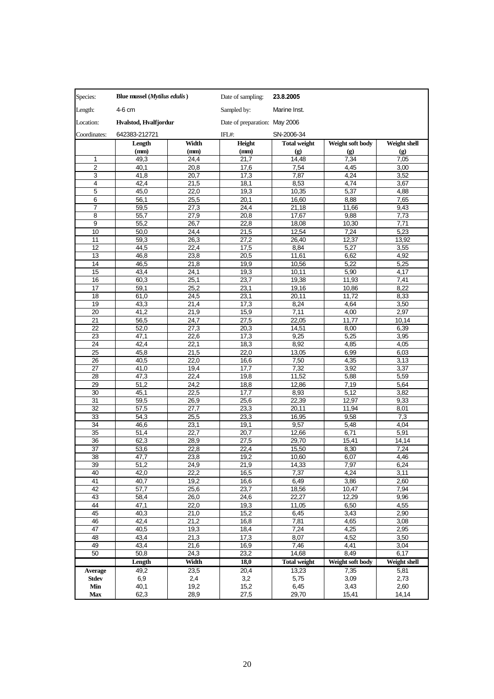| Species:       | Blue mussel ( <i>Mytilus edulis</i> ) |              | Date of sampling:             | 23.8.2005                   |                             |                             |
|----------------|---------------------------------------|--------------|-------------------------------|-----------------------------|-----------------------------|-----------------------------|
| Length:        | 4-6 cm                                |              | Sampled by:                   | Marine Inst.                |                             |                             |
| Location:      | Hvalstod, Hvalfjordur                 |              | Date of preparation: May 2006 |                             |                             |                             |
| Coordinates:   | 642383-212721                         |              | IFL#:                         | SN-2006-34                  |                             |                             |
|                | Length                                | Width        | Height                        | <b>Total weight</b>         | Weight soft body            | Weight shell                |
|                | (mm)                                  | (mm)         | (mm)                          | $\left( \mathbf{g} \right)$ | $\left( \mathbf{g} \right)$ | $\left( \mathbf{g} \right)$ |
| 1              | 49,3                                  | 24,4         | 21,7                          | 14,48                       | 7,34                        | 7,05                        |
| 2              | 40,1                                  | 20,8         | 17,6                          | 7,54                        | 4,45                        | 3,00                        |
| 3              | 41,8                                  | 20,7         | 17,3                          | 7,87                        | 4,24                        | 3,52                        |
| 4              | 42,4                                  | 21,5         | 18,1                          | 8,53                        | 4,74                        | 3,67                        |
| 5              | 45,0                                  | 22,0         | 19,3                          | 10,35                       | 5,37                        | 4,88                        |
| 6              | 56,1                                  | 25,5         | 20,1                          | 16,60                       | 8,88                        | 7,65                        |
| 7              | 59,5                                  | 27,3         | 24,4                          | 21,18                       | 11,66                       | 9,43                        |
| 8              | 55,7                                  | 27,9         | 20,8                          | 17,67                       | 9,88                        | 7,73                        |
| 9              | 55,2                                  | 26,7         | 22,8                          | 18,08                       | 10,30                       | 7,71                        |
| 10             | 50,0                                  | 24,4         | 21,5                          | 12,54                       | 7,24                        | 5,23                        |
| 11             | 59,3                                  | 26,3         | 27,2                          | 26,40                       | 12,37                       | 13,92                       |
| 12             | 44,5                                  | 22,4         | 17,5                          | 8,84                        | 5,27                        | 3,55                        |
| 13             | 46,8                                  | 23,8         | 20,5                          | 11.61                       | 6,62                        | 4,92                        |
| 14             | 46,5                                  | 21,8         | 19,9                          | 10,56<br>10,11              | 5,22<br>5,90                | 5,25<br>4,17                |
| 15<br>16       | 43,4<br>60,3                          | 24,1<br>25,1 | 19,3<br>23,7                  | 19,38                       | 11,93                       | 7,41                        |
| 17             | 59,1                                  | 25,2         | 23,1                          | 19,16                       | 10,86                       | 8,22                        |
| 18             | 61,0                                  | 24,5         | 23,1                          | 20,11                       | 11.72                       | 8,33                        |
| 19             | 43,3                                  | 21,4         | 17,3                          | 8,24                        | 4,64                        | 3,50                        |
| 20             | 41,2                                  | 21,9         | 15,9                          | 7,11                        | 4,00                        | 2,97                        |
| 21             | 56,5                                  | 24,7         | 27,5                          | 22,05                       | 11,77                       | 10,14                       |
| 22             | 52,0                                  | 27,3         | 20,3                          | 14,51                       | 8,00                        | 6,39                        |
| 23             | 47,1                                  | 22,6         | 17,3                          | 9,25                        | 5,25                        | 3,95                        |
| 24             | 42,4                                  | 22,1         | 18,3                          | 8,92                        | 4,85                        | 4,05                        |
| 25             | 45,8                                  | 21,5         | 22,0                          | 13,05                       | 6,99                        | 6,03                        |
| 26             | 40,5                                  | 22,0         | 16,6                          | 7,50                        | 4,35                        | 3,13                        |
| 27             | $\overline{41,0}$                     | 19,4         | 17,7                          | 7,32                        | 3,92                        | 3,37                        |
| 28             | 47,3                                  | 22,4         | 19,8                          | 11,52                       | 5,88                        | 5,59                        |
| 29             | 51,2                                  | 24.2         | 18,8                          | 12,86                       | 7,19                        | 5,64                        |
| 30             | 45,1                                  | 22,5         | 17,7                          | 8,93                        | 5,12                        | 3,82                        |
| 31             | 59,5                                  | 26,9         | 25,6                          | 22,39                       | 12,97                       | 9,33                        |
| 32             | 57,5                                  | 27,7         | 23,3                          | 20,11                       | 11,94                       | 8,01                        |
| 33             | 54,3                                  | 25,5         | 23,3                          | 16,95                       | 9,58                        | 7,3                         |
| 34             | 46,6                                  | 23,1         | 19,1                          | 9,57                        | 5,48                        | 4,04                        |
| 35             | 51,4                                  | 22,7         | 20,7                          | 12,66                       | 6,71                        | 5,91                        |
| 36             | 62,3                                  | 28,9         | 27,5                          | 29,70                       | 15,41                       | 14,14                       |
| 37             | 53,6                                  | 22,8         | 22,4                          | 15,50                       | 8,30                        | 7,24                        |
| 38             | 47,7                                  | 23,8         | 19,2                          | 10,60                       | 6,07                        | 4,46                        |
| 39<br>40       | 51,2<br>42,0                          | 24,9<br>22,2 | 21,9<br>16,5                  | 14,33<br>7,37               | 7,97<br>4,24                | 6,24<br>3,11                |
| 41             | 40,7                                  | 19,2         | 16,6                          | 6,49                        | 3,86                        | 2,60                        |
| 42             | 57,7                                  | 25,6         | 23,7                          | 18,56                       | 10,47                       | 7,94                        |
| 43             | 58,4                                  | 26,0         | 24,6                          | 22,27                       | 12,29                       | 9,96                        |
| 44             | 47,1                                  | 22,0         | 19,3                          | 11,05                       | 6,50                        | 4,55                        |
| 45             | 40,3                                  | 21,0         | 15,2                          | 6,45                        | 3,43                        | 2,90                        |
| 46             | 42,4                                  | 21,2         | 16,8                          | 7,81                        | 4,65                        | 3,08                        |
| 47             | 40,5                                  | 19,3         | 18,4                          | 7,24                        | 4,25                        | 2,95                        |
| 48             | 43,4                                  | 21,3         | 17,3                          | 8,07                        | 4,52                        | 3,50                        |
| 49             | 43,4                                  | 21,6         | 16,9                          | 7,46                        | 4,41                        | 3,04                        |
| 50             | 50,8                                  | 24,3         | 23,2                          | 14.68                       | 8,49                        | 6,17                        |
|                | Length                                | Width        | 18,0                          | <b>Total weight</b>         | Weight soft body            | <b>Weight shell</b>         |
| <b>Average</b> | 49,2                                  | 23,5         | 20,4                          | 13,23                       | 7,35                        | 5,81                        |
| <b>Stdev</b>   | 6,9                                   | 2,4          | 3,2                           | 5,75                        | 3,09                        | 2,73                        |
| Min            | 40,1                                  | 19,2         | 15,2                          | 6,45                        | 3,43                        | 2,60                        |
| <b>Max</b>     | 62,3                                  | 28,9         | 27,5                          | 29,70                       | 15,41                       | 14,14                       |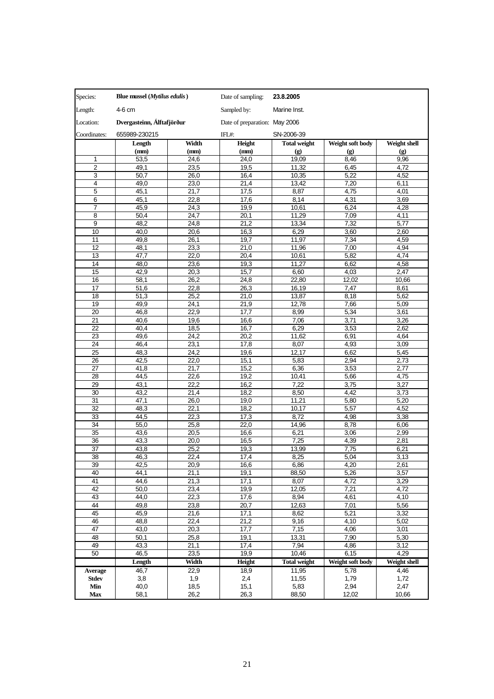| Sampled by:<br>4-6 cm<br>Marine Inst.<br>Dvergasteinn, Álftafjörður<br>Date of preparation: May 2006<br>655989-230215<br>Coordinates:<br>IFL#:<br>SN-2006-39<br>Height<br>Weight soft body<br>Width<br><b>Total weight</b><br>Weight shell<br>Length<br>(mm)<br>(mm)<br>(mm)<br>$\left( \mathbf{g} \right)$<br>$\left( \mathbf{g} \right)$<br>(g)<br>$\mathbf{1}$<br>53,5<br>24,6<br>24,0<br>19,09<br>8,46<br>9,96<br>$\overline{2}$<br>49,1<br>19,5<br>11,32<br>6,45<br>4,72<br>23,5<br>3<br>50,7<br>26,0<br>5,22<br>4,52<br>16,4<br>10,35<br>4<br>49,0<br>23,0<br>21,4<br>13,42<br>7,20<br>6,11<br>5<br>45,1<br>21,7<br>17,5<br>8,87<br>4,75<br>4,01<br>6<br>45,1<br>22,8<br>17,6<br>8,14<br>4,31<br>3,69<br>7<br>24,3<br>4,28<br>45,9<br>19,9<br>10,61<br>6,24<br>$\overline{24,7}$<br>11,29<br>7,09<br>4,11<br>8<br>50,4<br>20,1<br>9<br>5,77<br>48,2<br>24,8<br>21,2<br>13,34<br>7,32<br>10<br>40,0<br>20,6<br>16,3<br>6,29<br>3,60<br>2,60<br>11,97<br>4,59<br>11<br>49,8<br>26,1<br>19,7<br>7,34<br>4,94<br>12<br>48,1<br>23,3<br>21,0<br>11,96<br>7,00<br>13<br>4,74<br>47,7<br>22,0<br>20,4<br>10,61<br>5,82<br>4,58<br>14<br>48,0<br>23,6<br>19,3<br>11,27<br>6,62<br>2,47<br>15<br>42,9<br>20,3<br>15,7<br>6,60<br>4,03<br>58,1<br>26,2<br>16<br>24,8<br>22,80<br>12,02<br>10,66<br>17<br>51,6<br>22,8<br>26,3<br>16,19<br>7,47<br>8,61<br>25,2<br>5,62<br>18<br>51,3<br>21,0<br>13,87<br>8,18<br>49.9<br>24,1<br>12,78<br>5,09<br>19<br>21,9<br>7,66<br>46,8<br>22,9<br>8,99<br>20<br>17,7<br>5,34<br>3,61<br>7,06<br>21<br>19,6<br>16,6<br>3,71<br>3,26<br>40,6<br>22<br>40,4<br>18,5<br>16,7<br>6,29<br>3,53<br>2,62<br>24,2<br>11,62<br>4,64<br>23<br>49,6<br>20,2<br>6,91<br>24<br>46,4<br>23,1<br>17,8<br>8,07<br>4,93<br>3,09<br>25<br>48,3<br>24,2<br>19,6<br>12,17<br>6,62<br>5,45<br>26<br>5,83<br>2,94<br>2,73<br>42,5<br>22,0<br>15,1<br>27<br>21,7<br>15,2<br>6,36<br>3,53<br>2,77<br>41,8<br>44,5<br>22,6<br>19,2<br>10,41<br>5,66<br>4,75<br>28<br>29<br>22,2<br>16,2<br>7,22<br>3,75<br>3,27<br>43,1<br>30<br>43,2<br>21,4<br>18,2<br>8,50<br>4,42<br>3,73<br>31<br>47,1<br>26,0<br>19,0<br>11,21<br>5,80<br>5,20<br>32<br>48,3<br>22,1<br>5,57<br>4,52<br>18,2<br>10,17<br>33<br>8,72<br>44,5<br>22,3<br>17,3<br>4,98<br>3,38<br>34<br>55,0<br>25,8<br>22,0<br>14,96<br>8,78<br>6,06<br>43,6<br>20,5<br>6,21<br>35<br>16,6<br>3,06<br>2,99<br>7,25<br>2,81<br>36<br>43,3<br>20,0<br>16,5<br>4,39<br>37<br>25,2<br>13,99<br>7,75<br>6,21<br>43,8<br>19,3<br>38<br>46,3<br>22,4<br>17,4<br>8,25<br>5,04<br>3,13<br>39<br>42,5<br>6,86<br>4,20<br>20,9<br>16,6<br>2,61<br>40<br>44,1<br>21,1<br>19,1<br>88,50<br>5,26<br>3,57<br>41<br>44,6<br>21,3<br>17,1<br>8,07<br>4,72<br>3,29<br>42<br>19,9<br>7,21<br>4,72<br>50,0<br>23,4<br>12,05<br>43<br>44,0<br>22,3<br>17,6<br>8,94<br>4,61<br>4,10<br>44<br>23,8<br>20,7<br>12,63<br>7,01<br>5,56<br>49,8<br>45<br>45,9<br>21,6<br>17,1<br>8,62<br>5,21<br>3,32<br>46<br>48,8<br>22,4<br>21,2<br>9,16<br>4,10<br>5,02<br>47<br>7,15<br>43,0<br>20,3<br>17,7<br>4,06<br>3,01<br>48<br>50,1<br>25,8<br>19,1<br>13,31<br>7,90<br>5,30<br>49<br>43,3<br>17,4<br>7,94<br>4,86<br>3,12<br>21,1<br>6,15<br>4,29<br>50<br>46,5<br>23,5<br>19,9<br>10,46<br>Width<br><b>Total weight</b><br>Weight soft body<br><b>Weight shell</b><br>Length<br>Height<br>46,7<br>22,9<br>11,95<br>5,78<br>18,9<br>4,46<br><b>Average</b><br>3,8<br>1,9<br>11,55<br>1,79<br>1,72<br><b>Stdev</b><br>2,4<br>2,94<br>40,0<br>18,5<br>15,1<br>5,83<br>2,47<br>Min<br>58,1<br>26,2<br>26,3<br>12,02<br>10,66<br>Max<br>88,50 | Species:  | Blue mussel ( <i>Mytilus edulis</i> ) | Date of sampling: | 23.8.2005 |  |  |  |  |
|-------------------------------------------------------------------------------------------------------------------------------------------------------------------------------------------------------------------------------------------------------------------------------------------------------------------------------------------------------------------------------------------------------------------------------------------------------------------------------------------------------------------------------------------------------------------------------------------------------------------------------------------------------------------------------------------------------------------------------------------------------------------------------------------------------------------------------------------------------------------------------------------------------------------------------------------------------------------------------------------------------------------------------------------------------------------------------------------------------------------------------------------------------------------------------------------------------------------------------------------------------------------------------------------------------------------------------------------------------------------------------------------------------------------------------------------------------------------------------------------------------------------------------------------------------------------------------------------------------------------------------------------------------------------------------------------------------------------------------------------------------------------------------------------------------------------------------------------------------------------------------------------------------------------------------------------------------------------------------------------------------------------------------------------------------------------------------------------------------------------------------------------------------------------------------------------------------------------------------------------------------------------------------------------------------------------------------------------------------------------------------------------------------------------------------------------------------------------------------------------------------------------------------------------------------------------------------------------------------------------------------------------------------------------------------------------------------------------------------------------------------------------------------------------------------------------------------------------------------------------------------------------------------------------------------------------------------------------------------------------------------------------------------------------------------------------------------------------------------------------------------------------------------------------------------------------------------------------------------------------------------------------------------------------------------------------------------------------------------------------------------------------------------------------------------------------------------------------------------------------------------------------------------------------------------------------------|-----------|---------------------------------------|-------------------|-----------|--|--|--|--|
|                                                                                                                                                                                                                                                                                                                                                                                                                                                                                                                                                                                                                                                                                                                                                                                                                                                                                                                                                                                                                                                                                                                                                                                                                                                                                                                                                                                                                                                                                                                                                                                                                                                                                                                                                                                                                                                                                                                                                                                                                                                                                                                                                                                                                                                                                                                                                                                                                                                                                                                                                                                                                                                                                                                                                                                                                                                                                                                                                                                                                                                                                                                                                                                                                                                                                                                                                                                                                                                                                                                                                                         | Length:   |                                       |                   |           |  |  |  |  |
|                                                                                                                                                                                                                                                                                                                                                                                                                                                                                                                                                                                                                                                                                                                                                                                                                                                                                                                                                                                                                                                                                                                                                                                                                                                                                                                                                                                                                                                                                                                                                                                                                                                                                                                                                                                                                                                                                                                                                                                                                                                                                                                                                                                                                                                                                                                                                                                                                                                                                                                                                                                                                                                                                                                                                                                                                                                                                                                                                                                                                                                                                                                                                                                                                                                                                                                                                                                                                                                                                                                                                                         | Location: |                                       |                   |           |  |  |  |  |
|                                                                                                                                                                                                                                                                                                                                                                                                                                                                                                                                                                                                                                                                                                                                                                                                                                                                                                                                                                                                                                                                                                                                                                                                                                                                                                                                                                                                                                                                                                                                                                                                                                                                                                                                                                                                                                                                                                                                                                                                                                                                                                                                                                                                                                                                                                                                                                                                                                                                                                                                                                                                                                                                                                                                                                                                                                                                                                                                                                                                                                                                                                                                                                                                                                                                                                                                                                                                                                                                                                                                                                         |           |                                       |                   |           |  |  |  |  |
|                                                                                                                                                                                                                                                                                                                                                                                                                                                                                                                                                                                                                                                                                                                                                                                                                                                                                                                                                                                                                                                                                                                                                                                                                                                                                                                                                                                                                                                                                                                                                                                                                                                                                                                                                                                                                                                                                                                                                                                                                                                                                                                                                                                                                                                                                                                                                                                                                                                                                                                                                                                                                                                                                                                                                                                                                                                                                                                                                                                                                                                                                                                                                                                                                                                                                                                                                                                                                                                                                                                                                                         |           |                                       |                   |           |  |  |  |  |
|                                                                                                                                                                                                                                                                                                                                                                                                                                                                                                                                                                                                                                                                                                                                                                                                                                                                                                                                                                                                                                                                                                                                                                                                                                                                                                                                                                                                                                                                                                                                                                                                                                                                                                                                                                                                                                                                                                                                                                                                                                                                                                                                                                                                                                                                                                                                                                                                                                                                                                                                                                                                                                                                                                                                                                                                                                                                                                                                                                                                                                                                                                                                                                                                                                                                                                                                                                                                                                                                                                                                                                         |           |                                       |                   |           |  |  |  |  |
|                                                                                                                                                                                                                                                                                                                                                                                                                                                                                                                                                                                                                                                                                                                                                                                                                                                                                                                                                                                                                                                                                                                                                                                                                                                                                                                                                                                                                                                                                                                                                                                                                                                                                                                                                                                                                                                                                                                                                                                                                                                                                                                                                                                                                                                                                                                                                                                                                                                                                                                                                                                                                                                                                                                                                                                                                                                                                                                                                                                                                                                                                                                                                                                                                                                                                                                                                                                                                                                                                                                                                                         |           |                                       |                   |           |  |  |  |  |
|                                                                                                                                                                                                                                                                                                                                                                                                                                                                                                                                                                                                                                                                                                                                                                                                                                                                                                                                                                                                                                                                                                                                                                                                                                                                                                                                                                                                                                                                                                                                                                                                                                                                                                                                                                                                                                                                                                                                                                                                                                                                                                                                                                                                                                                                                                                                                                                                                                                                                                                                                                                                                                                                                                                                                                                                                                                                                                                                                                                                                                                                                                                                                                                                                                                                                                                                                                                                                                                                                                                                                                         |           |                                       |                   |           |  |  |  |  |
|                                                                                                                                                                                                                                                                                                                                                                                                                                                                                                                                                                                                                                                                                                                                                                                                                                                                                                                                                                                                                                                                                                                                                                                                                                                                                                                                                                                                                                                                                                                                                                                                                                                                                                                                                                                                                                                                                                                                                                                                                                                                                                                                                                                                                                                                                                                                                                                                                                                                                                                                                                                                                                                                                                                                                                                                                                                                                                                                                                                                                                                                                                                                                                                                                                                                                                                                                                                                                                                                                                                                                                         |           |                                       |                   |           |  |  |  |  |
|                                                                                                                                                                                                                                                                                                                                                                                                                                                                                                                                                                                                                                                                                                                                                                                                                                                                                                                                                                                                                                                                                                                                                                                                                                                                                                                                                                                                                                                                                                                                                                                                                                                                                                                                                                                                                                                                                                                                                                                                                                                                                                                                                                                                                                                                                                                                                                                                                                                                                                                                                                                                                                                                                                                                                                                                                                                                                                                                                                                                                                                                                                                                                                                                                                                                                                                                                                                                                                                                                                                                                                         |           |                                       |                   |           |  |  |  |  |
|                                                                                                                                                                                                                                                                                                                                                                                                                                                                                                                                                                                                                                                                                                                                                                                                                                                                                                                                                                                                                                                                                                                                                                                                                                                                                                                                                                                                                                                                                                                                                                                                                                                                                                                                                                                                                                                                                                                                                                                                                                                                                                                                                                                                                                                                                                                                                                                                                                                                                                                                                                                                                                                                                                                                                                                                                                                                                                                                                                                                                                                                                                                                                                                                                                                                                                                                                                                                                                                                                                                                                                         |           |                                       |                   |           |  |  |  |  |
|                                                                                                                                                                                                                                                                                                                                                                                                                                                                                                                                                                                                                                                                                                                                                                                                                                                                                                                                                                                                                                                                                                                                                                                                                                                                                                                                                                                                                                                                                                                                                                                                                                                                                                                                                                                                                                                                                                                                                                                                                                                                                                                                                                                                                                                                                                                                                                                                                                                                                                                                                                                                                                                                                                                                                                                                                                                                                                                                                                                                                                                                                                                                                                                                                                                                                                                                                                                                                                                                                                                                                                         |           |                                       |                   |           |  |  |  |  |
|                                                                                                                                                                                                                                                                                                                                                                                                                                                                                                                                                                                                                                                                                                                                                                                                                                                                                                                                                                                                                                                                                                                                                                                                                                                                                                                                                                                                                                                                                                                                                                                                                                                                                                                                                                                                                                                                                                                                                                                                                                                                                                                                                                                                                                                                                                                                                                                                                                                                                                                                                                                                                                                                                                                                                                                                                                                                                                                                                                                                                                                                                                                                                                                                                                                                                                                                                                                                                                                                                                                                                                         |           |                                       |                   |           |  |  |  |  |
|                                                                                                                                                                                                                                                                                                                                                                                                                                                                                                                                                                                                                                                                                                                                                                                                                                                                                                                                                                                                                                                                                                                                                                                                                                                                                                                                                                                                                                                                                                                                                                                                                                                                                                                                                                                                                                                                                                                                                                                                                                                                                                                                                                                                                                                                                                                                                                                                                                                                                                                                                                                                                                                                                                                                                                                                                                                                                                                                                                                                                                                                                                                                                                                                                                                                                                                                                                                                                                                                                                                                                                         |           |                                       |                   |           |  |  |  |  |
|                                                                                                                                                                                                                                                                                                                                                                                                                                                                                                                                                                                                                                                                                                                                                                                                                                                                                                                                                                                                                                                                                                                                                                                                                                                                                                                                                                                                                                                                                                                                                                                                                                                                                                                                                                                                                                                                                                                                                                                                                                                                                                                                                                                                                                                                                                                                                                                                                                                                                                                                                                                                                                                                                                                                                                                                                                                                                                                                                                                                                                                                                                                                                                                                                                                                                                                                                                                                                                                                                                                                                                         |           |                                       |                   |           |  |  |  |  |
|                                                                                                                                                                                                                                                                                                                                                                                                                                                                                                                                                                                                                                                                                                                                                                                                                                                                                                                                                                                                                                                                                                                                                                                                                                                                                                                                                                                                                                                                                                                                                                                                                                                                                                                                                                                                                                                                                                                                                                                                                                                                                                                                                                                                                                                                                                                                                                                                                                                                                                                                                                                                                                                                                                                                                                                                                                                                                                                                                                                                                                                                                                                                                                                                                                                                                                                                                                                                                                                                                                                                                                         |           |                                       |                   |           |  |  |  |  |
|                                                                                                                                                                                                                                                                                                                                                                                                                                                                                                                                                                                                                                                                                                                                                                                                                                                                                                                                                                                                                                                                                                                                                                                                                                                                                                                                                                                                                                                                                                                                                                                                                                                                                                                                                                                                                                                                                                                                                                                                                                                                                                                                                                                                                                                                                                                                                                                                                                                                                                                                                                                                                                                                                                                                                                                                                                                                                                                                                                                                                                                                                                                                                                                                                                                                                                                                                                                                                                                                                                                                                                         |           |                                       |                   |           |  |  |  |  |
|                                                                                                                                                                                                                                                                                                                                                                                                                                                                                                                                                                                                                                                                                                                                                                                                                                                                                                                                                                                                                                                                                                                                                                                                                                                                                                                                                                                                                                                                                                                                                                                                                                                                                                                                                                                                                                                                                                                                                                                                                                                                                                                                                                                                                                                                                                                                                                                                                                                                                                                                                                                                                                                                                                                                                                                                                                                                                                                                                                                                                                                                                                                                                                                                                                                                                                                                                                                                                                                                                                                                                                         |           |                                       |                   |           |  |  |  |  |
|                                                                                                                                                                                                                                                                                                                                                                                                                                                                                                                                                                                                                                                                                                                                                                                                                                                                                                                                                                                                                                                                                                                                                                                                                                                                                                                                                                                                                                                                                                                                                                                                                                                                                                                                                                                                                                                                                                                                                                                                                                                                                                                                                                                                                                                                                                                                                                                                                                                                                                                                                                                                                                                                                                                                                                                                                                                                                                                                                                                                                                                                                                                                                                                                                                                                                                                                                                                                                                                                                                                                                                         |           |                                       |                   |           |  |  |  |  |
|                                                                                                                                                                                                                                                                                                                                                                                                                                                                                                                                                                                                                                                                                                                                                                                                                                                                                                                                                                                                                                                                                                                                                                                                                                                                                                                                                                                                                                                                                                                                                                                                                                                                                                                                                                                                                                                                                                                                                                                                                                                                                                                                                                                                                                                                                                                                                                                                                                                                                                                                                                                                                                                                                                                                                                                                                                                                                                                                                                                                                                                                                                                                                                                                                                                                                                                                                                                                                                                                                                                                                                         |           |                                       |                   |           |  |  |  |  |
|                                                                                                                                                                                                                                                                                                                                                                                                                                                                                                                                                                                                                                                                                                                                                                                                                                                                                                                                                                                                                                                                                                                                                                                                                                                                                                                                                                                                                                                                                                                                                                                                                                                                                                                                                                                                                                                                                                                                                                                                                                                                                                                                                                                                                                                                                                                                                                                                                                                                                                                                                                                                                                                                                                                                                                                                                                                                                                                                                                                                                                                                                                                                                                                                                                                                                                                                                                                                                                                                                                                                                                         |           |                                       |                   |           |  |  |  |  |
|                                                                                                                                                                                                                                                                                                                                                                                                                                                                                                                                                                                                                                                                                                                                                                                                                                                                                                                                                                                                                                                                                                                                                                                                                                                                                                                                                                                                                                                                                                                                                                                                                                                                                                                                                                                                                                                                                                                                                                                                                                                                                                                                                                                                                                                                                                                                                                                                                                                                                                                                                                                                                                                                                                                                                                                                                                                                                                                                                                                                                                                                                                                                                                                                                                                                                                                                                                                                                                                                                                                                                                         |           |                                       |                   |           |  |  |  |  |
|                                                                                                                                                                                                                                                                                                                                                                                                                                                                                                                                                                                                                                                                                                                                                                                                                                                                                                                                                                                                                                                                                                                                                                                                                                                                                                                                                                                                                                                                                                                                                                                                                                                                                                                                                                                                                                                                                                                                                                                                                                                                                                                                                                                                                                                                                                                                                                                                                                                                                                                                                                                                                                                                                                                                                                                                                                                                                                                                                                                                                                                                                                                                                                                                                                                                                                                                                                                                                                                                                                                                                                         |           |                                       |                   |           |  |  |  |  |
|                                                                                                                                                                                                                                                                                                                                                                                                                                                                                                                                                                                                                                                                                                                                                                                                                                                                                                                                                                                                                                                                                                                                                                                                                                                                                                                                                                                                                                                                                                                                                                                                                                                                                                                                                                                                                                                                                                                                                                                                                                                                                                                                                                                                                                                                                                                                                                                                                                                                                                                                                                                                                                                                                                                                                                                                                                                                                                                                                                                                                                                                                                                                                                                                                                                                                                                                                                                                                                                                                                                                                                         |           |                                       |                   |           |  |  |  |  |
|                                                                                                                                                                                                                                                                                                                                                                                                                                                                                                                                                                                                                                                                                                                                                                                                                                                                                                                                                                                                                                                                                                                                                                                                                                                                                                                                                                                                                                                                                                                                                                                                                                                                                                                                                                                                                                                                                                                                                                                                                                                                                                                                                                                                                                                                                                                                                                                                                                                                                                                                                                                                                                                                                                                                                                                                                                                                                                                                                                                                                                                                                                                                                                                                                                                                                                                                                                                                                                                                                                                                                                         |           |                                       |                   |           |  |  |  |  |
|                                                                                                                                                                                                                                                                                                                                                                                                                                                                                                                                                                                                                                                                                                                                                                                                                                                                                                                                                                                                                                                                                                                                                                                                                                                                                                                                                                                                                                                                                                                                                                                                                                                                                                                                                                                                                                                                                                                                                                                                                                                                                                                                                                                                                                                                                                                                                                                                                                                                                                                                                                                                                                                                                                                                                                                                                                                                                                                                                                                                                                                                                                                                                                                                                                                                                                                                                                                                                                                                                                                                                                         |           |                                       |                   |           |  |  |  |  |
|                                                                                                                                                                                                                                                                                                                                                                                                                                                                                                                                                                                                                                                                                                                                                                                                                                                                                                                                                                                                                                                                                                                                                                                                                                                                                                                                                                                                                                                                                                                                                                                                                                                                                                                                                                                                                                                                                                                                                                                                                                                                                                                                                                                                                                                                                                                                                                                                                                                                                                                                                                                                                                                                                                                                                                                                                                                                                                                                                                                                                                                                                                                                                                                                                                                                                                                                                                                                                                                                                                                                                                         |           |                                       |                   |           |  |  |  |  |
|                                                                                                                                                                                                                                                                                                                                                                                                                                                                                                                                                                                                                                                                                                                                                                                                                                                                                                                                                                                                                                                                                                                                                                                                                                                                                                                                                                                                                                                                                                                                                                                                                                                                                                                                                                                                                                                                                                                                                                                                                                                                                                                                                                                                                                                                                                                                                                                                                                                                                                                                                                                                                                                                                                                                                                                                                                                                                                                                                                                                                                                                                                                                                                                                                                                                                                                                                                                                                                                                                                                                                                         |           |                                       |                   |           |  |  |  |  |
|                                                                                                                                                                                                                                                                                                                                                                                                                                                                                                                                                                                                                                                                                                                                                                                                                                                                                                                                                                                                                                                                                                                                                                                                                                                                                                                                                                                                                                                                                                                                                                                                                                                                                                                                                                                                                                                                                                                                                                                                                                                                                                                                                                                                                                                                                                                                                                                                                                                                                                                                                                                                                                                                                                                                                                                                                                                                                                                                                                                                                                                                                                                                                                                                                                                                                                                                                                                                                                                                                                                                                                         |           |                                       |                   |           |  |  |  |  |
|                                                                                                                                                                                                                                                                                                                                                                                                                                                                                                                                                                                                                                                                                                                                                                                                                                                                                                                                                                                                                                                                                                                                                                                                                                                                                                                                                                                                                                                                                                                                                                                                                                                                                                                                                                                                                                                                                                                                                                                                                                                                                                                                                                                                                                                                                                                                                                                                                                                                                                                                                                                                                                                                                                                                                                                                                                                                                                                                                                                                                                                                                                                                                                                                                                                                                                                                                                                                                                                                                                                                                                         |           |                                       |                   |           |  |  |  |  |
|                                                                                                                                                                                                                                                                                                                                                                                                                                                                                                                                                                                                                                                                                                                                                                                                                                                                                                                                                                                                                                                                                                                                                                                                                                                                                                                                                                                                                                                                                                                                                                                                                                                                                                                                                                                                                                                                                                                                                                                                                                                                                                                                                                                                                                                                                                                                                                                                                                                                                                                                                                                                                                                                                                                                                                                                                                                                                                                                                                                                                                                                                                                                                                                                                                                                                                                                                                                                                                                                                                                                                                         |           |                                       |                   |           |  |  |  |  |
|                                                                                                                                                                                                                                                                                                                                                                                                                                                                                                                                                                                                                                                                                                                                                                                                                                                                                                                                                                                                                                                                                                                                                                                                                                                                                                                                                                                                                                                                                                                                                                                                                                                                                                                                                                                                                                                                                                                                                                                                                                                                                                                                                                                                                                                                                                                                                                                                                                                                                                                                                                                                                                                                                                                                                                                                                                                                                                                                                                                                                                                                                                                                                                                                                                                                                                                                                                                                                                                                                                                                                                         |           |                                       |                   |           |  |  |  |  |
|                                                                                                                                                                                                                                                                                                                                                                                                                                                                                                                                                                                                                                                                                                                                                                                                                                                                                                                                                                                                                                                                                                                                                                                                                                                                                                                                                                                                                                                                                                                                                                                                                                                                                                                                                                                                                                                                                                                                                                                                                                                                                                                                                                                                                                                                                                                                                                                                                                                                                                                                                                                                                                                                                                                                                                                                                                                                                                                                                                                                                                                                                                                                                                                                                                                                                                                                                                                                                                                                                                                                                                         |           |                                       |                   |           |  |  |  |  |
|                                                                                                                                                                                                                                                                                                                                                                                                                                                                                                                                                                                                                                                                                                                                                                                                                                                                                                                                                                                                                                                                                                                                                                                                                                                                                                                                                                                                                                                                                                                                                                                                                                                                                                                                                                                                                                                                                                                                                                                                                                                                                                                                                                                                                                                                                                                                                                                                                                                                                                                                                                                                                                                                                                                                                                                                                                                                                                                                                                                                                                                                                                                                                                                                                                                                                                                                                                                                                                                                                                                                                                         |           |                                       |                   |           |  |  |  |  |
|                                                                                                                                                                                                                                                                                                                                                                                                                                                                                                                                                                                                                                                                                                                                                                                                                                                                                                                                                                                                                                                                                                                                                                                                                                                                                                                                                                                                                                                                                                                                                                                                                                                                                                                                                                                                                                                                                                                                                                                                                                                                                                                                                                                                                                                                                                                                                                                                                                                                                                                                                                                                                                                                                                                                                                                                                                                                                                                                                                                                                                                                                                                                                                                                                                                                                                                                                                                                                                                                                                                                                                         |           |                                       |                   |           |  |  |  |  |
|                                                                                                                                                                                                                                                                                                                                                                                                                                                                                                                                                                                                                                                                                                                                                                                                                                                                                                                                                                                                                                                                                                                                                                                                                                                                                                                                                                                                                                                                                                                                                                                                                                                                                                                                                                                                                                                                                                                                                                                                                                                                                                                                                                                                                                                                                                                                                                                                                                                                                                                                                                                                                                                                                                                                                                                                                                                                                                                                                                                                                                                                                                                                                                                                                                                                                                                                                                                                                                                                                                                                                                         |           |                                       |                   |           |  |  |  |  |
|                                                                                                                                                                                                                                                                                                                                                                                                                                                                                                                                                                                                                                                                                                                                                                                                                                                                                                                                                                                                                                                                                                                                                                                                                                                                                                                                                                                                                                                                                                                                                                                                                                                                                                                                                                                                                                                                                                                                                                                                                                                                                                                                                                                                                                                                                                                                                                                                                                                                                                                                                                                                                                                                                                                                                                                                                                                                                                                                                                                                                                                                                                                                                                                                                                                                                                                                                                                                                                                                                                                                                                         |           |                                       |                   |           |  |  |  |  |
|                                                                                                                                                                                                                                                                                                                                                                                                                                                                                                                                                                                                                                                                                                                                                                                                                                                                                                                                                                                                                                                                                                                                                                                                                                                                                                                                                                                                                                                                                                                                                                                                                                                                                                                                                                                                                                                                                                                                                                                                                                                                                                                                                                                                                                                                                                                                                                                                                                                                                                                                                                                                                                                                                                                                                                                                                                                                                                                                                                                                                                                                                                                                                                                                                                                                                                                                                                                                                                                                                                                                                                         |           |                                       |                   |           |  |  |  |  |
|                                                                                                                                                                                                                                                                                                                                                                                                                                                                                                                                                                                                                                                                                                                                                                                                                                                                                                                                                                                                                                                                                                                                                                                                                                                                                                                                                                                                                                                                                                                                                                                                                                                                                                                                                                                                                                                                                                                                                                                                                                                                                                                                                                                                                                                                                                                                                                                                                                                                                                                                                                                                                                                                                                                                                                                                                                                                                                                                                                                                                                                                                                                                                                                                                                                                                                                                                                                                                                                                                                                                                                         |           |                                       |                   |           |  |  |  |  |
|                                                                                                                                                                                                                                                                                                                                                                                                                                                                                                                                                                                                                                                                                                                                                                                                                                                                                                                                                                                                                                                                                                                                                                                                                                                                                                                                                                                                                                                                                                                                                                                                                                                                                                                                                                                                                                                                                                                                                                                                                                                                                                                                                                                                                                                                                                                                                                                                                                                                                                                                                                                                                                                                                                                                                                                                                                                                                                                                                                                                                                                                                                                                                                                                                                                                                                                                                                                                                                                                                                                                                                         |           |                                       |                   |           |  |  |  |  |
|                                                                                                                                                                                                                                                                                                                                                                                                                                                                                                                                                                                                                                                                                                                                                                                                                                                                                                                                                                                                                                                                                                                                                                                                                                                                                                                                                                                                                                                                                                                                                                                                                                                                                                                                                                                                                                                                                                                                                                                                                                                                                                                                                                                                                                                                                                                                                                                                                                                                                                                                                                                                                                                                                                                                                                                                                                                                                                                                                                                                                                                                                                                                                                                                                                                                                                                                                                                                                                                                                                                                                                         |           |                                       |                   |           |  |  |  |  |
|                                                                                                                                                                                                                                                                                                                                                                                                                                                                                                                                                                                                                                                                                                                                                                                                                                                                                                                                                                                                                                                                                                                                                                                                                                                                                                                                                                                                                                                                                                                                                                                                                                                                                                                                                                                                                                                                                                                                                                                                                                                                                                                                                                                                                                                                                                                                                                                                                                                                                                                                                                                                                                                                                                                                                                                                                                                                                                                                                                                                                                                                                                                                                                                                                                                                                                                                                                                                                                                                                                                                                                         |           |                                       |                   |           |  |  |  |  |
|                                                                                                                                                                                                                                                                                                                                                                                                                                                                                                                                                                                                                                                                                                                                                                                                                                                                                                                                                                                                                                                                                                                                                                                                                                                                                                                                                                                                                                                                                                                                                                                                                                                                                                                                                                                                                                                                                                                                                                                                                                                                                                                                                                                                                                                                                                                                                                                                                                                                                                                                                                                                                                                                                                                                                                                                                                                                                                                                                                                                                                                                                                                                                                                                                                                                                                                                                                                                                                                                                                                                                                         |           |                                       |                   |           |  |  |  |  |
|                                                                                                                                                                                                                                                                                                                                                                                                                                                                                                                                                                                                                                                                                                                                                                                                                                                                                                                                                                                                                                                                                                                                                                                                                                                                                                                                                                                                                                                                                                                                                                                                                                                                                                                                                                                                                                                                                                                                                                                                                                                                                                                                                                                                                                                                                                                                                                                                                                                                                                                                                                                                                                                                                                                                                                                                                                                                                                                                                                                                                                                                                                                                                                                                                                                                                                                                                                                                                                                                                                                                                                         |           |                                       |                   |           |  |  |  |  |
|                                                                                                                                                                                                                                                                                                                                                                                                                                                                                                                                                                                                                                                                                                                                                                                                                                                                                                                                                                                                                                                                                                                                                                                                                                                                                                                                                                                                                                                                                                                                                                                                                                                                                                                                                                                                                                                                                                                                                                                                                                                                                                                                                                                                                                                                                                                                                                                                                                                                                                                                                                                                                                                                                                                                                                                                                                                                                                                                                                                                                                                                                                                                                                                                                                                                                                                                                                                                                                                                                                                                                                         |           |                                       |                   |           |  |  |  |  |
|                                                                                                                                                                                                                                                                                                                                                                                                                                                                                                                                                                                                                                                                                                                                                                                                                                                                                                                                                                                                                                                                                                                                                                                                                                                                                                                                                                                                                                                                                                                                                                                                                                                                                                                                                                                                                                                                                                                                                                                                                                                                                                                                                                                                                                                                                                                                                                                                                                                                                                                                                                                                                                                                                                                                                                                                                                                                                                                                                                                                                                                                                                                                                                                                                                                                                                                                                                                                                                                                                                                                                                         |           |                                       |                   |           |  |  |  |  |
|                                                                                                                                                                                                                                                                                                                                                                                                                                                                                                                                                                                                                                                                                                                                                                                                                                                                                                                                                                                                                                                                                                                                                                                                                                                                                                                                                                                                                                                                                                                                                                                                                                                                                                                                                                                                                                                                                                                                                                                                                                                                                                                                                                                                                                                                                                                                                                                                                                                                                                                                                                                                                                                                                                                                                                                                                                                                                                                                                                                                                                                                                                                                                                                                                                                                                                                                                                                                                                                                                                                                                                         |           |                                       |                   |           |  |  |  |  |
|                                                                                                                                                                                                                                                                                                                                                                                                                                                                                                                                                                                                                                                                                                                                                                                                                                                                                                                                                                                                                                                                                                                                                                                                                                                                                                                                                                                                                                                                                                                                                                                                                                                                                                                                                                                                                                                                                                                                                                                                                                                                                                                                                                                                                                                                                                                                                                                                                                                                                                                                                                                                                                                                                                                                                                                                                                                                                                                                                                                                                                                                                                                                                                                                                                                                                                                                                                                                                                                                                                                                                                         |           |                                       |                   |           |  |  |  |  |
|                                                                                                                                                                                                                                                                                                                                                                                                                                                                                                                                                                                                                                                                                                                                                                                                                                                                                                                                                                                                                                                                                                                                                                                                                                                                                                                                                                                                                                                                                                                                                                                                                                                                                                                                                                                                                                                                                                                                                                                                                                                                                                                                                                                                                                                                                                                                                                                                                                                                                                                                                                                                                                                                                                                                                                                                                                                                                                                                                                                                                                                                                                                                                                                                                                                                                                                                                                                                                                                                                                                                                                         |           |                                       |                   |           |  |  |  |  |
|                                                                                                                                                                                                                                                                                                                                                                                                                                                                                                                                                                                                                                                                                                                                                                                                                                                                                                                                                                                                                                                                                                                                                                                                                                                                                                                                                                                                                                                                                                                                                                                                                                                                                                                                                                                                                                                                                                                                                                                                                                                                                                                                                                                                                                                                                                                                                                                                                                                                                                                                                                                                                                                                                                                                                                                                                                                                                                                                                                                                                                                                                                                                                                                                                                                                                                                                                                                                                                                                                                                                                                         |           |                                       |                   |           |  |  |  |  |
|                                                                                                                                                                                                                                                                                                                                                                                                                                                                                                                                                                                                                                                                                                                                                                                                                                                                                                                                                                                                                                                                                                                                                                                                                                                                                                                                                                                                                                                                                                                                                                                                                                                                                                                                                                                                                                                                                                                                                                                                                                                                                                                                                                                                                                                                                                                                                                                                                                                                                                                                                                                                                                                                                                                                                                                                                                                                                                                                                                                                                                                                                                                                                                                                                                                                                                                                                                                                                                                                                                                                                                         |           |                                       |                   |           |  |  |  |  |
|                                                                                                                                                                                                                                                                                                                                                                                                                                                                                                                                                                                                                                                                                                                                                                                                                                                                                                                                                                                                                                                                                                                                                                                                                                                                                                                                                                                                                                                                                                                                                                                                                                                                                                                                                                                                                                                                                                                                                                                                                                                                                                                                                                                                                                                                                                                                                                                                                                                                                                                                                                                                                                                                                                                                                                                                                                                                                                                                                                                                                                                                                                                                                                                                                                                                                                                                                                                                                                                                                                                                                                         |           |                                       |                   |           |  |  |  |  |
|                                                                                                                                                                                                                                                                                                                                                                                                                                                                                                                                                                                                                                                                                                                                                                                                                                                                                                                                                                                                                                                                                                                                                                                                                                                                                                                                                                                                                                                                                                                                                                                                                                                                                                                                                                                                                                                                                                                                                                                                                                                                                                                                                                                                                                                                                                                                                                                                                                                                                                                                                                                                                                                                                                                                                                                                                                                                                                                                                                                                                                                                                                                                                                                                                                                                                                                                                                                                                                                                                                                                                                         |           |                                       |                   |           |  |  |  |  |
|                                                                                                                                                                                                                                                                                                                                                                                                                                                                                                                                                                                                                                                                                                                                                                                                                                                                                                                                                                                                                                                                                                                                                                                                                                                                                                                                                                                                                                                                                                                                                                                                                                                                                                                                                                                                                                                                                                                                                                                                                                                                                                                                                                                                                                                                                                                                                                                                                                                                                                                                                                                                                                                                                                                                                                                                                                                                                                                                                                                                                                                                                                                                                                                                                                                                                                                                                                                                                                                                                                                                                                         |           |                                       |                   |           |  |  |  |  |
|                                                                                                                                                                                                                                                                                                                                                                                                                                                                                                                                                                                                                                                                                                                                                                                                                                                                                                                                                                                                                                                                                                                                                                                                                                                                                                                                                                                                                                                                                                                                                                                                                                                                                                                                                                                                                                                                                                                                                                                                                                                                                                                                                                                                                                                                                                                                                                                                                                                                                                                                                                                                                                                                                                                                                                                                                                                                                                                                                                                                                                                                                                                                                                                                                                                                                                                                                                                                                                                                                                                                                                         |           |                                       |                   |           |  |  |  |  |
|                                                                                                                                                                                                                                                                                                                                                                                                                                                                                                                                                                                                                                                                                                                                                                                                                                                                                                                                                                                                                                                                                                                                                                                                                                                                                                                                                                                                                                                                                                                                                                                                                                                                                                                                                                                                                                                                                                                                                                                                                                                                                                                                                                                                                                                                                                                                                                                                                                                                                                                                                                                                                                                                                                                                                                                                                                                                                                                                                                                                                                                                                                                                                                                                                                                                                                                                                                                                                                                                                                                                                                         |           |                                       |                   |           |  |  |  |  |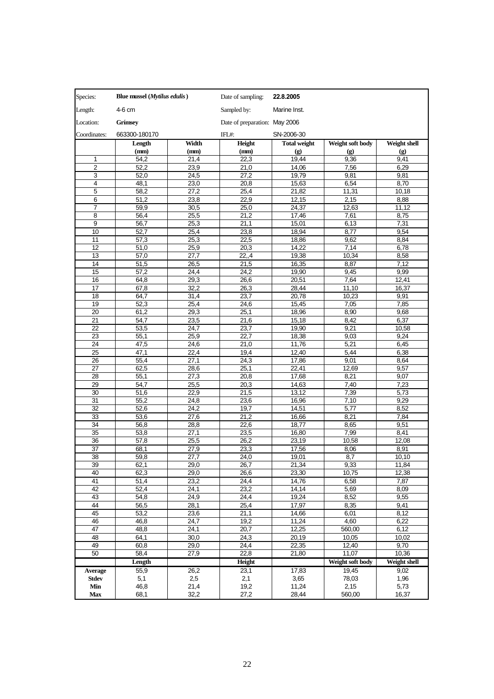| Species:            | Blue mussel ( <i>Mytilus edulis</i> ) |              | Date of sampling:             | 22.8.2005           |                             |                             |
|---------------------|---------------------------------------|--------------|-------------------------------|---------------------|-----------------------------|-----------------------------|
| Length:             | 4-6 cm                                |              | Sampled by:                   | Marine Inst.        |                             |                             |
| Location:           | Grímsey                               |              | Date of preparation: May 2006 |                     |                             |                             |
| Coordinates:        | 663300-180170                         |              | IFL#:                         | SN-2006-30          |                             |                             |
|                     | Length                                | Width        | Height                        | <b>Total weight</b> | Weight soft body            | Weight shell                |
|                     | (mm)                                  | (mm)         | (mm)                          | (g)                 | $\left( \mathbf{g} \right)$ | $\left( \mathbf{g} \right)$ |
| 1                   | 54,2                                  | 21,4         | 22,3                          | 19,44               | 9,36                        | 9,41                        |
| $\overline{2}$      | 52,2                                  | 23,9         | 21,0                          | 14,06               | 7,56                        | 6,29                        |
| 3                   | 52,0                                  | 24,5         | 27,2                          | 19,79               | 9,81                        | 9,81                        |
| 4                   | 48,1                                  | 23,0         | 20,8                          | 15,63               | 6,54                        | 8,70                        |
| 5                   | 58,2                                  | 27,2         | 25,4                          | 21.82               | 11.31                       | 10,18                       |
| 6                   | 51,2                                  | 23,8         | 22,9                          | 12,15               | 2,15                        | 8,88                        |
| $\overline{7}$<br>8 | 59,9<br>56,4                          | 30,5<br>25,5 | 25,0<br>21,2                  | 24,37<br>17,46      | 12,63<br>7,61               | 11,12<br>8,75               |
| 9                   | 56,7                                  | 25,3         | 21,1                          | 15,01               | 6,13                        | 7,31                        |
| 10                  | 52,7                                  | 25,4         | 23,8                          | 18,94               | 8,77                        | 9,54                        |
| 11                  | 57,3                                  | 25,3         | 22,5                          | 18,86               | 9,62                        | 8,84                        |
| 12                  | 51,0                                  | 25,9         | 20,3                          | 14,22               | 7,14                        | 6,78                        |
| 13                  | 57,0                                  | 27,7         | 22, 4                         | 19.38               | 10,34                       | 8,58                        |
| 14                  | 51,5                                  | 26,5         | 21,5                          | 16,35               | 8,87                        | 7,12                        |
| 15                  | 57,2                                  | 24,4         | 24,2                          | 19,90               | 9,45                        | 9,99                        |
| 16                  | 64,8                                  | 29,3         | 26,6                          | 20.51               | 7,64                        | 12.41                       |
| 17                  | 67,8                                  | 32,2         | 26,3                          | 28,44               | 11,10                       | 16,37                       |
| 18                  | 64,7                                  | 31,4         | 23,7                          | 20.78               | 10,23                       | 9,91                        |
| 19                  | 52,3                                  | 25,4         | 24,6                          | 15,45               | 7,05                        | 7,85                        |
| 20                  | 61,2                                  | 29,3         | 25,1                          | 18,96               | 8,90                        | 9,68                        |
| 21                  | 54,7                                  | 23,5         | 21,6                          | 15,18               | 8,42                        | 6,37                        |
| 22                  | 53,5                                  | 24,7         | 23,7                          | 19,90               | 9,21                        | 10,58                       |
| 23                  | 55,1                                  | 25,9         | 22,7                          | 18,38               | 9,03                        | 9,24                        |
| 24                  | 47,5                                  | 24,6         | 21,0                          | 11,76               | 5,21                        | 6,45                        |
| 25<br>26            | 47,1<br>55,4                          | 22,4<br>27,1 | 19,4<br>24,3                  | 12,40<br>17,86      | 5,44<br>9,01                | 6,38<br>8,64                |
| 27                  | 62,5                                  | 28,6         | 25,1                          | 22,41               | 12,69                       | 9,57                        |
| 28                  | 55,1                                  | 27,3         | 20,8                          | 17,68               | 8,21                        | 9,07                        |
| 29                  | 54,7                                  | 25,5         | 20,3                          | 14,63               | 7,40                        | 7,23                        |
| 30                  | 51,6                                  | 22,9         | 21,5                          | 13,12               | 7,39                        | 5,73                        |
| 31                  | 55,2                                  | 24,8         | 23,6                          | 16,96               | 7,10                        | 9,29                        |
| 32                  | 52,6                                  | 24,2         | 19,7                          | 14,51               | 5,77                        | 8,52                        |
| 33                  | 53,6                                  | 27,6         | 21,2                          | 16,66               | 8,21                        | 7,84                        |
| 34                  | 56,8                                  | 28,8         | 22,6                          | 18.77               | 8,65                        | 9,51                        |
| 35                  | 53,8                                  | 27,1         | 23,5                          | 16,80               | 7,99                        | 8,41                        |
| 36                  | 57,8                                  | 25,5         | 26,2                          | 23,19               | 10,58                       | 12,08                       |
| 37                  | 68,1                                  | 27,9         | 23,3                          | 17,56               | 8,06                        | 8,91                        |
| 38                  | 59,8                                  | 27,7         | 24,0                          | 19,01               | 8,7                         | 10,10                       |
| 39                  | 62,1                                  | 29,0         | 26,7                          | 21,34               | 9,33                        | 11,84                       |
| 40                  | 62,3                                  | 29,0         | 26,6                          | 23,30               | 10,75                       | 12,38                       |
| 41<br>42            | 51,4<br>52,4                          | 23,2<br>24,1 | 24,4<br>23,2                  | 14,76<br>14,14      | 6,58<br>5,69                | 7,87<br>8,09                |
| 43                  | 54,8                                  | 24,9         | 24,4                          | 19,24               | 8,52                        | 9,55                        |
| 44                  | 56,5                                  | 28,1         | 25,4                          | 17,97               | 8,35                        | 9,41                        |
| 45                  | 53,2                                  | 23,6         | 21,1                          | 14,66               | 6,01                        | 8,12                        |
| 46                  | 46,8                                  | 24,7         | 19,2                          | 11,24               | 4,60                        | 6,22                        |
| 47                  | 48,8                                  | 24,1         | 20,7                          | 12.25               | 560,00                      | 6,12                        |
| 48                  | 64,1                                  | 30,0         | 24,3                          | 20,19               | 10,05                       | 10,02                       |
| 49                  | 60,8                                  | 29,0         | 24,4                          | 22,35               | 12,40                       | 9,70                        |
| 50                  | 58,4                                  | 27,9         | 22,8                          | 21,80               | 11,07                       | 10,36                       |
|                     | Length                                |              | Height                        |                     | Weight soft body            | Weight shell                |
| <b>Average</b>      | 55,9                                  | 26,2         | 23,1                          | 17,83               | 19,45                       | 9,02                        |
| <b>Stdev</b>        | 5,1                                   | 2,5          | 2,1                           | 3,65                | 78,03                       | 1,96                        |
| Min                 | 46,8                                  | 21,4         | 19,2                          | 11,24               | 2,15                        | 5,73                        |
| Max                 | 68,1                                  | 32,2         | 27,2                          | 28,44               | 560,00                      | 16,37                       |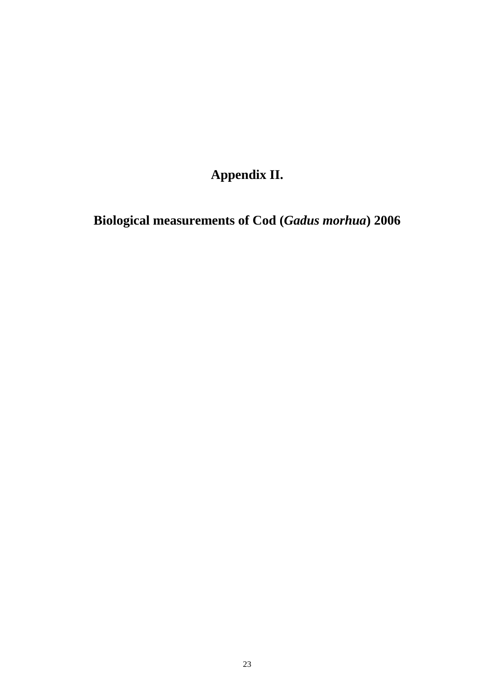**Appendix II.** 

**Biological measurements of Cod (***Gadus morhua***) 2006**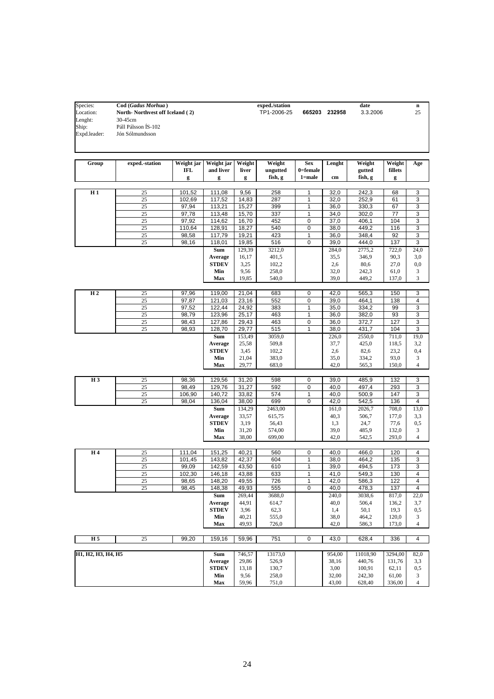| Species:           | Cod (Gadus Morhua)              |                |                     |               | exped./station |              |                | date             |                 | n                   |
|--------------------|---------------------------------|----------------|---------------------|---------------|----------------|--------------|----------------|------------------|-----------------|---------------------|
| Location:          | North-Northvest off Iceland (2) |                |                     |               | TP1-2006-25    |              | 665203 232958  | 3.3.2006         |                 | 25                  |
| Lenght:            | 30-45cm                         |                |                     |               |                |              |                |                  |                 |                     |
| Ship:              | Páll Pálsson ÍS-102             |                |                     |               |                |              |                |                  |                 |                     |
| Expd.leader:       | Jón Sólmundsson                 |                |                     |               |                |              |                |                  |                 |                     |
|                    |                                 |                |                     |               |                |              |                |                  |                 |                     |
|                    |                                 |                |                     |               |                |              |                |                  |                 |                     |
|                    |                                 |                |                     |               |                |              |                |                  |                 |                     |
| Group              | exped.-station                  | Weight jar     | Weight jar          | Weight        | Weight         | <b>Sex</b>   | Lenght         | Weight           | Weight          | Age                 |
|                    |                                 | <b>IFL</b>     | and liver           | liver         | ungutted       | 0=female     |                | gutted           | fillets         |                     |
|                    |                                 | g              | g                   | g             | fish, g        | $1 = male$   | $\mathbf{cm}$  | fish, g          | g               |                     |
|                    |                                 |                |                     |               |                |              |                |                  |                 |                     |
| H1                 | 25                              | 101,52         | 111,08              | 9,56          | 258            | 1            | 32,0           | 242,3            | 68              | 3                   |
|                    | 25                              | 102,69         | 117,52              | 14,83         | 287            | 1            | 32,0           | 252,9            | 61              | 3                   |
|                    | 25                              | 97,94          | 113,21              | 15,27         | 399            | 1            | 36,0           | 330,3            | 67              | 3                   |
|                    | 25                              | 97,78          | 113,48              | 15,70         | 337            | 1            | 34,0           | 302,0            | 77              | 3                   |
|                    | 25                              | 97,92          | 114,62              | 16,70         | 452            | 0            | 37,0           | 406,1            | 104             | 3                   |
|                    | 25                              | 110,64         | 128,91              | 18,27         | 540            | 0            | 38,0           | 449,2            | 116             | 3                   |
|                    | 25                              | 98,58          | 117,79              | 19,21         | 423            | 1            | 36,0           | 348,4            | 92              | 3                   |
|                    | 25                              | 98,16          | 118,01              | 19,85         | 516            | $\mathbf 0$  | 39,0           | 444,0            | 137             | 3                   |
|                    |                                 |                | Sum                 | 129,39        | 3212,0         |              | 284,0          | 2775,2           | 722,0           | 24,0                |
|                    |                                 |                | Average             | 16,17         | 401,5          |              | 35,5           | 346,9            | 90,3            | 3,0                 |
|                    |                                 |                | <b>STDEV</b>        | 3,25          | 102,2          |              | 2,6            | 80,6             | 27,0            | 0,0                 |
|                    |                                 |                | Min                 | 9,56          | 258,0          |              | 32,0           | 242,3            | 61,0            | 3                   |
|                    |                                 |                | Max                 | 19,85         | 540,0          |              | 39,0           | 449,2            | 137,0           | 3                   |
|                    |                                 |                |                     |               |                |              |                |                  |                 |                     |
| H <sub>2</sub>     | 25                              | 97,96          | 119,00              | 21,04         | 683            | 0            | 42,0           | 565,3            | 150             | 3                   |
|                    | 25                              | 97,87          | 121,03              | 23,16         | 552            | 0            | 39,0           | 464,1            | 138             | 4                   |
|                    | 25                              | 97,52          | 122,44              | 24,92         | 383            | 1            | 35,0           | 334,2            | 99              | 3                   |
|                    | 25                              | 98,79          | 123,96              | 25,17         | 463            | 1            | 36,0           | 382,0            | 93              | 3                   |
|                    | 25<br>25                        | 98,43<br>98,93 | 127,86              | 29,43         | 463            | 0<br>1       | 36,0           | 372,7            | 127             | 3<br>3              |
|                    |                                 |                | 128,70              | 29,77         | 515            |              | 38,0           | 431,7            | 104             |                     |
|                    |                                 |                | Sum                 | 153,49        | 3059,0         |              | 226,0          | 2550,0           | 711,0           | 19,0                |
|                    |                                 |                | Average             | 25,58         | 509,8          |              | 37,7           | 425,0            | 118,5           | 3,2                 |
|                    |                                 |                | <b>STDEV</b><br>Min | 3,45<br>21,04 | 102,2<br>383,0 |              | 2,6<br>35,0    | 82,6<br>334,2    | 23,2<br>93,0    | 0,4<br>3            |
|                    |                                 |                | Max                 | 29,77         | 683,0          |              | 42,0           | 565,3            | 150,0           | 4                   |
|                    |                                 |                |                     |               |                |              |                |                  |                 |                     |
| H <sub>3</sub>     | 25                              | 98,36          | 129,56              | 31,20         | 598            | 0            | 39,0           | 485,9            | 132             | 3                   |
|                    | 25                              | 98,49          | 129,76              | 31,27         | 592            | 0            | 40,0           | 497,4            | 293             | 3                   |
|                    | 25                              | 106,90         | 140,72              | 33,82         | 574            | $\mathbf{1}$ | 40,0           | 500,9            | 147             | 3                   |
|                    | 25                              | 98,04          | 136,04              | 38,00         | 699            | 0            | 42,0           | 542,5            | 136             | 4                   |
|                    |                                 |                | Sum                 | 134,29        | 2463,00        |              | 161,0          | 2026,7           | 708,0           | 13,0                |
|                    |                                 |                | Average             | 33,57         | 615,75         |              | 40,3           | 506,7            | 177,0           | 3,3                 |
|                    |                                 |                | <b>STDEV</b>        | 3,19          | 56,43          |              | 1,3            | 24,7             | 77,6            | 0,5                 |
|                    |                                 |                | Min                 | 31,20         | 574,00         |              | 39,0           | 485,9            | 132,0           | 3                   |
|                    |                                 |                | Max                 | 38,00         | 699,00         |              | 42,0           | 542,5            | 293,0           | 4                   |
|                    |                                 |                |                     |               |                |              |                |                  |                 |                     |
| H 4                | 25                              | 111,04         | 151,25              | 40,21         | 560            | 0            | 40,0           | 466,0            | 120             | 4                   |
|                    | 25                              | 101,45         | 143,82              | 42,37         | 604            | 1            | 38,0           | 464,2            | 135             | 3                   |
|                    | 25                              | 99,09          | 142,59              | 43,50         | 610            | 1            | 39,0           | 494,5            | 173             | 3                   |
|                    | 25                              | 102,30         | 146,18              | 43,88         | 633            | 1            | 41,0           | 549,3            | 130             | 4                   |
|                    | 25                              | 98,65          | 148,20              | 49,55         | 726            | 1            | 42,0           | 586,3            | 122             | 4                   |
|                    | 25                              | 98,45          | 148,38              | 49,93         | 555            | 0            | 40,0           | 478,3            | 137             | 4                   |
|                    |                                 |                | Sum                 | 269,44        | 3688,0         |              | 240,0          | 3038,6           | 817,0           | 22,0                |
|                    |                                 |                | Average             | 44,91         | 614,7          |              | 40,0           | 506,4            | 136,2           | 3,7                 |
|                    |                                 |                | <b>STDEV</b>        | 3,96          | 62,3           |              | 1,4            | 50,1             | 19,3            | $_{0,5}$            |
|                    |                                 |                | Min                 | 40,21         | 555,0          |              | 38,0           | 464,2            | 120,0           | 3                   |
|                    |                                 |                | Max                 | 49,93         | 726,0          |              | 42,0           | 586,3            | 173,0           | 4                   |
|                    |                                 |                |                     |               |                |              |                |                  |                 |                     |
| H 5                | 25                              | 99,20          | 159,16              | 59,96         | 751            | 0            | 43,0           | 628,4            | 336             | 4                   |
|                    |                                 |                |                     |               |                |              |                |                  |                 |                     |
| H1, H2, H3, H4, H5 |                                 |                | Sum                 | 746,57        | 13173,0        |              | 954,00         | 11018,90         | 3294,00         | 82,0                |
|                    |                                 |                | Average             | 29,86         | 526,9          |              | 38,16          | 440,76           | 131,76          | 3,3                 |
|                    |                                 |                | <b>STDEV</b>        | 13,18         | 130,7          |              | 3,00           | 100,91           | 62,11           | 0,5                 |
|                    |                                 |                | Min<br>Max          | 9,56<br>59,96 | 258,0<br>751,0 |              | 32,00<br>43,00 | 242,30<br>628,40 | 61,00<br>336,00 | 3<br>$\overline{4}$ |
|                    |                                 |                |                     |               |                |              |                |                  |                 |                     |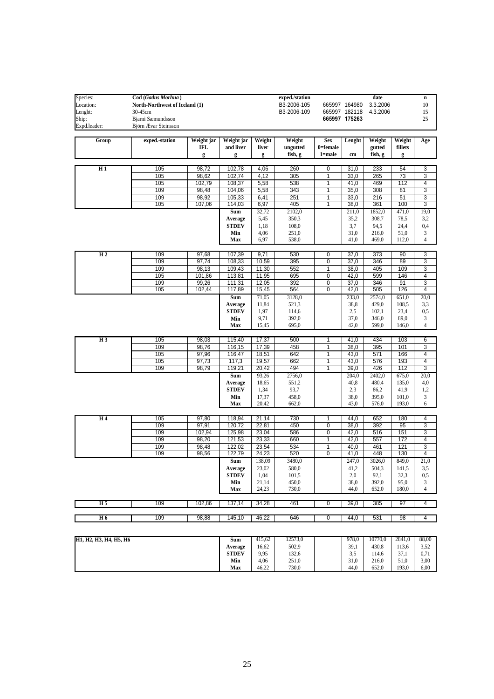| Species:                                                                                              | Cod (Gadus Morhua)             |            |                         |               | exped./station                                                        |                |                   | date          |               | $\bf n$             |
|-------------------------------------------------------------------------------------------------------|--------------------------------|------------|-------------------------|---------------|-----------------------------------------------------------------------|----------------|-------------------|---------------|---------------|---------------------|
| Location:                                                                                             | North-Northwest of Iceland (1) |            |                         |               | B3-2006-105                                                           |                | 665997 164980     | 3.3.2006      |               | $10\,$              |
| Lenght:                                                                                               | 30-45cm                        |            |                         |               | B3-2006-109                                                           |                | 665997 182118     | 4.3.2006      |               | 15                  |
| Ship:                                                                                                 | Bjarni Sæmundsson              |            |                         |               |                                                                       |                | 665997 175263     |               |               | 25                  |
| Expd.leader:                                                                                          | Björn Ævar Steinsson           |            |                         |               |                                                                       |                |                   |               |               |                     |
| Group                                                                                                 | exped.-station                 | Weight jar | Weight jar              | Weight        | Weight                                                                | <b>Sex</b>     | Lenght            | Weight        | Weight        | Age                 |
|                                                                                                       |                                | IFL        | and liver               | liver         | ungutted                                                              | 0=female       |                   | gutted        | fillets       |                     |
|                                                                                                       |                                | g          | g                       | g             | fish, g                                                               | $1 = male$     | cm                | fish, g       | g             |                     |
|                                                                                                       |                                |            |                         |               |                                                                       |                |                   |               |               |                     |
| H1                                                                                                    | 105                            | 98,72      | 102,78                  | 4,06          | 260                                                                   | 0              | 31,0              | 233           | 54            | 3                   |
|                                                                                                       | 105                            | 98,62      | 102,74                  | 4,12          | 305                                                                   | $\mathbf{1}$   | 33,0              | 265           | 73            | 3                   |
|                                                                                                       | 105                            | 102,79     | 108,37                  | 5,58          | 538                                                                   | $\mathbf{1}$   | $\overline{4}1,0$ | 469           | 112           | 4                   |
|                                                                                                       | 109                            | 98,48      | 104,06                  | 5,58          | 343                                                                   | 1              | 35,0              | 308           | 81            | 3                   |
|                                                                                                       | 109                            | 98,92      | 105,33                  | 6,41          | 251                                                                   | $\mathbf{1}$   | 33,0              | 216           | 51            | 3                   |
|                                                                                                       | 105                            | 107,06     | 114,03                  | 6,97          | 405                                                                   | 1              | 38,0              | 361           | 100           | 3                   |
|                                                                                                       |                                |            | Sum                     | 32,72         | 2102,0                                                                |                | 211,0             | 1852,0        | 471,0         | 19,0                |
|                                                                                                       |                                |            | Average                 | 5,45          | 350,3                                                                 |                | 35,2              | 308,7         | 78,5          | 3,2                 |
|                                                                                                       |                                |            | <b>STDEV</b>            | 1,18          | 108,0                                                                 |                | 3,7               | 94,5          | 24,4          | 0,4                 |
|                                                                                                       |                                |            | Min                     | 4,06<br>6,97  | 251,0                                                                 |                | 31,0              | 216,0         | 51,0          | 3<br>$\overline{4}$ |
|                                                                                                       |                                |            | Max                     |               | 538,0                                                                 |                | 41,0              | 469,0         | 112,0         |                     |
| H <sub>2</sub>                                                                                        | 109                            | 97,68      | 107,39                  | 9,71          | 530                                                                   | 0              | 37,0              | 373           | 90            | 3                   |
|                                                                                                       | 109                            | 97,74      | 108,33                  | 10,59         | 395                                                                   | $\mathbf 0$    | 37,0              | 346           | 89            | 3                   |
|                                                                                                       | 109                            | 98,13      | 109,43                  | 11,30         | 552                                                                   | $\mathbf{1}$   | 38,0              | 405           | 109           | 3                   |
|                                                                                                       | 105                            | 101,86     | 113,81                  | 11,95         | 695                                                                   | $\overline{0}$ | 42,0              | 599           | 146           | 4                   |
|                                                                                                       | 109                            | 99,26      | 111,31                  | 12,05         | 392                                                                   | $\pmb{0}$      | 37,0              | 346           | 91            | 3                   |
|                                                                                                       | 105                            | 102,44     | 117,89                  | 15,45         | 564                                                                   | 0              | 42,0              | 505           | 126           | 4                   |
|                                                                                                       |                                |            | Sum                     | 71,05         | 3128,0                                                                |                | 233,0             | 2574,0        | 651,0         | 20,0                |
|                                                                                                       |                                |            | Average                 | 11,84         | 521,3                                                                 |                | 38,8              | 429,0         | 108,5         | 3,3                 |
|                                                                                                       |                                |            | <b>STDEV</b>            | 1,97          | 114,6                                                                 |                | 2,5               | 102,1         | 23,4          | $_{0,5}$            |
|                                                                                                       |                                |            | Min                     | 9,71          | 392,0                                                                 |                | 37,0              | 346,0         | 89,0          | 3                   |
|                                                                                                       |                                |            | Max                     | 15,45         | 695,0                                                                 |                | 42,0              | 599,0         | 146,0         | $\overline{4}$      |
|                                                                                                       |                                |            |                         |               |                                                                       |                |                   |               |               |                     |
| $H_3$                                                                                                 | 105                            | 98,03      | 115,40                  | 17,37         | 500                                                                   | 1              | 41,0              | 434           | 103           | 6                   |
|                                                                                                       | 109                            | 98,76      | 116,15                  | 17,39         | 458                                                                   | 1              | 38,0              | 395           | 101           | 3                   |
|                                                                                                       | 105                            | 97,96      | 116,47                  | 18,51         | 642                                                                   | $\overline{1}$ | 43,0              | 571           | 166           | 4                   |
|                                                                                                       | 105                            | 97,73      | 117,3                   | 19,57         | 662                                                                   | 1              | 43,0              | 576           | 193           | 4                   |
|                                                                                                       | 109                            | 98,79      | 119,21                  | 20,42         | 494                                                                   | 1              | 39,0              | 426           | 112           | 3                   |
|                                                                                                       |                                |            | Sum                     | 93,26         | 2756,0                                                                |                | 204,0             | 2402,0        | 675,0         | 20,0                |
|                                                                                                       |                                |            | Average<br><b>STDEV</b> | 18,65         | 551,2<br>93,7                                                         |                | 40,8<br>2,3       | 480,4<br>86,2 | 135,0<br>41,9 | 4,0<br>1,2          |
|                                                                                                       |                                |            | Min                     | 1,34<br>17,37 | 458,0                                                                 |                | 38,0              | 395,0         | 101,0         | 3                   |
|                                                                                                       |                                |            | Max                     | 20,42         | 662,0                                                                 |                | 43,0              | 576,0         | 193,0         | 6                   |
|                                                                                                       |                                |            |                         |               |                                                                       |                |                   |               |               |                     |
| H <sub>4</sub>                                                                                        | 105                            | 97,80      | 118,94                  | 21,14         | 730                                                                   | 1              | 44,0              | 652           | 180           | 4                   |
|                                                                                                       | 109                            | 97,91      | 120,72                  | 22,81         | 450                                                                   | $\mathbf 0$    | 38,0              | 392           | 95            | 3                   |
|                                                                                                       | 109                            | 102,94     | 125,98                  | 23,04         | 586                                                                   | $\pmb{0}$      | 42,0              | 516           | 151           | 3                   |
|                                                                                                       | 109                            | 98,20      | 121,53                  | 23,33         | 660                                                                   | $\mathbf{1}$   | 42,0              | 557           | 172           | 4                   |
|                                                                                                       | 109                            | 98,48      | 122,02                  | 23,54         | 534                                                                   | $\mathbf{1}$   | 40,0              | 461           | 121           | 3                   |
|                                                                                                       | 109                            | 98,56      | 122,79                  | 24,23         | 520                                                                   | $\overline{0}$ | 41,0              | 448           | 130           | 4                   |
|                                                                                                       |                                |            | Sum                     | 138,09        | 3480,0                                                                |                | 247,0             | 3026,0        | 849,0         | 21,0                |
|                                                                                                       |                                |            | Average                 | 23,02         | 580,0                                                                 |                | 41,2              | 504,3         | 141,5         | 3,5                 |
|                                                                                                       |                                |            | <b>STDEV</b>            | 1,04          | 101,5                                                                 |                | 2,0               | 92,1          | 32,3          | 0,5                 |
|                                                                                                       |                                |            | Min                     | 21,14         | 450,0                                                                 |                | 38,0              | 392,0         | 95,0          | 3                   |
|                                                                                                       |                                |            | Max                     | 24,23         | 730,0                                                                 |                | 44,0              | 652,0         | 180,0         | $\overline{4}$      |
| H <sub>5</sub>                                                                                        | 109                            | 102,86     | 137,14                  | 34,28         | 461                                                                   | $\overline{0}$ | 39,0              | 385           | 97            | 4                   |
|                                                                                                       |                                |            |                         |               |                                                                       |                |                   |               |               |                     |
| H <sub>6</sub>                                                                                        | 109                            | 98,88      | 145,10                  | 46,22         | 646                                                                   | $\overline{0}$ | 44,0              | 531           | 98            | 4                   |
|                                                                                                       |                                |            |                         |               |                                                                       |                |                   |               |               |                     |
| $\overline{u_1}$ $\overline{u_2}$ $\overline{u_3}$ $\overline{u_4}$ $\overline{u_5}$ $\overline{u_6}$ |                                |            |                         |               | $\mathbb{R}$ m $115.62$ $12572.0$ $1079.0$ $10770.0$ $2941.0$ $99.00$ |                |                   |               |               |                     |

| H <sub>1</sub> , H <sub>2</sub> , H <sub>3</sub> , H <sub>4</sub> , H <sub>5</sub> , H <sub>6</sub> | Sum          | 415.62 | 12573,0 | 978.0                 | 10770.0 | 2841.0       | 88.00 |
|-----------------------------------------------------------------------------------------------------|--------------|--------|---------|-----------------------|---------|--------------|-------|
|                                                                                                     | Average      | 16.62  | 502,9   | 39,1                  | 430.8   | 122<br>113.0 | 3.52  |
|                                                                                                     | <b>STDEV</b> | 9.95   | 132,6   | $\sim$ $\sim$<br>ر. ر | 114.6   | 37.1         | 0.71  |
|                                                                                                     | Min          | 4.06   | 251,0   | 31.0                  | 216.0   | 51.0         | 3,00  |
|                                                                                                     | Max          | 46.22  | 730,0   | 44.0                  | 652.0   | 193.0        | 6,00  |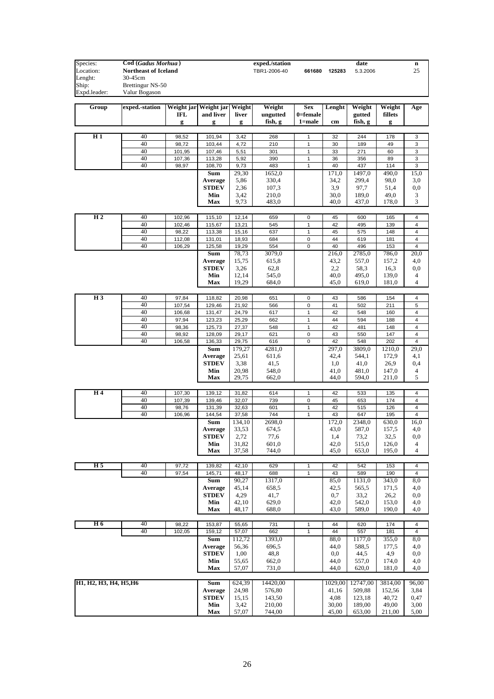| Species:               | Cod (Gadus Morhua)          |                  |                              |                | exped./station |                             |              | date           |                | n                       |
|------------------------|-----------------------------|------------------|------------------------------|----------------|----------------|-----------------------------|--------------|----------------|----------------|-------------------------|
| Location:              | <b>Northeast of Iceland</b> |                  |                              |                | TBR1-2006-40   | 661680                      | 125283       | 5.3.2006       |                | 25                      |
| Lenght:                | 30-45cm                     |                  |                              |                |                |                             |              |                |                |                         |
| Ship:                  | Brettingur NS-50            |                  |                              |                |                |                             |              |                |                |                         |
| Expd.leader:           | Valur Bogason               |                  |                              |                |                |                             |              |                |                |                         |
| Group                  | exped.-station              |                  | Weight jar Weight jar Weight |                | Weight         | <b>Sex</b>                  | Lenght       | Weight         | Weight         | Age                     |
|                        |                             | <b>IFL</b>       | and liver                    | liver          | ungutted       | $0 =$ female                |              | gutted         | fillets        |                         |
|                        |                             | g                | g                            | g              | fish, g        | 1=male                      | cm           | fish, g        | g              |                         |
|                        |                             |                  |                              |                |                |                             |              |                |                |                         |
| H1                     | 40                          | 98,52            | 101,94                       | 3,42           | 268            | 1                           | 32           | 244            | 178            | 3                       |
|                        | 40                          | 98,72            | 103,44                       | 4,72           | 210            | 1                           | 30           | 189            | 49             | 3                       |
|                        | 40                          | 101,95           | 107,46                       | 5,51           | 301            | 1                           | 33           | 271            | 60             | 3                       |
|                        | 40<br>40                    | 107,36           | 113,28                       | 5,92<br>9,73   | 390<br>483     | 1<br>1                      | 36<br>40     | 356            | 89<br>114      | 3<br>3                  |
|                        |                             | 98,97            | 108,70<br>Sum                | 29,30          | 1652,0         |                             | 171,0        | 437<br>1497,0  | 490,0          | 15,0                    |
|                        |                             |                  | Average                      | 5,86           | 330,4          |                             | 34,2         | 299,4          | 98,0           | 3,0                     |
|                        |                             |                  | <b>STDEV</b>                 | 2,36           | 107,3          |                             | 3,9          | 97,7           | 51,4           | $_{0,0}$                |
|                        |                             |                  | Min                          | 3,42           | 210,0          |                             | 30,0         | 189,0          | 49,0           | 3                       |
|                        |                             |                  | Max                          | 9,73           | 483,0          |                             | 40,0         | 437,0          | 178,0          | 3                       |
|                        |                             |                  |                              |                |                |                             |              |                |                |                         |
| H <sub>2</sub>         | 40                          | 102,96           | 115,10                       | 12,14          | 659            | 0                           | 45           | 600            | 165            | 4                       |
|                        | 40                          | 102,46           | 115,67                       | 13,21          | 545            | $\mathbf{1}$                | 42           | 495            | 139            | 4                       |
|                        | 40<br>40                    | 98,22            | 113,38<br>131,01             | 15,16          | 637            | 1                           | 45<br>44     | 575            | 148            | 4<br>4                  |
|                        | 40                          | 112,08<br>106,29 | 125,58                       | 18,93<br>19,29 | 684<br>554     | 0<br>0                      | 40           | 619<br>496     | 181<br>153     | 4                       |
|                        |                             |                  | Sum                          | 78,73          | 3079,0         |                             | 216,0        | 2785,0         | 786,0          | 20,0                    |
|                        |                             |                  | Average                      | 15,75          | 615,8          |                             | 43,2         | 557,0          | 157,2          | 4,0                     |
|                        |                             |                  | <b>STDEV</b>                 | 3,26           | 62,8           |                             | 2,2          | 58,3           | 16,3           | $_{0,0}$                |
|                        |                             |                  | Min                          | 12,14          | 545,0          |                             | 40,0         | 495,0          | 139,0          | 4                       |
|                        |                             |                  | <b>Max</b>                   | 19,29          | 684,0          |                             | 45,0         | 619,0          | 181,0          | $\overline{4}$          |
|                        |                             |                  |                              |                |                |                             |              |                |                |                         |
| H <sub>3</sub>         | 40<br>40                    | 97,84            | 118,82                       | 20,98          | 651            | 0                           | 43           | 586            | 154            | 4                       |
|                        | 40                          | 107,54<br>106,68 | 129,46<br>131,47             | 21,92<br>24,79 | 566<br>617     | $\mathbf 0$<br>$\mathbf{1}$ | 41<br>42     | 502<br>548     | 211<br>160     | 5<br>4                  |
|                        | 40                          | 97,94            | 123,23                       | 25,29          | 662            | $\mathbf{1}$                | 44           | 594            | 188            | $\overline{4}$          |
|                        | 40                          | 98,36            | 125,73                       | 27,37          | 548            | $\mathbf{1}$                | 42           | 481            | 148            | $\overline{4}$          |
|                        | 40                          | 98,92            | 128,09                       | 29,17          | 621            | $\mathbf 0$                 | 43           | 550            | 147            | $\overline{\mathbf{4}}$ |
|                        | 40                          | 106,58           | 136,33                       | 29,75          | 616            | 0                           | 42           | 548            | 202            | 4                       |
|                        |                             |                  | Sum                          | 179,27         | 4281,0         |                             | 297,0        | 3809,0         | 1210,0         | 29,0                    |
|                        |                             |                  | Average                      | 25,61          | 611,6          |                             | 42,4         | 544,1          | 172,9          | 4,1                     |
|                        |                             |                  | <b>STDEV</b>                 | 3,38           | 41,5           |                             | 1,0          | 41,0           | 26,9           | 0,4                     |
|                        |                             |                  | Min                          | 20,98          | 548,0          |                             | 41,0         | 481,0          | 147,0          | 4<br>5                  |
|                        |                             |                  | Max                          | 29,75          | 662,0          |                             | 44,0         | 594,0          | 211,0          |                         |
| H <sub>4</sub>         | 40                          | 107,30           | 139,12                       | 31,82          | 614            | 1                           | 42           | 533            | 135            | 4                       |
|                        | 40                          | 107,39           | 139,46                       | 32,07          | 739            | 0                           | 45           | 653            | 174            | 4                       |
|                        | 40                          | 98,76            | 131,39                       | 32,63          | 601            | 1                           | 42           | 515            | 126            | 4                       |
|                        | 40                          | 106,96           | 144,54                       | 37,58          | 744            | 1                           | 43           | 647            | 195            | 4                       |
|                        |                             |                  | <b>Sum</b>                   | 134,10         | 2698,0         |                             | 172,0        | 2348,0         | 630,0          | 16,0                    |
|                        |                             |                  | Average                      | 33,53          | 674,5          |                             | 43,0         | 587,0          | 157,5          | 4,0                     |
|                        |                             |                  | <b>STDEV</b>                 | 2,72           | 77,6           |                             | 1,4          | 73,2           | 32,5           | 0,0                     |
|                        |                             |                  | Min<br><b>Max</b>            | 31,82<br>37,58 | 601,0<br>744,0 |                             | 42,0<br>45,0 | 515,0<br>653,0 | 126,0<br>195,0 | 4<br>4                  |
|                        |                             |                  |                              |                |                |                             |              |                |                |                         |
| H <sub>5</sub>         | 40                          | 97,72            | 139,82                       | 42,10          | 629            | 1                           | 42           | 542            | 153            | 4                       |
|                        | 40                          | 97,54            | 145,71                       | 48,17          | 688            | $\mathbf{1}$                | 43           | 589            | 190            | $\overline{4}$          |
|                        |                             |                  | Sum                          | 90,27          | 1317,0         |                             | 85,0         | 1131,0         | 343,0          | 8,0                     |
|                        |                             |                  | Average                      | 45,14          | 658,5          |                             | 42,5         | 565,5          | 171,5          | 4,0                     |
|                        |                             |                  | <b>STDEV</b>                 | 4,29           | 41,7           |                             | 0,7          | 33,2           | 26,2           | $_{0,0}$                |
|                        |                             |                  | Min<br>Max                   | 42,10<br>48,17 | 629,0<br>688,0 |                             | 42,0<br>43,0 | 542,0<br>589,0 | 153,0<br>190,0 | 4,0<br>4,0              |
|                        |                             |                  |                              |                |                |                             |              |                |                |                         |
| H <sub>6</sub>         | 40                          | 98,22            | 153,87                       | 55,65          | 731            | 1                           | 44           | 620            | 174            | 4                       |
|                        | 40                          | 102,05           | 159,12                       | 57,07          | 662            | 1                           | 44           | 557            | 181            | $\overline{4}$          |
|                        |                             |                  | Sum                          | 112,72         | 1393,0         |                             | 88,0         | 1177,0         | 355,0          | 8,0                     |
|                        |                             |                  | Average                      | 56,36          | 696,5          |                             | 44,0         | 588,5          | 177,5          | 4,0                     |
|                        |                             |                  | <b>STDEV</b>                 | 1,00           | 48,8           |                             | 0,0          | 44,5           | 4,9            | 0,0                     |
|                        |                             |                  | Min<br>Max                   | 55,65          | 662,0          |                             | 44,0         | 557,0          | 174,0          | 4,0                     |
|                        |                             |                  |                              | 57,07          | 731,0          |                             | 44,0         | 620,0          | 181,0          | 4,0                     |
| Н1, Н2, Н3, Н4, Н5, Н6 |                             |                  | Sum                          | 624,39         | 14420,00       |                             | 1029,00      | 12747,00       | 3814,00        | 96,00                   |
|                        |                             |                  | Average                      | 24,98          | 576,80         |                             | 41,16        | 509,88         | 152,56         | 3,84                    |
|                        |                             |                  | <b>STDEV</b>                 | 15,15          | 143,50         |                             | 4,08         | 123,18         | 40,72          | 0,47                    |
|                        |                             |                  | Min                          | 3,42           | 210,00         |                             | 30,00        | 189,00         | 49,00          | 3,00                    |
|                        |                             |                  | Max                          | 57,07          | 744,00         |                             | 45,00        | 653,00         | 211,00         | 5,00                    |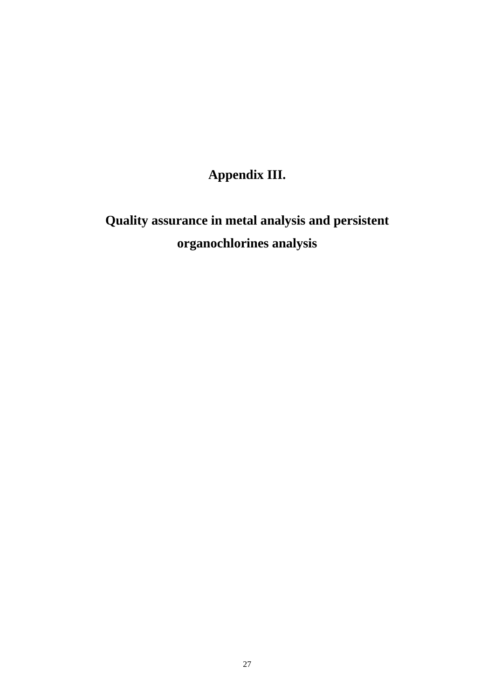# **Appendix III.**

# **Quality assurance in metal analysis and persistent organochlorines analysis**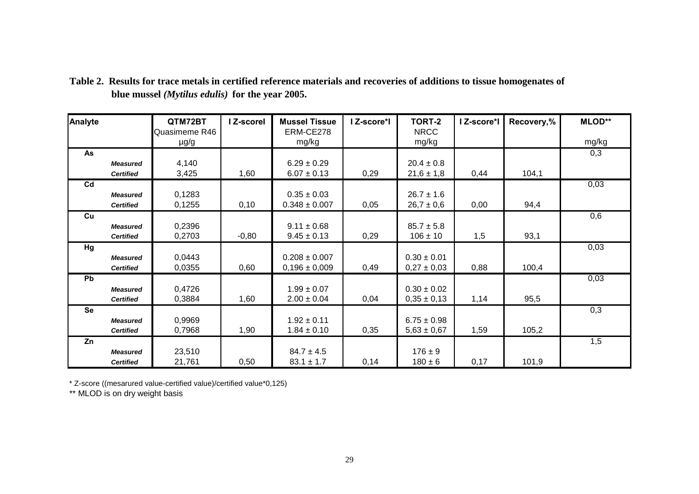| Analyte        |                  | QTM72BT       | I Z-scorel | <b>Mussel Tissue</b> | I Z-score*I | TORT-2          | I Z-score*I | Recovery,% | <b>MLOD**</b> |
|----------------|------------------|---------------|------------|----------------------|-------------|-----------------|-------------|------------|---------------|
|                |                  | Quasimeme R46 |            | ERM-CE278            |             | <b>NRCC</b>     |             |            |               |
|                |                  | $\mu$ g/g     |            | mg/kg                |             | mg/kg           |             |            | mg/kg         |
| As             |                  |               |            |                      |             |                 |             |            | 0,3           |
|                | <b>Measured</b>  | 4,140         |            | $6.29 \pm 0.29$      |             | $20.4 \pm 0.8$  |             |            |               |
|                | <b>Certified</b> | 3,425         | 1,60       | $6.07 \pm 0.13$      | 0,29        | $21,6 \pm 1,8$  | 0,44        | 104,1      |               |
| C <sub>d</sub> |                  |               |            |                      |             |                 |             |            | 0,03          |
|                | <b>Measured</b>  | 0,1283        |            | $0.35 \pm 0.03$      |             | $26.7 \pm 1.6$  |             |            |               |
|                | <b>Certified</b> | 0,1255        | 0,10       | $0.348 \pm 0.007$    | 0,05        | $26,7 \pm 0,6$  | 0,00        | 94,4       |               |
| Cu             |                  |               |            |                      |             |                 |             |            | 0,6           |
|                | <b>Measured</b>  | 0,2396        |            | $9.11 \pm 0.68$      |             | $85.7 \pm 5.8$  |             |            |               |
|                | <b>Certified</b> | 0,2703        | $-0,80$    | $9.45 \pm 0.13$      | 0,29        | $106 \pm 10$    | 1,5         | 93,1       |               |
| Hg             |                  |               |            |                      |             |                 |             |            | 0,03          |
|                | <b>Measured</b>  | 0,0443        |            | $0.208 \pm 0.007$    |             | $0.30 \pm 0.01$ |             |            |               |
|                | <b>Certified</b> | 0,0355        | 0,60       | $0,196 \pm 0,009$    | 0,49        | $0,27 \pm 0,03$ | 0,88        | 100,4      |               |
| Pb             |                  |               |            |                      |             |                 |             |            | 0,03          |
|                | <b>Measured</b>  | 0,4726        |            | $1.99 \pm 0.07$      |             | $0.30 \pm 0.02$ |             |            |               |
|                | <b>Certified</b> | 0,3884        | 1,60       | $2.00 \pm 0.04$      | 0,04        | $0,35 \pm 0,13$ | 1,14        | 95,5       |               |
| <b>Se</b>      |                  |               |            |                      |             |                 |             |            | 0,3           |
|                | <b>Measured</b>  | 0,9969        |            | $1.92 \pm 0.11$      |             | $6.75 \pm 0.98$ |             |            |               |
|                | <b>Certified</b> | 0,7968        | 1,90       | $1.84 \pm 0.10$      | 0,35        | $5,63 \pm 0,67$ | 1,59        | 105,2      |               |
| Zn             |                  |               |            |                      |             |                 |             |            | 1,5           |
|                | <b>Measured</b>  | 23,510        |            | $84.7 \pm 4.5$       |             | $176 \pm 9$     |             |            |               |
|                | <b>Certified</b> | 21,761        | 0,50       | $83.1 \pm 1.7$       | 0,14        | $180 \pm 6$     | 0,17        | 101,9      |               |

**Table 2. Results for trace metals in certified reference materials and recoveries of additions to tissue homogenates of blue mussel** *(Mytilus edulis)* **for the year 2005.**

\* Z-score ((mesarured value-certified value)/certified value\*0,125)

\*\* MLOD is on dry weight basis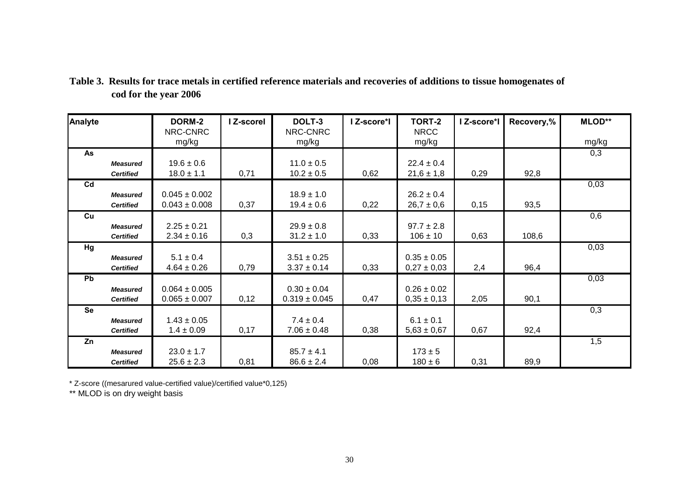|                       | Table 3. Results for trace metals in certified reference materials and recoveries of additions to tissue homogenates of |
|-----------------------|-------------------------------------------------------------------------------------------------------------------------|
| cod for the year 2006 |                                                                                                                         |

| Analyte   |                  | DORM-2            | I Z-scorel | DOLT-3            | I Z-score*I | <b>TORT-2</b>   | I Z-score*I | Recovery,% | <b>MLOD**</b> |
|-----------|------------------|-------------------|------------|-------------------|-------------|-----------------|-------------|------------|---------------|
|           |                  | NRC-CNRC          |            | NRC-CNRC          |             | <b>NRCC</b>     |             |            |               |
|           |                  | mg/kg             |            | mg/kg             |             | mg/kg           |             |            | mg/kg         |
| As        |                  |                   |            |                   |             |                 |             |            | 0,3           |
|           | <b>Measured</b>  | $19.6 \pm 0.6$    |            | $11.0 \pm 0.5$    |             | $22.4 \pm 0.4$  |             |            |               |
|           | <b>Certified</b> | $18.0 \pm 1.1$    | 0,71       | $10.2 \pm 0.5$    | 0,62        | $21,6 \pm 1,8$  | 0,29        | 92,8       |               |
| Cd        |                  |                   |            |                   |             |                 |             |            | 0,03          |
|           | <b>Measured</b>  | $0.045 \pm 0.002$ |            | $18.9 \pm 1.0$    |             | $26.2 \pm 0.4$  |             |            |               |
|           | <b>Certified</b> | $0.043 \pm 0.008$ | 0,37       | $19.4 \pm 0.6$    | 0,22        | $26,7 \pm 0,6$  | 0,15        | 93,5       |               |
| Cu        |                  |                   |            |                   |             |                 |             |            | 0,6           |
|           | <b>Measured</b>  | $2.25 \pm 0.21$   |            | $29.9 \pm 0.8$    |             | $97.7 \pm 2.8$  |             |            |               |
|           | <b>Certified</b> | $2.34 \pm 0.16$   | 0,3        | $31.2 \pm 1.0$    | 0,33        | $106 \pm 10$    | 0,63        | 108,6      |               |
| Hg        |                  |                   |            |                   |             |                 |             |            | 0,03          |
|           | <b>Measured</b>  | $5.1 \pm 0.4$     |            | $3.51 \pm 0.25$   |             | $0.35 \pm 0.05$ |             |            |               |
|           | <b>Certified</b> | $4.64 \pm 0.26$   | 0,79       | $3.37 \pm 0.14$   | 0,33        | $0,27 \pm 0,03$ | 2,4         | 96,4       |               |
| <b>Pb</b> |                  |                   |            |                   |             |                 |             |            | 0,03          |
|           | <b>Measured</b>  | $0.064 \pm 0.005$ |            | $0.30 \pm 0.04$   |             | $0.26 \pm 0.02$ |             |            |               |
|           | <b>Certified</b> | $0.065 \pm 0.007$ | 0,12       | $0.319 \pm 0.045$ | 0,47        | $0,35 \pm 0,13$ | 2,05        | 90,1       |               |
| <b>Se</b> |                  |                   |            |                   |             |                 |             |            | 0,3           |
|           | <b>Measured</b>  | $1.43 \pm 0.05$   |            | $7.4 \pm 0.4$     |             | $6.1 \pm 0.1$   |             |            |               |
|           | <b>Certified</b> | $1.4 \pm 0.09$    | 0,17       | $7.06 \pm 0.48$   | 0,38        | $5,63 \pm 0,67$ | 0,67        | 92,4       |               |
| Zn        |                  |                   |            |                   |             |                 |             |            | 1,5           |
|           | <b>Measured</b>  | $23.0 \pm 1.7$    |            | $85.7 \pm 4.1$    |             | $173 \pm 5$     |             |            |               |
|           | <b>Certified</b> | $25.6 \pm 2.3$    | 0,81       | $86.6 \pm 2.4$    | 0,08        | $180 \pm 6$     | 0,31        | 89,9       |               |

\* Z-score ((mesarured value-certified value)/certified value\*0,125)

\*\* MLOD is on dry weight basis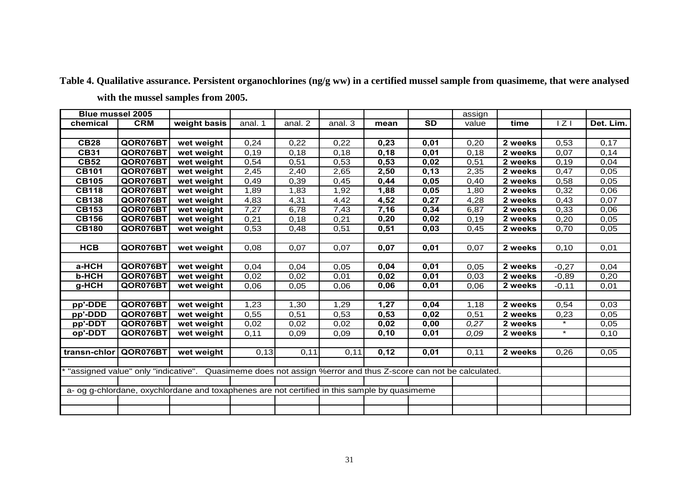| <b>Blue mussel 2005</b> |            |                                                                                                                |         |         |         |       |           | assign |         |         |           |
|-------------------------|------------|----------------------------------------------------------------------------------------------------------------|---------|---------|---------|-------|-----------|--------|---------|---------|-----------|
| chemical                | <b>CRM</b> | weight basis                                                                                                   | anal. 1 | anal. 2 | anal. 3 | mean  | <b>SD</b> | value  | time    | Z       | Det. Lim. |
|                         |            |                                                                                                                |         |         |         |       |           |        |         |         |           |
| <b>CB28</b>             | QOR076BT   | wet weight                                                                                                     | 0,24    | 0,22    | 0,22    | 0,23  | 0,01      | 0,20   | 2 weeks | 0,53    | 0,17      |
| <b>CB31</b>             | QOR076BT   | wet weight                                                                                                     | 0,19    | 0,18    | 0,18    | 0,18  | 0,01      | 0,18   | 2 weeks | 0,07    | 0,14      |
| <b>CB52</b>             | QOR076BT   | wet weight                                                                                                     | 0,54    | 0,51    | 0,53    | 0,53  | 0,02      | 0,51   | 2 weeks | 0,19    | 0,04      |
| <b>CB101</b>            | QOR076BT   | wet weight                                                                                                     | 2,45    | 2,40    | 2,65    | 2,50  | 0,13      | 2,35   | 2 weeks | 0,47    | 0,05      |
| <b>CB105</b>            | QOR076BT   | wet weight                                                                                                     | 0,49    | 0,39    | 0,45    | 0,44  | 0,05      | 0,40   | 2 weeks | 0,58    | 0,05      |
| <b>CB118</b>            | QOR076BT   | wet weight                                                                                                     | 1,89    | 1,83    | 1,92    | 1,88  | 0,05      | 1,80   | 2 weeks | 0,32    | 0,06      |
| <b>CB138</b>            | QOR076BT   | wet weight                                                                                                     | 4,83    | 4,31    | 4,42    | 4,52  | 0,27      | 4,28   | 2 weeks | 0,43    | 0,07      |
| <b>CB153</b>            | QOR076BT   | wet weight                                                                                                     | 7,27    | 6,78    | 7,43    | 7,16  | 0,34      | 6,87   | 2 weeks | 0,33    | 0,06      |
| <b>CB156</b>            | QOR076BT   | wet weight                                                                                                     | 0,21    | 0,18    | 0,21    | 0,20  | 0,02      | 0,19   | 2 weeks | 0,20    | 0,05      |
| <b>CB180</b>            | QOR076BT   | wet weight                                                                                                     | 0,53    | 0,48    | 0,51    | 0,51  | 0,03      | 0,45   | 2 weeks | 0,70    | 0,05      |
|                         |            |                                                                                                                |         |         |         |       |           |        |         |         |           |
| <b>HCB</b>              | QOR076BT   | wet weight                                                                                                     | 0,08    | 0,07    | 0,07    | 0,07  | 0,01      | 0,07   | 2 weeks | 0,10    | 0,01      |
|                         |            |                                                                                                                |         |         |         |       |           |        |         |         |           |
| a-HCH                   | QOR076BT   | wet weight                                                                                                     | 0,04    | 0,04    | 0,05    | 0,04  | 0,01      | 0,05   | 2 weeks | $-0,27$ | 0,04      |
| <b>b-HCH</b>            | QOR076BT   | wet weight                                                                                                     | 0,02    | 0,02    | 0,01    | 0,02  | 0,01      | 0,03   | 2 weeks | $-0,89$ | 0,20      |
| $g$ -HCH                | QOR076BT   | wet weight                                                                                                     | 0,06    | 0,05    | 0,06    | 0,06  | 0,01      | 0,06   | 2 weeks | $-0,11$ | 0,01      |
|                         |            |                                                                                                                |         |         |         |       |           |        |         |         |           |
| pp'-DDE                 | QOR076BT   | wet weight                                                                                                     | 1,23    | 1,30    | 1,29    | 1,27  | 0,04      | 1,18   | 2 weeks | 0,54    | 0,03      |
| pp'-DDD                 | QOR076BT   | wet weight                                                                                                     | 0,55    | 0,51    | 0,53    | 0,53  | 0,02      | 0,51   | 2 weeks | 0,23    | 0,05      |
| pp'-DDT                 | QOR076BT   | wet weight                                                                                                     | 0,02    | 0,02    | 0,02    | 0,02  | 0,00      | 0.27   | 2 weeks | $\star$ | 0,05      |
| op'-DDT                 | QOR076BT   | wet weight                                                                                                     | 0,11    | 0,09    | 0,09    | 0, 10 | 0,01      | 0,09   | 2 weeks | $\star$ | 0,10      |
|                         |            |                                                                                                                |         |         |         |       |           |        |         |         |           |
| transn-chlor            | QOR076BT   | wet weight                                                                                                     | 0,13    | 0,11    | 0,11    | 0,12  | 0,01      | 0,11   | 2 weeks | 0,26    | 0,05      |
|                         |            |                                                                                                                |         |         |         |       |           |        |         |         |           |
|                         |            | * "assigned value" only "indicative". Quasimeme does not assign %error and thus Z-score can not be calculated. |         |         |         |       |           |        |         |         |           |
|                         |            |                                                                                                                |         |         |         |       |           |        |         |         |           |
|                         |            | a- og g-chlordane, oxychlordane and toxaphenes are not certified in this sample by quasimeme                   |         |         |         |       |           |        |         |         |           |
|                         |            |                                                                                                                |         |         |         |       |           |        |         |         |           |
|                         |            |                                                                                                                |         |         |         |       |           |        |         |         |           |

**Table 4. Qualilative assurance. Persistent organochlorines (ng/g ww) in a certified mussel sample from quasimeme, that were analysed with the mussel samples from 2005.**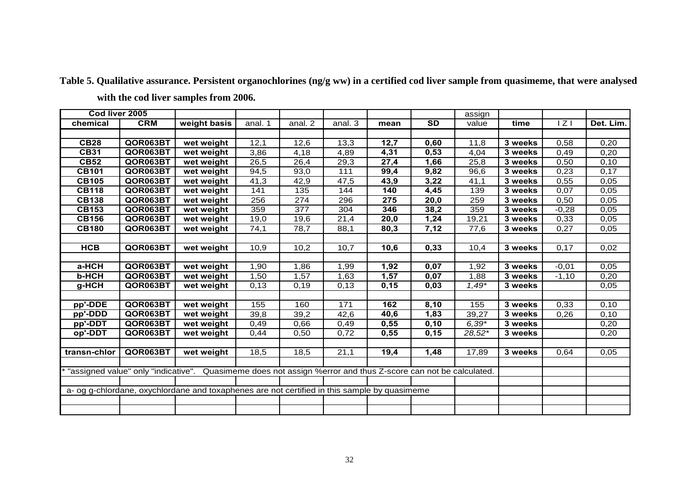| Cod liver 2005 |            |                                                                                                              |         |                  |                      |      |                        | assign   |         |                  |                   |
|----------------|------------|--------------------------------------------------------------------------------------------------------------|---------|------------------|----------------------|------|------------------------|----------|---------|------------------|-------------------|
| chemical       | <b>CRM</b> | weight basis                                                                                                 | anal. 1 | anal. 2          | anal. $\overline{3}$ | mean | $\overline{\text{SD}}$ | value    | time    | $ \overline{Z} $ | Det. Lim.         |
|                |            |                                                                                                              |         |                  |                      |      |                        |          |         |                  |                   |
| CB28           | QOR063BT   | wet weight                                                                                                   | 12,1    | 12,6             | 13,3                 | 12,7 | 0,60                   | 11,8     | 3 weeks | 0.58             | 0,20              |
| <b>CB31</b>    | QOR063BT   | wet weight                                                                                                   | 3,86    | 4,18             | 4,89                 | 4,31 | 0,53                   | 4,04     | 3 weeks | 0,49             | 0,20              |
| <b>CB52</b>    | QOR063BT   | wet weight                                                                                                   | 26,5    | 26,4             | 29,3                 | 27,4 | 1,66                   | 25,8     | 3 weeks | 0,50             | 0,10              |
| <b>CB101</b>   | QOR063BT   | wet weight                                                                                                   | 94,5    | 93,0             | 111                  | 99,4 | 9,82                   | 96,6     | 3 weeks | 0,23             | $0,1\overline{7}$ |
| <b>CB105</b>   | QOR063BT   | wet weight                                                                                                   | 41,3    | 42,9             | $\overline{47,5}$    | 43,9 | 3,22                   | 41,1     | 3 weeks | 0,55             | 0,05              |
| <b>CB118</b>   | QOR063BT   | wet weight                                                                                                   | 141     | 135              | 144                  | 140  | 4,45                   | 139      | 3 weeks | 0,07             | 0.05              |
| <b>CB138</b>   | QOR063BT   | wet weight                                                                                                   | 256     | $\overline{274}$ | 296                  | 275  | 20,0                   | 259      | 3 weeks | 0,50             | 0,05              |
| <b>CB153</b>   | QOR063BT   | wet weight                                                                                                   | 359     | 377              | 304                  | 346  | 38,2                   | 359      | 3 weeks | $-0,28$          | 0,05              |
| <b>CB156</b>   | QOR063BT   | wet weight                                                                                                   | 19,0    | 19,6             | 21,4                 | 20,0 | 1,24                   | 19.21    | 3 weeks | 0,33             | 0.05              |
| <b>CB180</b>   | QOR063BT   | wet weight                                                                                                   | 74,1    | 78,7             | 88,1                 | 80,3 | 7,12                   | 77,6     | 3 weeks | 0,27             | 0,05              |
|                |            |                                                                                                              |         |                  |                      |      |                        |          |         |                  |                   |
| <b>HCB</b>     | QOR063BT   | wet weight                                                                                                   | 10,9    | 10,2             | 10,7                 | 10,6 | 0,33                   | 10,4     | 3 weeks | 0.17             | 0,02              |
|                |            |                                                                                                              |         |                  |                      |      |                        |          |         |                  |                   |
| a-HCH          | QOR063BT   | wet weight                                                                                                   | 1,90    | 1,86             | 1,99                 | 1,92 | 0,07                   | 1,92     | 3 weeks | $-0,01$          | 0.05              |
| <b>b-HCH</b>   | QOR063BT   | wet weight                                                                                                   | 1,50    | 1,57             | 1,63                 | 1,57 | 0,07                   | 1,88     | 3 weeks | $-1,10$          | 0,20              |
| g-HCH          | QOR063BT   | wet weight                                                                                                   | 0,13    | 0,19             | 0,13                 | 0,15 | 0,03                   | $1,49*$  | 3 weeks |                  | 0,05              |
|                |            |                                                                                                              |         |                  |                      |      |                        |          |         |                  |                   |
| pp'-DDE        | QOR063BT   | wet weight                                                                                                   | 155     | 160              | 171                  | 162  | 8,10                   | 155      | 3 weeks | 0,33             | 0, 10             |
| pp'-DDD        | QOR063BT   | wet weight                                                                                                   | 39,8    | 39,2             | 42,6                 | 40,6 | 1,83                   | 39,27    | 3 weeks | 0,26             | 0,10              |
| pp'-DDT        | QOR063BT   | wet weight                                                                                                   | 0,49    | 0,66             | 0,49                 | 0,55 | 0,10                   | $6,39*$  | 3 weeks |                  | 0,20              |
| op'-DDT        | QOR063BT   | wet weight                                                                                                   | 0,44    | 0,50             | 0,72                 | 0,55 | 0, 15                  | $28,52*$ | 3 weeks |                  | 0,20              |
|                |            |                                                                                                              |         |                  |                      |      |                        |          |         |                  |                   |
| transn-chlor   | QOR063BT   | wet weight                                                                                                   | 18,5    | 18,5             | 21,1                 | 19,4 | 1,48                   | 17,89    | 3 weeks | 0,64             | 0.05              |
|                |            |                                                                                                              |         |                  |                      |      |                        |          |         |                  |                   |
|                |            | "assigned value" only "indicative". Quasimeme does not assign %error and thus Z-score can not be calculated. |         |                  |                      |      |                        |          |         |                  |                   |
|                |            |                                                                                                              |         |                  |                      |      |                        |          |         |                  |                   |
|                |            | a- og g-chlordane, oxychlordane and toxaphenes are not certified in this sample by quasimeme                 |         |                  |                      |      |                        |          |         |                  |                   |
|                |            |                                                                                                              |         |                  |                      |      |                        |          |         |                  |                   |
|                |            |                                                                                                              |         |                  |                      |      |                        |          |         |                  |                   |

**Table 5. Qualilative assurance. Persistent organochlorines (ng/g ww) in a certified cod liver sample from quasimeme, that were analysed with the cod liver samples from 2006.**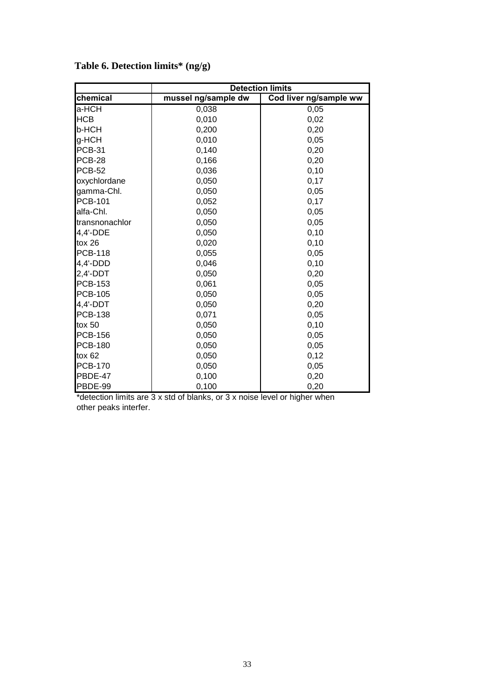|                |                     | <b>Detection limits</b> |
|----------------|---------------------|-------------------------|
| chemical       | mussel ng/sample dw | Cod liver ng/sample ww  |
| a-HCH          | 0,038               | 0,05                    |
| <b>HCB</b>     | 0,010               | 0,02                    |
| b-HCH          | 0,200               | 0,20                    |
| g-HCH          | 0,010               | 0,05                    |
| <b>PCB-31</b>  | 0,140               | 0,20                    |
| <b>PCB-28</b>  | 0,166               | 0,20                    |
| <b>PCB-52</b>  | 0,036               | 0,10                    |
| oxychlordane   | 0,050               | 0,17                    |
| gamma-Chl.     | 0,050               | 0,05                    |
| <b>PCB-101</b> | 0,052               | 0,17                    |
| alfa-Chl.      | 0,050               | 0,05                    |
| transnonachlor | 0,050               | 0,05                    |
| 4,4'-DDE       | 0,050               | 0,10                    |
| tox $26$       | 0,020               | 0,10                    |
| <b>PCB-118</b> | 0,055               | 0,05                    |
| 4,4'-DDD       | 0,046               | 0,10                    |
| $2,4'-DDT$     | 0,050               | 0,20                    |
| <b>PCB-153</b> | 0,061               | 0,05                    |
| <b>PCB-105</b> | 0,050               | 0,05                    |
| 4,4'-DDT       | 0,050               | 0,20                    |
| <b>PCB-138</b> | 0,071               | 0,05                    |
| $\text{to}$ 50 | 0,050               | 0,10                    |
| <b>PCB-156</b> | 0,050               | 0,05                    |
| <b>PCB-180</b> | 0,050               | 0,05                    |
| $\text{to} 62$ | 0,050               | 0,12                    |
| <b>PCB-170</b> | 0,050               | 0,05                    |
| PBDE-47        | 0,100               | 0,20                    |
| PBDE-99        | 0,100               | 0,20                    |

# **Table 6. Detection limits\* (ng/g)**

\*detection limits are 3 x std of blanks, or 3 x noise level or higher when other peaks interfer.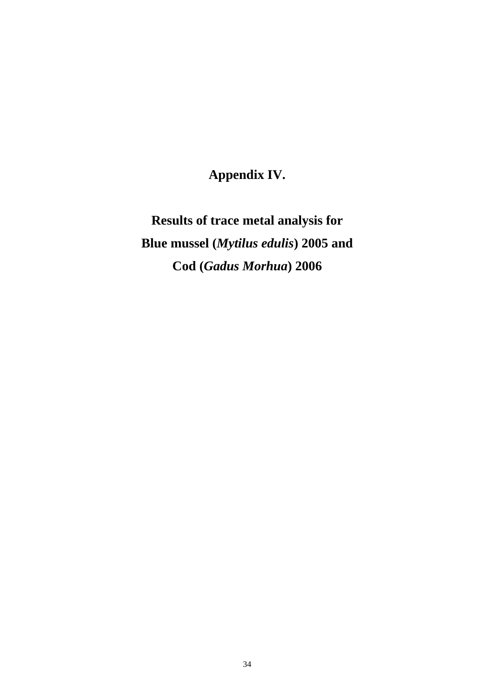**Appendix IV.** 

**Results of trace metal analysis for Blue mussel (***Mytilus edulis***) 2005 and Cod (***Gadus Morhua***) 2006**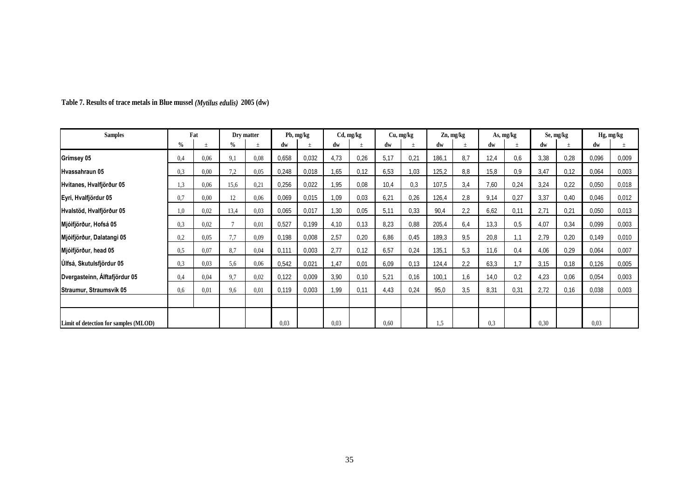| <b>Samples</b>                        |      | Fat  |              | Dry matter |       | Pb, mg/kg |      | Cd, mg/kg |      | Cu, mg/kg |       | Zn, mg/kg |      | As, mg/kg |      | Se, mg/kg |       | Hg, mg/kg |
|---------------------------------------|------|------|--------------|------------|-------|-----------|------|-----------|------|-----------|-------|-----------|------|-----------|------|-----------|-------|-----------|
|                                       | $\%$ |      | $\%$         |            | dw    |           | dw   |           | dw   |           | dw    |           | dw   |           | dw   |           | dw    |           |
| Grímsey 05                            | 0,4  | 0,06 | 9,1          | 0.08       | 0,658 | 0,032     | 4,73 | 0,26      | 5,17 | 0,21      | 186,1 | 8,7       | 12,4 | 0,6       | 3,38 | 0,28      | 0,096 | 0,009     |
| Hvassahraun 05                        | 0.3  | 0.00 | 7,2          | 0.05       | 0,248 | 0,018     | .65  | 0,12      | 6,53 | 1,03      | 125,2 | 8,8       | 15,8 | 0.9       | 3,47 | 0,12      | 0,064 | 0,003     |
| Hvítanes, Hvalfjörður 05              | 1,3  | 0,06 | 15,6         | 0,21       | 0,256 | 0,022     | .95  | 0.08      | 10,4 | 0,3       | 107,5 | 3,4       | 7,60 | 0,24      | 3,24 | 0,22      | 0,050 | 0,018     |
| Eyri, Hvalfjördur 05                  | 0.7  | 0.00 | 12           | 0,06       | 0,069 | 0,015     | 1,09 | 0.03      | 6,21 | 0,26      | 126,4 | 2,8       | 9,14 | 0,27      | 3,37 | 0,40      | 0,046 | 0,012     |
| Hvalstöd, Hvalfjörður 05              | 1,0  | 0.02 | 13,4         | 0,03       | 0,065 | 0,017     | 1,30 | 0,05      | 5,11 | 0.33      | 90,4  | 2,2       | 6,62 | 0,11      | 2,71 | 0,21      | 0,050 | 0,013     |
| Mjóifjörður, Hofsá 05                 | 0.3  | 0.02 | $\mathbf{r}$ | 0.01       | 0,527 | 0,199     | 4,10 | 0,13      | 8,23 | 0.88      | 205,4 | 6,4       | 13,3 | 0.5       | 4,07 | 0,34      | 0,099 | 0,003     |
| Mjóifjörður, Dalatangi 05             | 0,2  | 0,05 | 7,7          | 0,09       | 0,198 | 0,008     | 2,57 | 0,20      | 6,86 | 0,45      | 189,3 | 9,5       | 20,8 | 1,1       | 2,79 | 0,20      | 0,149 | 0,010     |
| Mjóifjörður, head 05                  | 0.5  | 0,07 | 8,7          | 0,04       | 0,111 | 0,003     | 2,77 | 0,12      | 6,57 | 0,24      | 135,1 | 5,3       | 11,6 | 0,4       | 4,06 | 0,29      | 0,064 | 0,007     |
| <b>Úlfsá, Skutulsfjördur 05</b>       | 0.3  | 0.03 | 5,6          | 0,06       | 0,542 | 0,021     | 1,47 | 0,01      | 6,09 | 0,13      | 124,4 | 2,2       | 63,3 | 1.7       | 3,15 | 0,18      | 0,126 | 0,005     |
| Dvergasteinn, Alftafjördur 05         | 0.4  | 0.04 | 9,7          | 0,02       | 0,122 | 0,009     | 3,90 | 0,10      | 5,21 | 0,16      | 100,1 | 1,6       | 14,0 | 0,2       | 4,23 | 0,06      | 0,054 | 0,003     |
| Straumur, Straumsvík 05               | 0.6  | 0.01 | 9,6          | 0.01       | 0,119 | 0,003     | .99  | 0,11      | 4,43 | 0,24      | 95,0  | 3,5       | 8,31 | 0,31      | 2,72 | 0,16      | 0,038 | 0,003     |
|                                       |      |      |              |            |       |           |      |           |      |           |       |           |      |           |      |           |       |           |
| Limit of detection for samples (MLOD) |      |      |              |            | 0.03  |           | 0.03 |           | 0,60 |           | 1,5   |           | 0,3  |           | 0.30 |           | 0.03  |           |

**Table 7. Results of trace metals in Blue mussel** *(Mytilus edulis)* **2005 (dw)**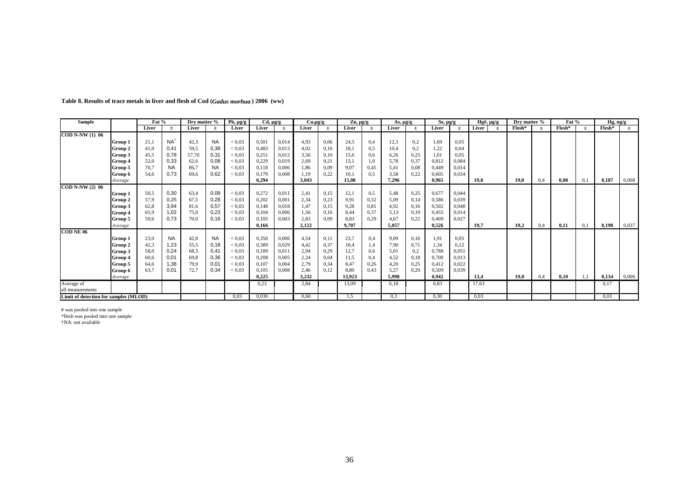| Sample                                                   |         | Fat % |                | Dry matter % |           | $Pb, \mu g/g$ | $Cd, \mu g/g$ |       | $Cu, \mu g/g$ |      | $Zn, \mu g/g$ |       | As, $\mu$ g/g |       | $Se, \mu g/g$ |       | $Hg\#$ , $\mu$ g/g | Dry matter % |       | Fat %  |       | Hg, ng/g |       |
|----------------------------------------------------------|---------|-------|----------------|--------------|-----------|---------------|---------------|-------|---------------|------|---------------|-------|---------------|-------|---------------|-------|--------------------|--------------|-------|--------|-------|----------|-------|
|                                                          |         | Liver | $\pm$          | Liver        | $\pm$     | Liver         | Liver         | $\pm$ | Liver         | $+$  | Liver         | $\pm$ | Liver         | $\pm$ | Liver         | $\pm$ | Liver<br>$\pm$     | Flesh*       | $\pm$ | Flesh* | $\pm$ | $Flesh*$ | $\pm$ |
| <b>COD N-NW (1) 06</b>                                   |         |       |                |              |           |               |               |       |               |      |               |       |               |       |               |       |                    |              |       |        |       |          |       |
|                                                          | Group 1 | 21,1  | N <sub>A</sub> | 42,3         | <b>NA</b> | ${}_{< 0.03}$ | 0,501         | 0,014 | 4,93          | 0.06 | 24,5          | 0,4   | 12,3          | 0,2   | 1.69          | 0.05  |                    |              |       |        |       |          |       |
|                                                          | Group 2 | 41,0  | 0,41           | 59,5         | 0,38      | < 0.03        | 0,483         | 0,013 | 4,02          | 0,16 | 18,1          | 0,5   | 10,4          | 0,2   | 1,22          | 0,04  |                    |              |       |        |       |          |       |
|                                                          | Group 3 | 45,5  | 0,78           | 57,70        | 0,31      | < 0.03        | 0,251         | 0,012 | 3,56          | 0,10 | 15,6          | 0.6   | 6,26          | 0,25  | 1.01          | 0.05  |                    |              |       |        |       |          |       |
|                                                          | Group 4 | 52,0  | 0,33           | 62,6         | 0,08      | ${}_{<0.03}$  | 0,229         | 0,019 | 2,69          | 0,21 | 13,1          | 1,0   | 5,78          | 0,37  | 0,812         | 0,084 |                    |              |       |        |       |          |       |
|                                                          | Group 5 | 70.7  | <b>NA</b>      | 86.7         | <b>NA</b> | < 0.03        | 0,118         | 0,006 | 1,86          | 0.09 | 9,07          | 0,45  | 5,41          | 0.08  | 0.449         | 0,014 |                    |              |       |        |       |          |       |
|                                                          | Group 6 | 54,6  | 0,73           | 69,6         | 0.62      | < 0.03        | 0,179         | 0,008 | 1,19          | 0,22 | 10.1          | 0.5   | 3,58          | 0,22  | 0.605         | 0,034 |                    |              |       |        |       |          |       |
|                                                          | Average |       |                |              |           |               | 0,294         |       | 3,043         |      | 15,08         |       | 7.296         |       | 0,965         |       | 19,8               | 19.0         | 0,4   | 0.08   |       | 0.187    | 0,008 |
| $\overline{COD} \overline{N} \cdot \overline{NW}$ (2) 06 |         |       |                |              |           |               |               |       |               |      |               |       |               |       |               |       |                    |              |       |        |       |          |       |
|                                                          | Group 1 | 50,5  | 0,30           | 63,4         | 0,09      | ${}_{< 0.03}$ | 0,272         | 0,011 | 2,41          | 0,15 | 12,1          | 0.5   | 5,48          | 0,25  | 0,677         | 0,044 |                    |              |       |        |       |          |       |
|                                                          | Group 2 | 57,9  | 0,25           | 67.5         | 0,28      | < 0.03        | 0,202         | 0,001 | 2,34          | 0,23 | 9,91          | 0.32  | 5.09          | 0,14  | 0.586         | 0,039 |                    |              |       |        |       |          |       |
|                                                          | Group 3 | 62,8  | 3,94           | 81,6         | 0,57      | < 0.03        | 0,148         | 0,018 | 1,47          | 0,15 | 9,28          | 0.81  | 4,92          | 0,16  | 0,502         | 0,048 |                    |              |       |        |       |          |       |
|                                                          | Group 4 | 65,9  | 1,02           | 75,0         | 0,23      | ${}_{< 0.03}$ | 0,104         | 0,006 | 1,56          | 0,16 | 8,44          | 0,37  | 5,13          | 0,19  | 0,455         | 0,014 |                    |              |       |        |       |          |       |
|                                                          | Group 5 | 59.6  | 0,73           | 70.0         | 0,16      | ${}_{< 0.03}$ | 0,105         | 0.003 | 2.83          | 0.09 | 8.83          | 0,29  | 4.67          | 0.22  | 0.409         | 0,027 |                    |              |       |        |       |          |       |
|                                                          | Average |       |                |              |           |               | 0,166         |       | 2,122         |      | 9,707         |       | 5.057         |       | 0,526         |       | 19,7               | 19,2         | 0,4   | 0.11   | 0.1   | 0.198    | 0,037 |
| COD NE 06                                                |         |       |                |              |           |               |               |       |               |      |               |       |               |       |               |       |                    |              |       |        |       |          |       |
|                                                          | Group 1 | 23,0  | <b>NA</b>      | 42,8         | <b>NA</b> | < 0.03        | 0,350         | 0,006 | 4,54          | 0,11 | 23,7          | 0,4   | 9,09          | 0,16  | 1,91          | 0,05  |                    |              |       |        |       |          |       |
|                                                          | Group 2 | 42,3  | 1,23           | 55,5         | 0,18      | ${}_{< 0.03}$ | 0,389         | 0,029 | 4,42          | 0,37 | 18,4          | 1,4   | 7,90          | 0,71  | 1,34          | 0,12  |                    |              |       |        |       |          |       |
|                                                          | Group 3 | 58,0  | 0,24           | 68.3         | 0,41      | < 0.03        | 0,189         | 0,011 | 2,94          | 0,29 | 12,7          | 0.6   | 5,01          | 0,2   | 0.788         | 0,051 |                    |              |       |        |       |          |       |
|                                                          | Group 4 | 60,6  | 0,01           | 69.8         | 0,36      | ${}_{< 0.03}$ | 0,208         | 0,005 | 2,24          | 0,04 | 11,5          | 0,4   | 4,52          | 0,18  | 0,700         | 0,013 |                    |              |       |        |       |          |       |
|                                                          | Group 5 | 64,6  | 1,38           | 79,9         | 0,01      | ${}< 0.03$    | 0,107         | 0,004 | 2,79          | 0,34 | 8,47          | 0,26  | 4,20          | 0,25  | 0,412         | 0,022 |                    |              |       |        |       |          |       |
|                                                          | Group 6 | 63,7  | 0,01           | 72,7         | 0,34      | < 0.03        | 0,105         | 0,008 | 2,46          | 0,12 | 8.80          | 0,43  | 5,27          | 0,20  | 0.509         | 0,039 |                    |              |       |        |       |          |       |
|                                                          | Average |       |                |              |           |               | 0,225         |       | 3,232         |      | 13,923        |       | 5.998         |       | 0.942         |       | 13,4               | 19.0         | 0,4   | 0.10   |       | 0.134    | 0,006 |
| Average of                                               |         |       |                |              |           |               | 0,23          |       | 2.84          |      | 13,09         |       | 6.18          |       | 0.83          |       | 17,63              |              |       |        |       | 0.17     |       |
| all measurements                                         |         |       |                |              |           |               |               |       |               |      |               |       |               |       |               |       |                    |              |       |        |       |          |       |
| Limit of detection for samples (MLOD)                    |         |       |                |              |           | 0,03          | 0,030         |       | 0,60          |      | 1.5           |       | 0,3           |       | 0,30          |       | 0,03               |              |       |        |       | 0,03     |       |

#### **Table 8. Results of trace metals in liver and flesh of Cod (***Gadus morhua* **) 2006 (ww)**

# was pooled into one sample \*flesh was pooled into one sample †NA: not available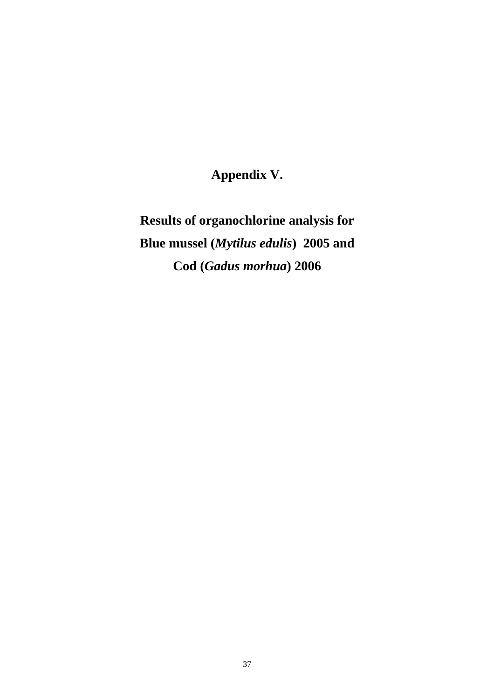**Appendix V.** 

**Results of organochlorine analysis for Blue mussel (***Mytilus edulis***) 2005 and Cod (***Gadus morhua***) 2006**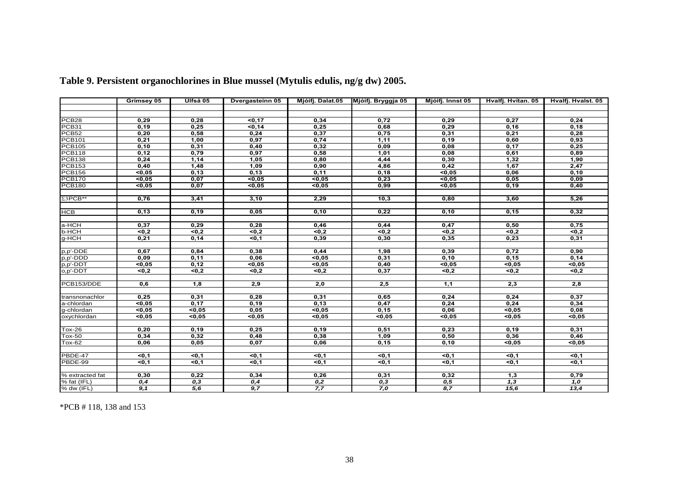|                   | Grímsey 05        | Ulfsá 05      | <b>Dvergasteinn 05</b> | Mjóifj. Dalat.05 | Mjóifj. Bryggja 05 | Mjóifj. Innst 05 | Hvalfj. Hvítan. 05 | Hvalfj. Hvalst. 05 |
|-------------------|-------------------|---------------|------------------------|------------------|--------------------|------------------|--------------------|--------------------|
|                   |                   |               |                        |                  |                    |                  |                    |                    |
|                   |                   |               |                        |                  |                    |                  |                    |                    |
| PCB <sub>28</sub> | 0,29              | 0,28          | 50,17                  | 0,34             | 0,72               | 0,29             | 0,27               | 0,24               |
| PCB31             | 0,19              | 0,25          | 50,14                  | 0,25             | 0,68               | 0,29             | 0,16               | 0,18               |
| PCB52             | 0,20              | 0,58          | 0,24                   | 0,37             | 0,75               | 0,31             | 0,21               | 0,28               |
| <b>PCB101</b>     | 0,21              | 1,00          | 0,97                   | 0,74             | 1,11               | 0,19             | 0,60               | 0,93               |
| <b>PCB105</b>     | 0,10              | 0,31          | 0,40                   | 0,32             | 0,09               | 0,08             | 0,17               | 0,25               |
| <b>PCB118</b>     | 0,12              | 0,79          | 0,97                   | 0,58             | 1,01               | 0,08             | 0,61               | 0,89               |
| <b>PCB138</b>     | 0,24              | 1,14          | 1,05                   | 0,80             | 4,44               | 0,30             | 1,32               | 1,90               |
| <b>PCB153</b>     | 0,40              | 1,48          | 1,09                   | 0,90             | 4,86               | 0,42             | 1,67               | 2,47               |
| <b>PCB156</b>     | 50,05             | 0,13          | 0,13                   | 0,11             | 0, 18              | 50,05            | 0,06               | 0, 10              |
| <b>PCB170</b>     | 50,05             | 0,07          | 50,05                  | 50,05            | 0,23               | 50,05            | 0,05               | 0,09               |
| <b>PCB180</b>     | 50,05             | 0,07          | 50,05                  | 50,05            | 0,99               | 50,05            | 0,19               | 0,40               |
|                   |                   |               |                        |                  |                    |                  |                    |                    |
| $\Sigma$ 3PCB**   | 0,76              | 3,41          | 3,10                   | 2,29             | 10,3               | 0,80             | 3,60               | 5,26               |
| <b>HCB</b>        | 0,13              | 0, 19         | 0,05                   | 0,10             | 0,22               | 0,10             | 0, 15              | 0,32               |
|                   |                   |               |                        |                  |                    |                  |                    |                    |
| a-HCH             | 0,37              | 0,29          | 0,28                   | 0,46             | 0,44               | 0,47             | 0,50               | 0,75               |
| <b>b-HCH</b>      | 50,2              | $\sqrt{50,2}$ | $\sqrt{50,2}$          | 50,2             | $\overline{50,2}$  | 50,2             | 50,2               | $\sqrt{50,2}$      |
| g-HCH             | 0,21              | 0,14          | 50,1                   | 0,39             | 0,30               | 0,35             | 0,23               | 0,31               |
|                   |                   |               |                        |                  |                    |                  |                    |                    |
| p,p'-DDE          | 0,67              | 0,84          | 0,38                   | 0,44             | 1,98               | 0,39             | 0,72               | 0,90               |
| p,p'-DDD          | 0,09              | 0,11          | 0,06                   | 50,05            | 0,31               | 0,10             | 0,15               | 0,14               |
| p,p'-DDT          | < 0, 05           | 0,12          | < 0, 05                | < 0, 05          | 0,40               | $0,05$           | < 0,05             | $0,05$             |
| o,p'-DDT          | 50,2              | 50,2          | 50,2                   | 50,2             | 0,37               | 50,2             | $\sqrt{50,2}$      | 50,2               |
|                   |                   |               |                        |                  |                    |                  |                    |                    |
| PCB153/DDE        | 0,6               | 1,8           | 2,9                    | 2,0              | 2,5                | 1,1              | 2,3                | 2,8                |
|                   |                   |               |                        |                  |                    |                  |                    |                    |
| transnonachlor    | 0,25              | 0,31          | 0,28                   | 0,31             | 0,65               | 0.24             | 0,24               | 0,37               |
| a-chlordan        | 50,05             | 0,17          | 0, 19                  | 0,13             | 0,47               | 0,24             | 0,24               | 0,34               |
| g-chlordan        | 50,05             | 50,05         | 0,05                   | 50,05            | 0, 15              | 0,06             | 50,05              | 0,08               |
| oxychlordan       | 50,05             | 50,05         | 50,05                  | 50,05            | 50,05              | 50,05            | 50,05              | 50,05              |
|                   |                   |               |                        |                  |                    |                  |                    |                    |
| <b>Tox-26</b>     | 0,20              | 0,19          | 0,25                   | 0,19             | 0,51               | 0,23             | 0, 19              | 0,31               |
| <b>Tox-50</b>     | 0,34              | 0,32          | 0,48                   | 0,38             | 1,09               | 0,50             | 0,36               | 0,46               |
| <b>Tox-62</b>     | 0,06              | 0,05          | 0,07                   | 0,06             | 0,15               | 0,10             | 50,05              | < 0.05             |
|                   |                   |               |                        |                  |                    |                  |                    |                    |
| PBDE-47           | < 0.1             | $0,1$         | $0,1$                  | <0.1             | 50,1               | < 0.1            | < 0, 1             | <0,1               |
| PBDE-99           | $\overline{50,1}$ | 50,1          | 50,1                   | 50,1             | $0,1$              | 50,1             | $\overline{50,1}$  | 50,1               |
| % extracted fat   | 0,30              | 0,22          | 0,34                   | 0,26             | 0,31               | 0,32             | 1,3                | 0,79               |
| % fat (IFL)       | 0,4               | 0,3           | 0,4                    | 0,2              | 0,3                | 0,5              | 1,3                | $\overline{1,0}$   |
| % dw (IFL)        | 9,1               | 5,6           | 9,7                    | 7,7              | 7,0                | 8,7              | 15,6               | 13,4               |
|                   |                   |               |                        |                  |                    |                  |                    |                    |

# **Table 9. Persistent organochlorines in Blue mussel (Mytulis edulis, ng/g dw) 2005.**

\*PCB # 118, 138 and 153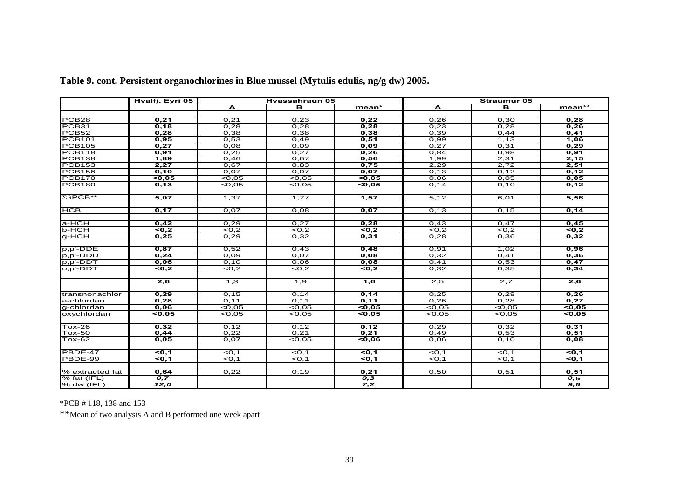|                   | Hvalfj. Eyri 05 |                   | Hyassahraun 05    |       | <b>Straumur 05</b> |                   |                   |  |  |
|-------------------|-----------------|-------------------|-------------------|-------|--------------------|-------------------|-------------------|--|--|
|                   |                 | A                 | в                 | mean* | A                  | в                 | mean**            |  |  |
|                   |                 |                   |                   |       |                    |                   |                   |  |  |
| PCB <sub>28</sub> | 0,21            | 0,21              | 0,23              | 0,22  | 0,26               | 0,30              | 0.28              |  |  |
| PCB31             | 0,18            | 0,28              | 0,28              | 0,28  | 0,23               | 0,28              | 0,26              |  |  |
| PCB <sub>52</sub> | 0,28            | 0,38              | 0,38              | 0,38  | 0,39               | O,44              | 0,41              |  |  |
| <b>PCB101</b>     | 0,95            | 0,53              | 0,49              | 0,51  | 0,99               | 1,13              | 1,06              |  |  |
| <b>PCB105</b>     | 0,27            | 0,08              | 0,09              | 0.09  | 0.27               | 0,31              | 0.29              |  |  |
| <b>PCB118</b>     | 0,91            | 0,25              | 0,27              | 0,26  | 0,84               | 0,98              | 0,91              |  |  |
| <b>PCB138</b>     | 1,89            | 0,46              | 0,67              | 0,56  | 1,99               | 2,31              | 2,15              |  |  |
| <b>PCB153</b>     | 2,27            | 0.67              | 0,83              | 0.75  | 2.29               | 2.72              | 2,51              |  |  |
| <b>PCB156</b>     | 0, 10           | 0,07              | 0,07              | 0,07  | 0, 13              | 0,12              | 0, 12             |  |  |
| <b>PCB170</b>     | <0.05           | <0.05             | <0,05             | <0.05 | 0,06               | 0,05              | 0,05              |  |  |
| <b>PCB180</b>     | 0,13            | <0.05             | <0.05             | 50,05 | 0, 14              | O, 1O             | 0,12              |  |  |
|                   |                 |                   |                   |       |                    |                   |                   |  |  |
| $\Sigma$ 3PCB**   | 5,07            | 1,37              | 1,77              | 1,57  | 5,12               | 6,01              | 5,56              |  |  |
| <b>HCB</b>        | 0,17            | 0,07              | 0,08              | 0,07  | 0,13               | 0, 15             | 0,14              |  |  |
|                   |                 |                   |                   |       |                    |                   |                   |  |  |
| a-HCH             | 0.42            | 0.29              | 0.27              | 0,28  | 0.43               | 0,47              | 0.45              |  |  |
| <b>b-HCH</b>      | < 0,2           | <0.2              | <0.2              | 50,2  | <0,2               | <0.2              | $\overline{50.2}$ |  |  |
| $q-HCH$           | 0,25            | 0.29              | 0,32              | 0,31  | 0.28               | 0,36              | 0,32              |  |  |
|                   |                 |                   |                   |       |                    |                   |                   |  |  |
| p,p'-DDE          | 0,87            | 0,52              | 0,43              | 0,48  | 0,91               | 1,02              | 0,96              |  |  |
| p,p'-DDD          | 0.24            | 0.09              | 0.07              | 0.08  | 0.32               | 0.41              | 0.36              |  |  |
| p,p'-DDT          | 0,06            | O, 1O             | 0,06              | 0,08  | 0,41               | 0,53              | 0,47              |  |  |
| o,p'-DDT          | <0.2            | <0.2              | <0.2              | <0.2  | 0,32               | 0,35              | 0.34              |  |  |
|                   |                 |                   |                   |       |                    |                   |                   |  |  |
|                   | 2,6             | 1,3               | 1,9               | 1,6   | $\overline{2,5}$   | 2,7               | $\overline{2,6}$  |  |  |
|                   |                 |                   |                   |       |                    |                   |                   |  |  |
| transnonachlor    | 0.29            | 0,15              | 0, 14             | 0.14  | 0,25               | 0,28              | 0.26              |  |  |
| a-chlordan        | 0.28            | 0.11              | 0.11              | 0.11  | 0.26               | 0,28              | 0.27              |  |  |
| g-chlordan        | 0,06            | <0,05             | <0,05             | 50,05 | <0.05              | <0,05             | < 0.05            |  |  |
| oxychlordan       | 50,05           | <0.05             | <0.05             | 50,05 | <0.05              | <0.05             | 50,05             |  |  |
| $Tox-26$          | 0,32            | 0,12              | 0,12              | 0,12  | 0,29               | 0,32              | 0,31              |  |  |
| $Tox-50$          | 0,44            | 0,22              | 0,21              | 0,21  | 0,49               | 0,53              | 0,51              |  |  |
| $Tox-62$          | 0.05            | 0,07              | <0.05             | 50,06 | 0,06               | 0, 10             | 0,08              |  |  |
|                   |                 |                   |                   |       |                    |                   |                   |  |  |
| <b>PBDE-47</b>    | < 0, 1          | <0,1              | $<$ 0,1           | < 0.1 | <0,1               | $<$ O, 1          | <0.1              |  |  |
| PBDE-99           | < 0.1           | $\overline{50,1}$ | $\overline{50,1}$ | 30.1  | $\overline{50,1}$  | $\overline{50,1}$ | 30.1              |  |  |
|                   |                 |                   |                   |       |                    |                   |                   |  |  |
| % extracted fat   | 0,64            | 0,22              | 0,19              | 0,21  | 0,50               | 0,51              | 0,51              |  |  |
| % fat (IFL)       | 0.7             |                   |                   | 0,3   |                    |                   | 0.6               |  |  |
| % dw $(IFL)$      | 12,0            |                   |                   | 7,2   |                    |                   | $\overline{9,6}$  |  |  |

**Table 9. cont. Persistent organochlorines in Blue mussel (Mytulis edulis, ng/g dw) 2005.** 

\*PCB # 118, 138 and 153

\*\*Mean of two analysis A and B performed one week apart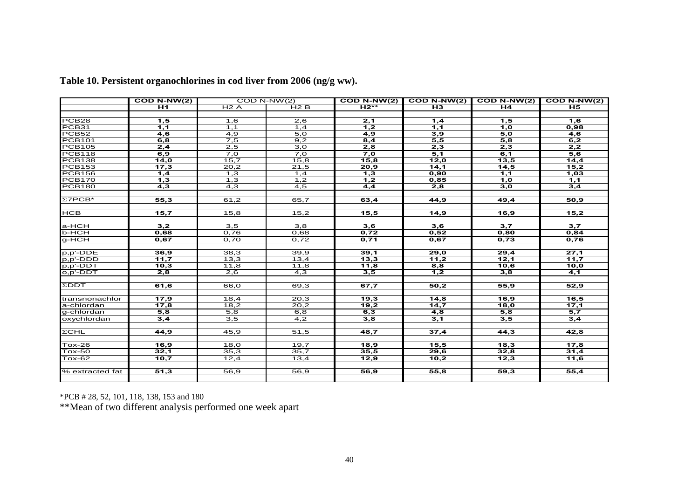|                   | $COD N-WW(2)$    |                  | $COD N-NW(2)$    | $COD N-NW(2)$    |                  | COD N-NW(2) COD N-NW(2) COD N-NW(2) |                  |
|-------------------|------------------|------------------|------------------|------------------|------------------|-------------------------------------|------------------|
|                   | <b>H1</b>        | H2A              | H2B              | $H2***$          | <b>H3</b>        | H4                                  | <b>H5</b>        |
|                   |                  |                  |                  |                  |                  |                                     |                  |
| PCB <sub>28</sub> | 1,5              | 1,6              | $\overline{2,6}$ | 2,1              | 1,4              | 1,5                                 | 1,6              |
| PCB31             | 1,1              | 1,1              | 1,4              | 1,2              | 1,1              | 1,0                                 | 0,98             |
| PCB <sub>52</sub> | $\overline{4,6}$ | $\overline{4,9}$ | 5,0              | $\overline{4,9}$ | 3,9              | 5,0                                 | 4,6              |
| <b>PCB101</b>     | 6,8              | 7,5              | 9,2              | 8,4              | 5,5              | 5,8                                 | 6,2              |
| <b>PCB105</b>     | 2,4              | 2,5              | 3,0              | 2,8              | 2,3              | 2,3                                 | 2,2              |
| <b>PCB118</b>     | 6,9              | 7,0              | 7,0              | 7,0              | 5,1              | 6,1                                 | 5,6              |
| <b>PCB138</b>     | 14,0             | 15,7             | 15,8             | 15,8             | 12,0             | 13,5                                | 14,4             |
| <b>PCB153</b>     | 17,3             | 20,2             | 21,5             | 20,9             | 14,1             | 14,5                                | 15,2             |
| <b>PCB156</b>     | 1,4              | 1,3              | 1,4              | $\overline{1,3}$ | 0,90             | 1,1                                 | 1,03             |
| <b>PCB170</b>     | 1,3              | 1,3              | 1,2              | 1,2              | 0,85             | 1,0                                 | 1,1              |
| <b>PCB180</b>     | $\overline{4,3}$ | $\overline{4,3}$ | $\overline{4,5}$ | $\overline{4,4}$ | 2,8              | 3,0                                 | 3,4              |
|                   |                  |                  |                  |                  |                  |                                     |                  |
| $\Sigma$ 7PCB*    | 55,3             | 61,2             | 65,7             | 63,4             | 44,9             | 49,4                                | 50,9             |
|                   |                  |                  |                  |                  |                  |                                     |                  |
| <b>HCB</b>        | 15,7             | 15,8             | 15,2             | 15,5             | 14,9             | 16,9                                | 15,2             |
|                   |                  |                  |                  |                  |                  |                                     |                  |
| a-HCH             | 3,2              | $\overline{3,5}$ | $\overline{3,8}$ | 3,6              | 3,6              | $\overline{3,7}$                    | $\overline{3,7}$ |
| b-HCH             | 0,68             | 0,76             | 0,68             | 0,72             | 0,52             | 0,80                                | 0,84             |
| $g$ -HCH          | 0,67             | 0,70             | 0,72             | 0,71             | 0,67             | 0,73                                | 0,76             |
|                   |                  |                  |                  |                  |                  |                                     |                  |
| $p, p'$ -DDE      | 36,9             | 38,3             | 39,9             | 39,1             | 29,0             | 29,4                                | 27,1             |
| p,p'-DDD          | 11,7             | 13,3             | 13,4             | 13,3             | 11,2             | 12,1                                | 11,7             |
| p,p'-DDT          | 10,3             | 11,8             | 11,8             | 11,8             | 8,8              | 10,6                                | 10,0             |
| o,p'-DDT          | 2,8              | 2,6              | 4,3              | 3,5              | $\overline{1,2}$ | 3,8                                 | 4,1              |
|                   |                  |                  |                  |                  |                  |                                     |                  |
| $\Sigma$ DDT      | 61,6             | 66,0             | 69,3             | 67,7             | 50,2             | 55,9                                | 52,9             |
|                   |                  |                  |                  |                  |                  |                                     |                  |
| transnonachlor    | 17,9             | 18,4             | 20,3             | 19,3             | 14,8             | 16,9                                | 16,5             |
| a-chlordan        | 17,8             | 18,2             | 20,2             | 19,2             | 14,7             | 18,0                                | 17,1             |
| g-chlordan        | $\overline{5,8}$ | $\overline{5,8}$ | 6,8              | 6,3              | $\overline{4,8}$ | $\overline{5,8}$                    | $\overline{5,7}$ |
| oxychlordan       | $\overline{3,4}$ | $\overline{3,5}$ | $\overline{4,2}$ | $\overline{3,8}$ | 3,1              | 3,5                                 | 3,4              |
|                   |                  |                  |                  |                  |                  |                                     |                  |
| $\Sigma$ CHL      | 44,9             | 45,9             | 51,5             | 48,7             | 37,4             | 44,3                                | 42,8             |
|                   |                  |                  |                  |                  |                  |                                     |                  |
| $Tox-26$          | 16,9             | 18,0             | 19,7             | 18,9             | 15,5             | 18,3                                | 17,8             |
| $Tox-50$          | 32,1             | 35,3             | 35,7             | 35,5             | 29,6             | 32,8                                | 31,4             |
| <b>Tox-62</b>     | 10,7             | 12,4             | 13,4             | 12,9             | 10,2             | 12,3                                | 11,6             |
|                   |                  |                  |                  |                  |                  |                                     |                  |
| % extracted fat   | 51,3             | 56,9             | 56,9             | 56,9             | 55,8             | 59,3                                | 55,4             |
|                   |                  |                  |                  |                  |                  |                                     |                  |

**Table 10. Persistent organochlorines in cod liver from 2006 (ng/g ww).** 

\*PCB # 28, 52, 101, 118, 138, 153 and 180

\*\*Mean of two different analysis performed one week apart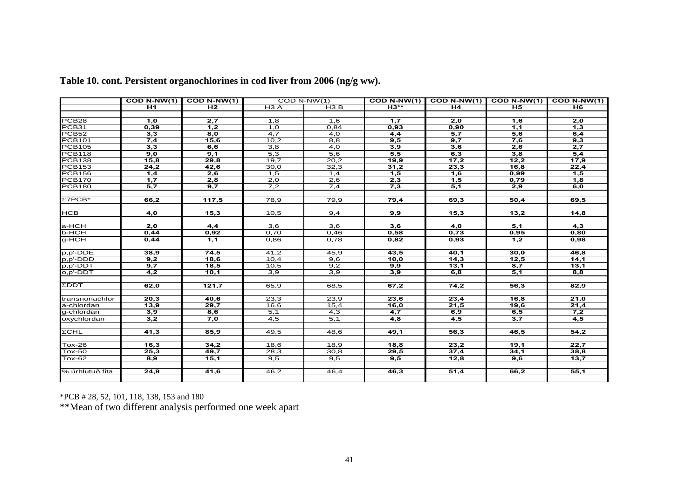|                   | $\overline{COD N\text{-}NW(1)}$ | $COD N-NW(1)$    |                  | $COD N-NW(1)$ | $COD N-NW(1)$    |                  | COD N-NW(1) COD N-NW(1) COD N-NW(1) |                  |
|-------------------|---------------------------------|------------------|------------------|---------------|------------------|------------------|-------------------------------------|------------------|
|                   | H1                              | H <sub>2</sub>   | H <sub>3</sub> A | H3B           | $H3**$           | H <sub>4</sub>   | <b>H5</b>                           | H6               |
|                   |                                 |                  |                  |               |                  |                  |                                     |                  |
| PCB <sub>28</sub> | 1,0                             | 2,7              | 1,8              | 1,6           | 1,7              | 2,0              | 1,6                                 | 2,0              |
| PCB31             | 0,39                            | $\overline{1,2}$ | 1,0              | 0,84          | 0,93             | 0,90             | 1,1                                 | $\overline{1,3}$ |
| PCB52             | 3,3                             | 8,0              | 4,7              | 4,0           | $\overline{4,4}$ | $\overline{5,7}$ | 5,6                                 | 6,4              |
| <b>PCB101</b>     | 7,4                             | 15,6             | 10,2             | 8,8           | 9,5              | 9,7              | 7,6                                 | 9,3              |
| <b>PCB105</b>     | 3,3                             | 6,6              | 3,8              | 4,0           | 3,9              | 3,6              | 2,6                                 | 2,7              |
| <b>PCB118</b>     | 9,0                             | 9,1              | $\overline{5,3}$ | 5,6           | 5,5              | 6,3              | 3,8                                 | 5,4              |
| <b>PCB138</b>     | 15,8                            | 29,8             | 19,7             | 20,2          | 19,9             | 17,2             | 12,2                                | 17,9             |
| <b>PCB153</b>     | 24,2                            | 42,6             | 30,0             | 32,3          | 31,2             | 23,3             | 16,8                                | 22,4             |
| <b>PCB156</b>     | 1,4                             | 2,6              | 1,5              | 1,4           | 1,5              | 1,6              | 0,99                                | 1,5              |
| <b>PCB170</b>     | 1.7                             | 2,8              | 2,0              | 2,6           | 2,3              | 1,5              | 0.79                                | 1.8              |
| <b>PCB180</b>     | $\overline{5,7}$                | 9,7              | 7,2              | 7,4           | 7,3              | 5,1              | 2,9                                 | 6,0              |
|                   |                                 |                  |                  |               |                  |                  |                                     |                  |
| $\Sigma$ 7PCB*    | 66,2                            | 117,5            | 78,9             | 79,9          | 79,4             | 69,3             | 50,4                                | 69,5             |
|                   |                                 |                  |                  |               |                  |                  |                                     |                  |
| <b>HCB</b>        | $\overline{4,0}$                | 15,3             | 10,5             | 9,4           | 9,9              | 15,3             | 13,2                                | 14,8             |
|                   |                                 |                  |                  |               |                  |                  |                                     |                  |
| a-HCH             | 2,0                             | 4,4              | 3,6              | 3,6           | 3,6              | 4,0              | 5,1                                 | 4,3              |
| b-HCH             | 0,44                            | 0,92             | 0,70             | 0,46          | 0.58             | 0,73             | 0,95                                | 0,80             |
| g-HCH             | 0,44                            | 1,1              | 0,86             | 0,78          | 0.82             | 0,93             | 1,2                                 | 0,98             |
|                   |                                 |                  |                  |               |                  |                  |                                     |                  |
| p,p'-DDE          | 38,9                            | 74,5             | 41,2             | 45,9          | 43,5             | 40,1             | 30,0                                | 46,8             |
| p,p'-DDD          | 9,2                             | 18,6             | 10,4             | 9,6           | 10,0             | 14,3             | 12,5                                | 14,1             |
| p,p'-DDT          | 9,7                             | 18,5             | 10,5             | 9,2           | 9,9              | 13,1             | 8,7                                 | 13,1             |
| o,p'-DDT          | 4,2                             | 10,1             | 3,9              | 3,9           | 3,9              | 6,8              | 5,1                                 | 8,8              |
|                   |                                 |                  |                  |               |                  |                  |                                     |                  |
| ΣDDT              | 62,0                            | 121,7            | 65,9             | 68,5          | 67,2             | 74,2             | 56,3                                | 82,9             |
|                   |                                 |                  |                  |               |                  |                  |                                     |                  |
| transnonachlor    | 20,3                            | 40,6             | 23,3             | 23,9          | 23,6             | 23,4             | 16,8                                | 21,0             |
| a-chlordan        | 13,9                            | 29.7             | 16,6             | 15,4          | 16,0             | 21,5             | 19,6                                | 21,4             |
| g-chlordan        | 3,9                             | 8,6              | 5,1              | 4,3           | $\overline{4,7}$ | 6,9              | 6, 5                                | $7,\overline{2}$ |
| oxychlordan       | 3,2                             | 7,0              | $\overline{4,5}$ | 5,1           | $\overline{4,8}$ | $\overline{4,5}$ | $\overline{3,7}$                    | 4,5              |
|                   |                                 |                  |                  |               |                  |                  |                                     |                  |
| $\Sigma$ CHL      | 41,3                            | 85,9             | 49,5             | 48,6          | 49,1             | 56,3             | 46.5                                | 54,2             |
|                   |                                 |                  |                  |               |                  |                  |                                     |                  |
| $Tox-26$          | 16,3                            | 34,2             | 18,6             | 18,9          | 18,8             | 23,2             | 19,1                                | 22,7             |
| <b>Tox-50</b>     | 25,3                            | 49,7             | 28,3             | 30,8          | 29,5             | 37,4             | 34,1                                | 38,8             |
| <b>Tox-62</b>     | 8,9                             | 15,1             | 9,5              | 9,5           | 9,5              | 12,8             | 9,6                                 | 13,7             |
|                   |                                 |                  |                  |               |                  |                  |                                     |                  |
| % úrhlutuð fita   | 24,9                            | 41,6             | 46,2             | 46,4          | 46,3             | 51,4             | 66,2                                | 55,1             |
|                   |                                 |                  |                  |               |                  |                  |                                     |                  |

**Table 10. cont. Persistent organochlorines in cod liver from 2006 (ng/g ww).** 

\*PCB # 28, 52, 101, 118, 138, 153 and 180

\*\*Mean of two different analysis performed one week apart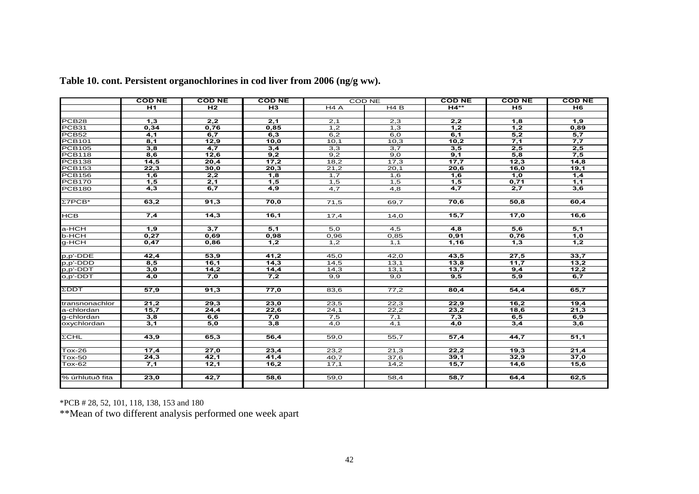|                   | <b>COD NE</b>    | <b>COD NE</b>    | <b>COD NE</b>    |                  | <b>COD NE</b>    | <b>COD NE</b>    | <b>COD NE</b>    | <b>COD NE</b>     |
|-------------------|------------------|------------------|------------------|------------------|------------------|------------------|------------------|-------------------|
|                   | $\overline{H1}$  | H <sub>2</sub>   | $H_3$            | H4A              | H4B              | $H4***$          | H <sub>5</sub>   | H <sub>6</sub>    |
|                   |                  |                  |                  |                  |                  |                  |                  |                   |
| PCB <sub>28</sub> | 1,3              | 2,2              | 2,1              | 2,1              | 2,3              | 2,2              | 1,8              | 1,9               |
| PCB31             | 0,34             | 0,76             | 0,85             | 1,2              | 1,3              | 1,2              | 1,2              | 0,89              |
| PCB <sub>52</sub> | 4,1              | 6,7              | 6,3              | 6,2              | 6,0              | 6,1              | $\overline{5,2}$ | $\overline{5,7}$  |
| <b>PCB101</b>     | 8,1              | 12,9             | 10,0             | 10,1             | 10,3             | 10,2             | 7,1              | 7,7               |
| <b>PCB105</b>     | 3,8              | 4,7              | 3,4              | 3,3              | 3,7              | 3,5              | 2,5              | 2,5               |
| <b>PCB118</b>     | 8,6              | 12,6             | 9,2              | 9,2              | 9,0              | 9,1              | 5,8              | 7,5               |
| <b>PCB138</b>     | 14,5             | 20,4             | 17,2             | 18,2             | 17,3             | 17,7             | 12,3             | 14,8              |
| <b>PCB153</b>     | 22,3             | 30,0             | 20,3             | 21,2             | 20,1             | 20,6             | 16,0             | 19,1              |
| <b>PCB156</b>     | 1,6              | 2,2              | 1,8              | 1,7              | 1,6              | 1,6              | 1,0              | 1,4               |
| <b>PCB170</b>     | 1,5              | 2,1              | 1,5              | 1,5              | 1,5              | 1,5              | 0,71             | 1,1               |
| <b>PCB180</b>     | $\overline{4,3}$ | 6.7              | $\overline{4,9}$ | $\overline{4.7}$ | $\overline{4,8}$ | $\overline{4,7}$ | 2,7              | 3,6               |
|                   |                  |                  |                  |                  |                  |                  |                  |                   |
| $\Sigma$ 7PCB*    | 63,2             | 91,3             | 70,0             | 71,5             | 69,7             | 70,6             | 50,8             | 60,4              |
|                   |                  |                  |                  |                  |                  |                  |                  |                   |
| <b>HCB</b>        | 7,4              | 14,3             | 16,1             | 17,4             | 14,0             | 15,7             | 17,0             | $\overline{16,6}$ |
|                   |                  |                  |                  |                  |                  |                  |                  |                   |
| a-HCH             | $\overline{1,9}$ | $\overline{3,7}$ | 5,1              | 5,0              | 4,5              | $\overline{4,8}$ | $\overline{5,6}$ | 5,1               |
| <b>b-HCH</b>      | 0,27             | 0,69             | 0,98             | 0,96             | 0,85             | 0,91             | 0,76             | 1,0               |
| g-HCH             | 0,47             | 0,86             | 1,2              | 1,2              | 1,1              | 1,16             | 1,3              | 1,2               |
|                   |                  |                  |                  |                  |                  |                  |                  |                   |
| p,p'-DDE          | 42,4             | 53,9             | 41,2             | 45,0             | 42,0             | 43,5             | 27,5             | 33,7              |
| p,p'-DDD          | 8,5              | 16,1             | 14,3             | 14,5             | 13,1             | 13,8             | 11,7             | 13,2              |
| p,p'-DDT          | 3,0              | 14,2             | 14,4             | 14,3             | 13,1             | 13,7             | 9,4              | 12,2              |
| o,p'-DDT          | 4,0              | 7,0              | 7,2              | 9,9              | 9,0              | 9,5              | 5,9              | 6,7               |
|                   |                  |                  |                  |                  |                  |                  |                  |                   |
| <b>ZDDT</b>       | 57,9             | 91,3             | 77,0             | 83,6             | 77,2             | 80,4             | 54,4             | 65,7              |
|                   |                  |                  |                  |                  |                  |                  |                  |                   |
| transnonachlor    | 21,2             | 29,3             | 23,0             | 23,5             | 22,3             | 22,9             | 16,2             | 19,4              |
| a-chlordan        | 15,7             | 24,4             | 22,6             | 24,1             | 22,2             | 23,2             | 18,6             | 21,3              |
| g-chlordan        | 3,8              | 6,6              | 7,0              | 7,5              | 7,1              | 7,3              | 6, 5             | 6,9               |
| oxychlordan       | $\overline{3,1}$ | 5,0              | 3,8              | 4,0              | $\overline{4,1}$ | 4,0              | 3,4              | 3,6               |
|                   |                  |                  |                  |                  |                  |                  |                  |                   |
| $\Sigma$ CHL      | 43,9             | 65,3             | 56,4             | 59.0             | 55.7             | 57,4             | 44,7             | 51,1              |
|                   |                  |                  |                  |                  |                  |                  |                  |                   |
| <b>Tox-26</b>     | 17,4             | 27,0             | 23,4             | 23,2             | 21.3<br>37,6     | 22,2             | 19,3             | 21,4              |
| <b>Tox-50</b>     | 24,3             | 42,1             | 41,4             | 40,7             |                  | 39,1             | 32,9             | 37,0              |
| <b>Tox-62</b>     | 7,1              | 12,1             | 16,2             | 17,1             | 14,2             | 15,7             | 14,6             | 15,6              |
|                   |                  |                  |                  |                  |                  |                  |                  |                   |
| % úrhlutuð fita   | 23,0             | 42,7             | 58,6             | 59,0             | 58,4             | 58,7             | 64,4             | 62,5              |
|                   |                  |                  |                  |                  |                  |                  |                  |                   |

**Table 10. cont. Persistent organochlorines in cod liver from 2006 (ng/g ww).** 

\*PCB # 28, 52, 101, 118, 138, 153 and 180

\*\*Mean of two different analysis performed one week apart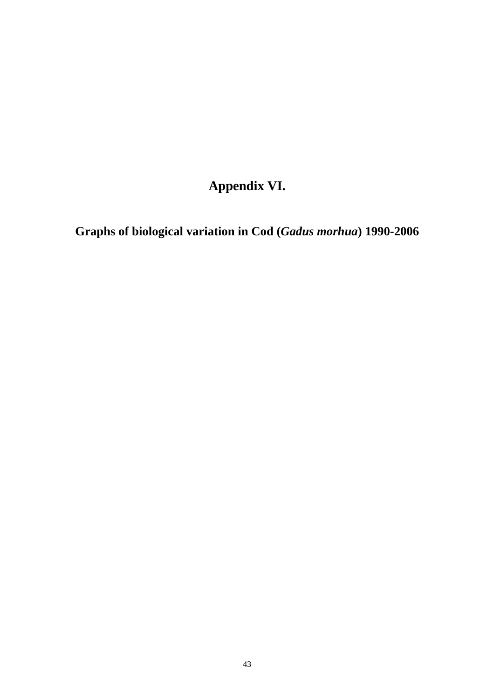# **Appendix VI.**

**Graphs of biological variation in Cod (***Gadus morhua***) 1990-2006**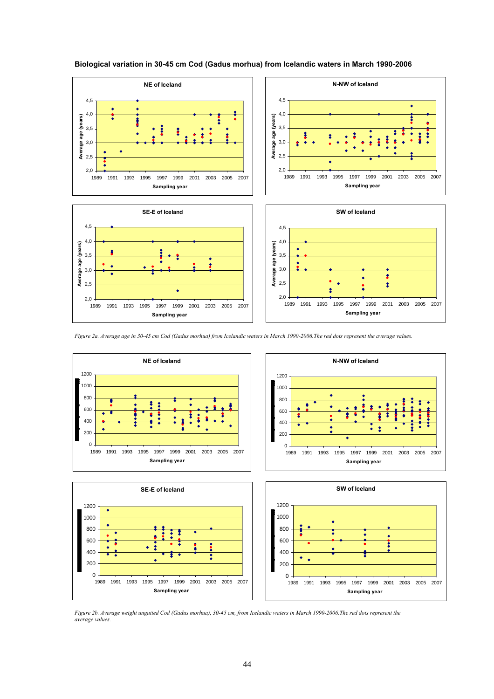

#### **Biological variation in 30-45 cm Cod (Gadus morhua) from Icelandic waters in March 1990-2006**

*Figure 2a. Average age in 30-45 cm Cod (Gadus morhua) from Icelandic waters in March 1990-2006.The red dots represent the average values.* 



*Figure 2b. Average weight ungutted Cod (Gadus morhua), 30-45 cm, from Icelandic waters in March 1990-2006.The red dots represent the average values.*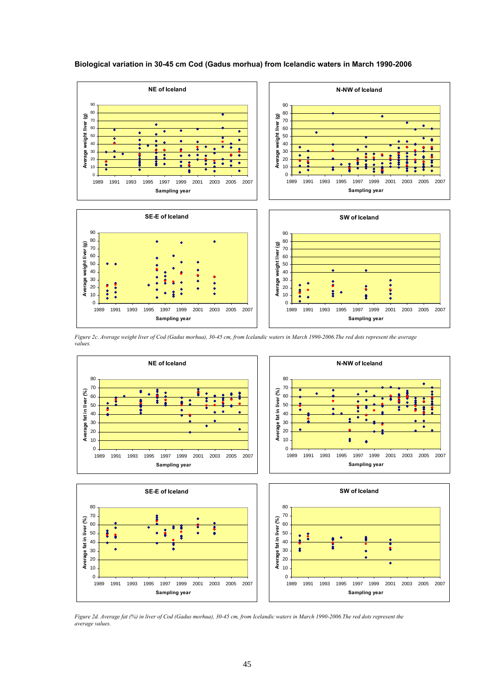

**SE-E of Iceland**

1989 1991 1993 1995 1997 1999 2001 2003 2005 2007 **Sampling year**

**Average fat in liver (%)**

Average fat in liver (%)

**Average weight liver (g)**

Average weight liver (g)

#### **Biological variation in 30-45 cm Cod (Gadus morhua) from Icelandic waters in March 1990-2006**



1989 1991 1993 1995 1997 1999 2001 2003 2005 2007 **Sampling year**

**N-NW of Iceland**

*Figure 2c. Average weight liver of Cod (Gadus morhua), 30-45 cm, from Icelandic waters in March 1990-2006.The red dots represent the average values.* 







*Figure 2d. Average fat (%) in liver of Cod (Gadus morhua), 30-45 cm, from Icelandic waters in March 1990-2006.The red dots represent the average values.*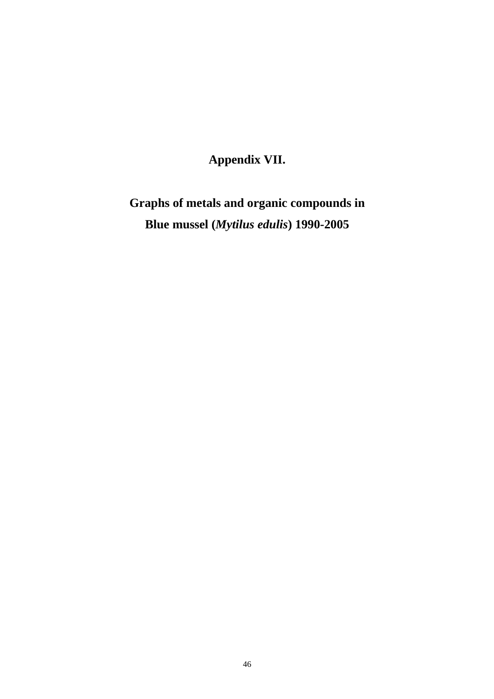# **Appendix VII.**

**Graphs of metals and organic compounds in Blue mussel (***Mytilus edulis***) 1990-2005**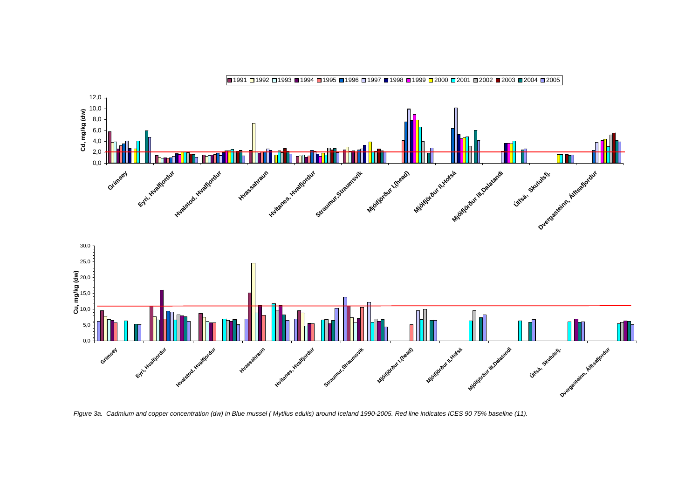

*Figure 3a. Cadmium and copper concentration (dw) in Blue mussel ( Mytilus edulis) around Iceland 1990-2005. Red line indicates ICES 90 75% baseline (11).*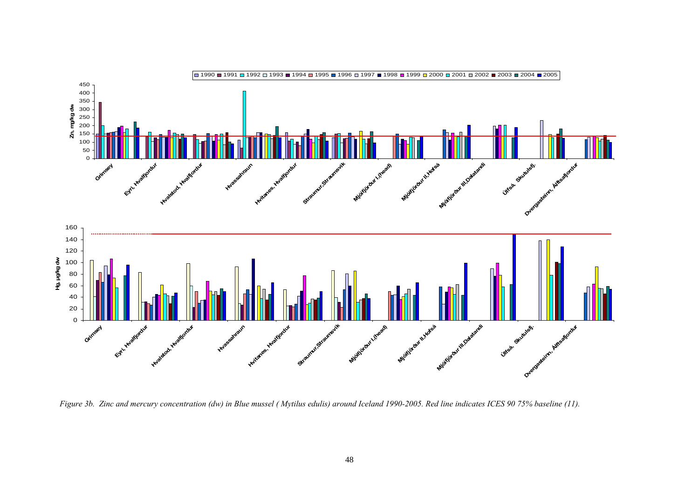

*Figure 3b. Zinc and mercury concentration (dw) in Blue mussel ( Mytilus edulis) around Iceland 1990-2005. Red line indicates ICES 90 75% baseline (11).*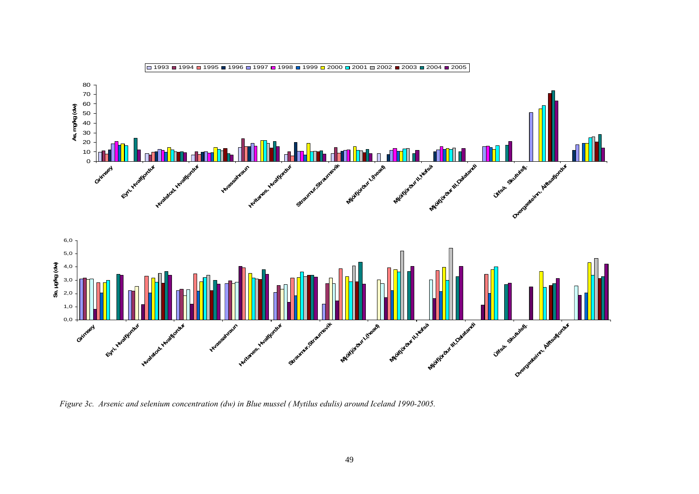

*Figure 3c. Arsenic and selenium concentration (dw) in Blue mussel ( Mytilus edulis) around Iceland 1990-2005.*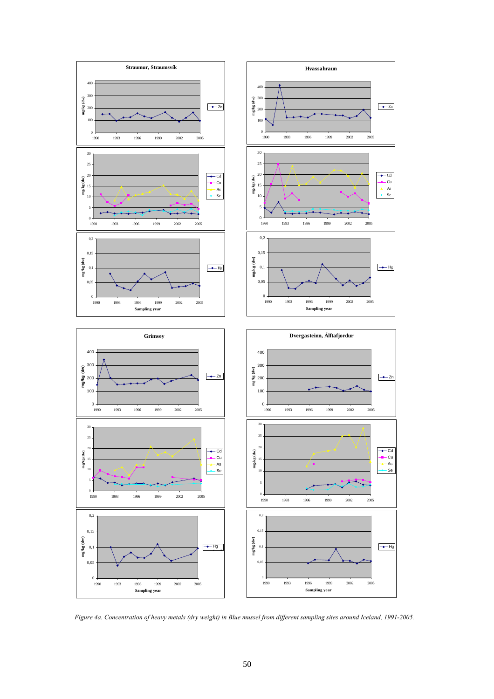

*Figure 4a. Concentration of heavy metals (dry weight) in Blue mussel from different sampling sites around Iceland, 1991-2005.*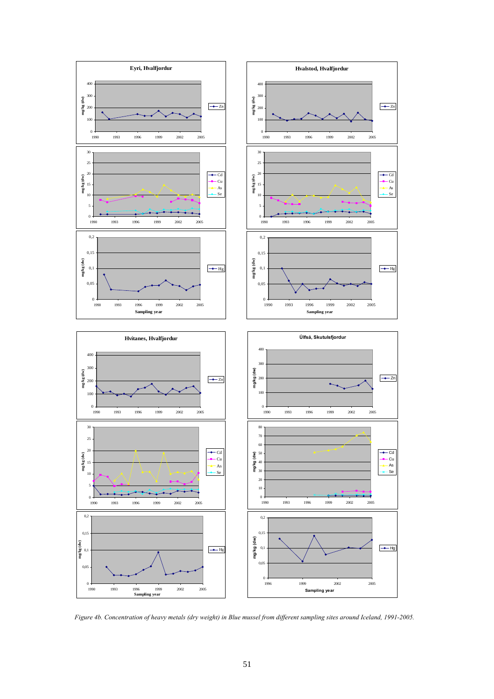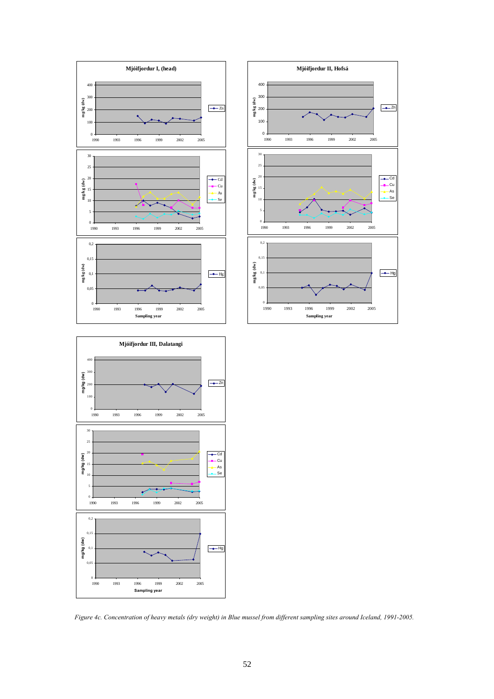

**Sampling year**



*Figure 4c. Concentration of heavy metals (dry weight) in Blue mussel from different sampling sites around Iceland, 1991-2005.*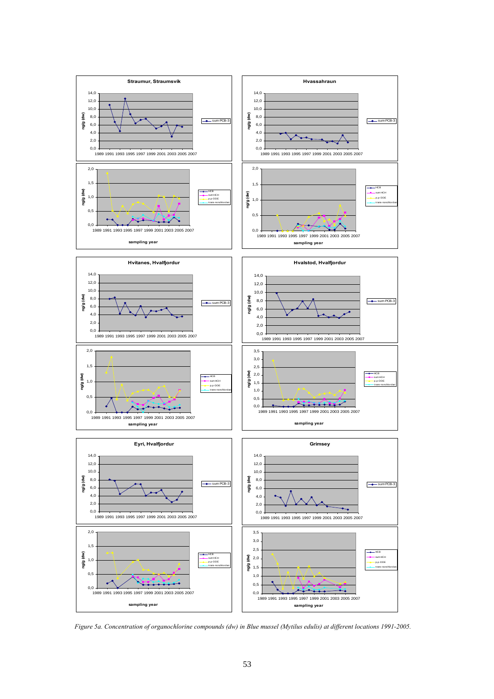

*Figure 5a. Concentration of organochlorine compounds (dw) in Blue mussel (Mytilus edulis) at different locations 1991-2005.*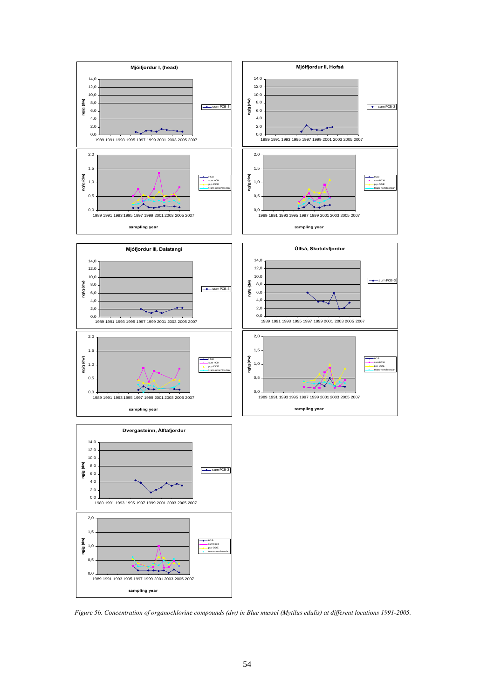

*Figure 5b. Concentration of organochlorine compounds (dw) in Blue mussel (Mytilus edulis) at different locations 1991-2005.*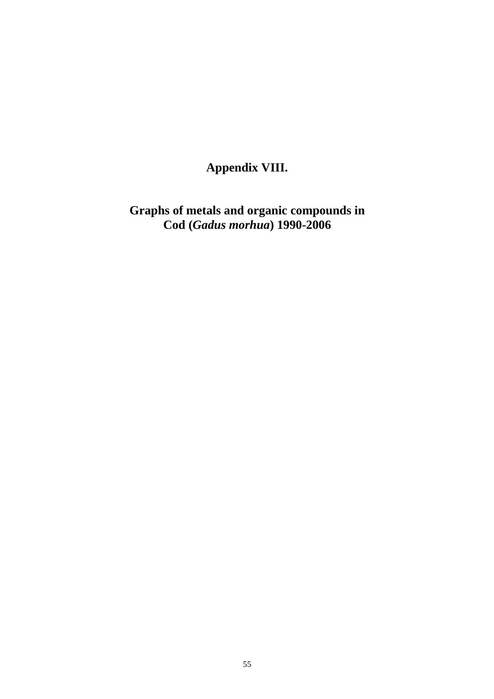# **Appendix VIII.**

**Graphs of metals and organic compounds in Cod (***Gadus morhua***) 1990-2006**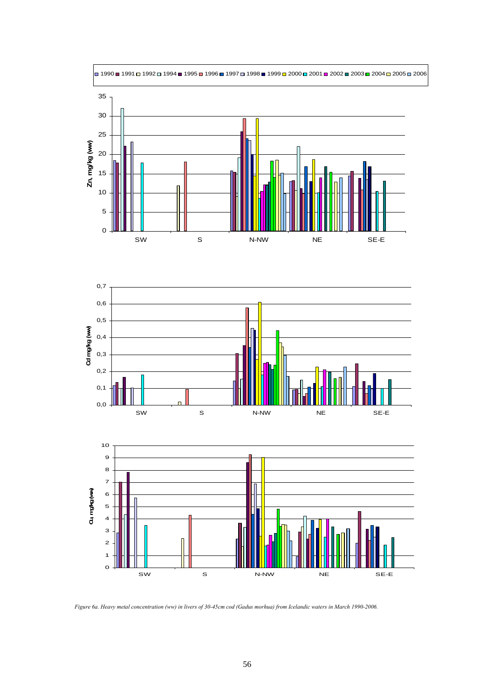

*Figure 6a. Heavy metal concentration (ww) in livers of 30-45cm cod (Gadus morhua) from Icelandic waters in March 1990-2006.*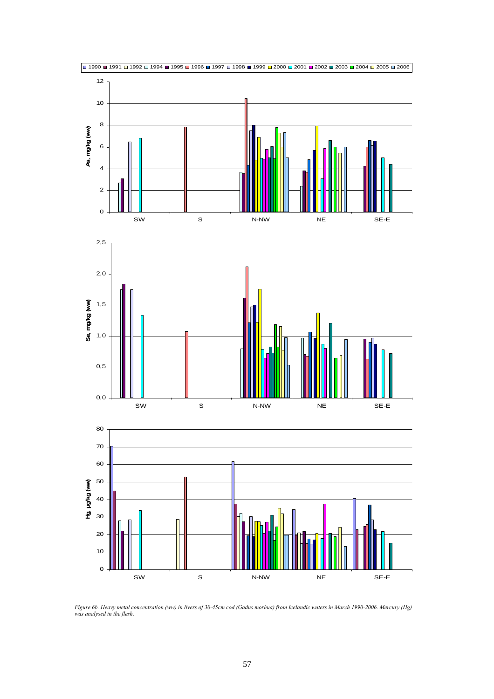

*Figure 6b. Heavy metal concentration (ww) in livers of 30-45cm cod (Gadus morhua) from Icelandic waters in March 1990-2006. Mercury (Hg) was analysed in the flesh.*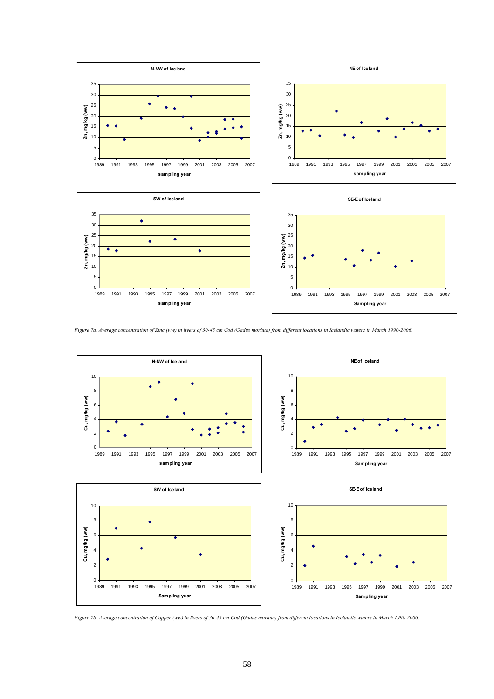

*Figure 7a. Average concentration of Zinc (ww) in livers of 30-45 cm Cod (Gadus morhua) from different locations in Icelandic waters in March 1990-2006.* 



*Figure 7b. Average concentration of Copper (ww) in livers of 30-45 cm Cod (Gadus morhua) from different locations in Icelandic waters in March 1990-2006.*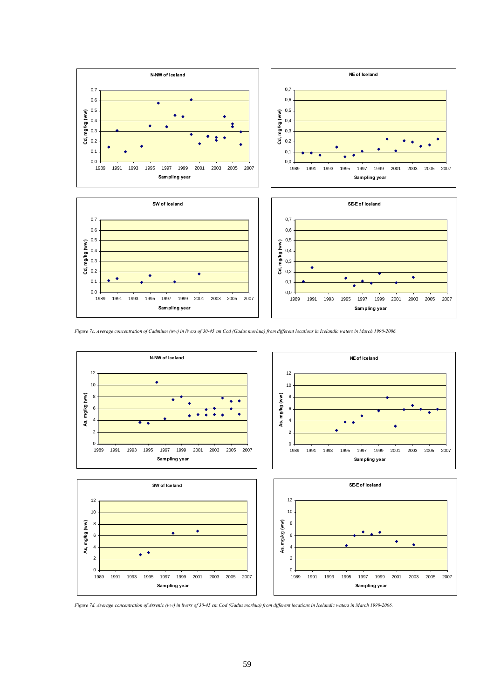

*Figure 7c. Average concentration of Cadmium (ww) in livers of 30-45 cm Cod (Gadus morhua) from different locations in Icelandic waters in March 1990-2006.* 



*Figure 7d. Average concentration of Arsenic (ww) in livers of 30-45 cm Cod (Gadus morhua) from different locations in Icelandic waters in March 1990-2006.*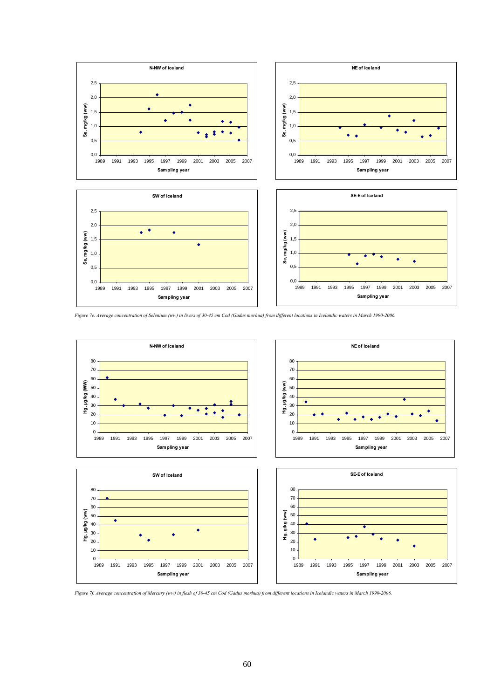

*Figure 7e. Average concentration of Selenium (ww) in livers of 30-45 cm Cod (Gadus morhua) from different locations in Icelandic waters in March 1990-2006.* 









*Figure 7f. Average concentration of Mercury (ww) in flesh of 30-45 cm Cod (Gadus morhua) from different locations in Icelandic waters in March 1990-2006.*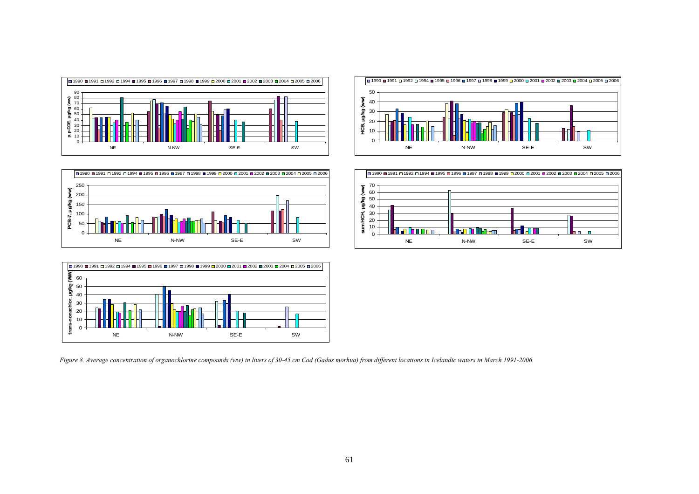









*Figure 8. Average concentration of organochlorine compounds (ww) in livers of 30-45 cm Cod (Gadus morhua) from different locations in Icelandic waters in March 1991-2006.*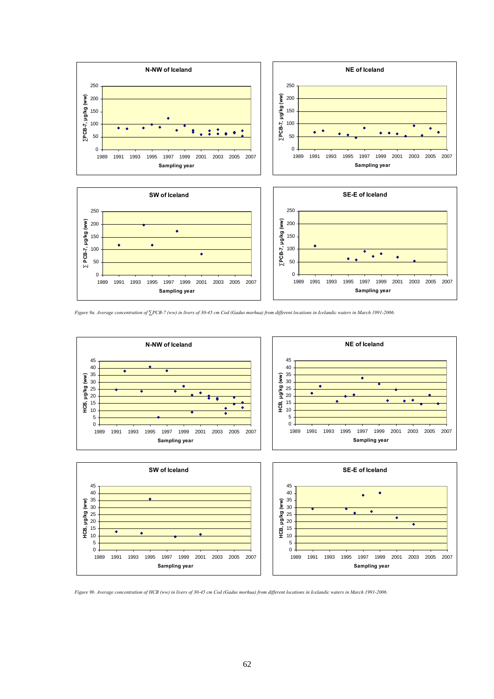

*Figure 9a. Average concentration of ∑PCB-7 (ww) in livers of 30-45 cm Cod (Gadus morhua) from different locations in Icelandic waters in March 1991-2006.* 



*Figure 9b. Average concentration of HCB (ww) in livers of 30-45 cm Cod (Gadus morhua) from different locations in Icelandic waters in March 1991-2006.*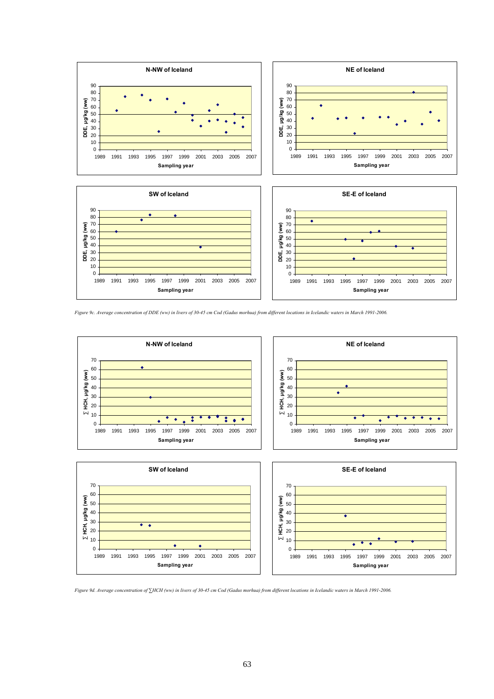

*Figure 9c. Average concentration of DDE (ww) in livers of 30-45 cm Cod (Gadus morhua) from different locations in Icelandic waters in March 1991-2006.* 



*Figure 9d. Average concentration of ∑HCH (ww) in livers of 30-45 cm Cod (Gadus morhua) from different locations in Icelandic waters in March 1991-2006.*